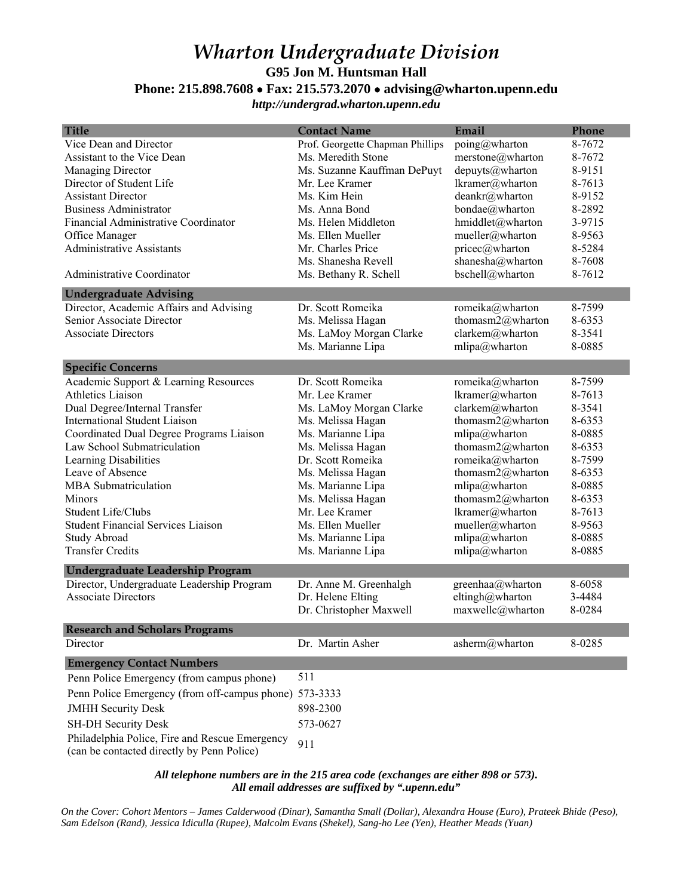## *Wharton Undergraduate Division*  **G95 Jon M. Huntsman Hall**

## **Phone: 215.898.7608** • **Fax: 215.573.2070** • **advising@wharton.upenn.edu**

*http://undergrad.wharton.upenn.edu*

| <b>Title</b>                                                                                 | <b>Contact Name</b>              | Email            | Phone  |
|----------------------------------------------------------------------------------------------|----------------------------------|------------------|--------|
| Vice Dean and Director                                                                       | Prof. Georgette Chapman Phillips | poing@wharton    | 8-7672 |
| Assistant to the Vice Dean                                                                   | Ms. Meredith Stone               | merstone@wharton | 8-7672 |
| Managing Director                                                                            | Ms. Suzanne Kauffman DePuyt      | depuyts@wharton  | 8-9151 |
| Director of Student Life                                                                     | Mr. Lee Kramer                   | lkramer@wharton  | 8-7613 |
| <b>Assistant Director</b>                                                                    | Ms. Kim Hein                     | deankr@wharton   | 8-9152 |
| <b>Business Administrator</b>                                                                | Ms. Anna Bond                    | bondae@wharton   | 8-2892 |
| Financial Administrative Coordinator                                                         | Ms. Helen Middleton              | hmiddlet@wharton | 3-9715 |
| Office Manager                                                                               | Ms. Ellen Mueller                | mueller@wharton  | 8-9563 |
| <b>Administrative Assistants</b>                                                             | Mr. Charles Price                | pricec@wharton   | 8-5284 |
|                                                                                              | Ms. Shanesha Revell              | shanesha@wharton | 8-7608 |
| Administrative Coordinator                                                                   | Ms. Bethany R. Schell            | bschell@wharton  | 8-7612 |
| <b>Undergraduate Advising</b>                                                                |                                  |                  |        |
| Director, Academic Affairs and Advising                                                      | Dr. Scott Romeika                | romeika@wharton  | 8-7599 |
| Senior Associate Director                                                                    | Ms. Melissa Hagan                | thomasm2@wharton | 8-6353 |
| <b>Associate Directors</b>                                                                   | Ms. LaMoy Morgan Clarke          | clarkem@wharton  | 8-3541 |
|                                                                                              | Ms. Marianne Lipa                | mlipa@wharton    | 8-0885 |
| <b>Specific Concerns</b>                                                                     |                                  |                  |        |
| Academic Support & Learning Resources                                                        | Dr. Scott Romeika                | romeika@wharton  | 8-7599 |
| <b>Athletics Liaison</b>                                                                     | Mr. Lee Kramer                   | lkramer@wharton  | 8-7613 |
| Dual Degree/Internal Transfer                                                                | Ms. LaMoy Morgan Clarke          | clarkem@wharton  | 8-3541 |
| <b>International Student Liaison</b>                                                         | Ms. Melissa Hagan                | thomasm2@wharton | 8-6353 |
| Coordinated Dual Degree Programs Liaison                                                     | Ms. Marianne Lipa                | $mlipa@$ wharton | 8-0885 |
| Law School Submatriculation                                                                  | Ms. Melissa Hagan                | thomasm2@wharton | 8-6353 |
| Learning Disabilities                                                                        | Dr. Scott Romeika                | romeika@wharton  | 8-7599 |
| Leave of Absence                                                                             |                                  |                  | 8-6353 |
| <b>MBA</b> Submatriculation                                                                  | Ms. Melissa Hagan                | thomasm2@wharton | 8-0885 |
|                                                                                              | Ms. Marianne Lipa                | mlipa@wharton    |        |
| Minors                                                                                       | Ms. Melissa Hagan                | thomasm2@wharton | 8-6353 |
| Student Life/Clubs                                                                           | Mr. Lee Kramer                   | lkramer@wharton  | 8-7613 |
| <b>Student Financial Services Liaison</b>                                                    | Ms. Ellen Mueller                | mueller@wharton  | 8-9563 |
| <b>Study Abroad</b>                                                                          | Ms. Marianne Lipa                | mlipa@wharton    | 8-0885 |
| <b>Transfer Credits</b>                                                                      | Ms. Marianne Lipa                | mlipa@wharton    | 8-0885 |
| Undergraduate Leadership Program                                                             |                                  |                  |        |
| Director, Undergraduate Leadership Program                                                   | Dr. Anne M. Greenhalgh           | greenhaa@wharton | 8-6058 |
| <b>Associate Directors</b>                                                                   | Dr. Helene Elting                | eltingh@wharton  | 3-4484 |
|                                                                                              | Dr. Christopher Maxwell          | maxwellc@wharton | 8-0284 |
| <b>Research and Scholars Programs</b>                                                        |                                  |                  |        |
| Director                                                                                     | Dr. Martin Asher                 | asherm@wharton   | 8-0285 |
| <b>Emergency Contact Numbers</b>                                                             |                                  |                  |        |
| Penn Police Emergency (from campus phone)                                                    | 511                              |                  |        |
| Penn Police Emergency (from off-campus phone) 573-3333                                       |                                  |                  |        |
| <b>JMHH Security Desk</b>                                                                    | 898-2300                         |                  |        |
| <b>SH-DH Security Desk</b>                                                                   | 573-0627                         |                  |        |
| Philadelphia Police, Fire and Rescue Emergency<br>(can be contacted directly by Penn Police) | 911                              |                  |        |

*All telephone numbers are in the 215 area code (exchanges are either 898 or 573). All email addresses are suffixed by ".upenn.edu"*

*On the Cover: Cohort Mentors – James Calderwood (Dinar), Samantha Small (Dollar), Alexandra House (Euro), Prateek Bhide (Peso), Sam Edelson (Rand), Jessica Idiculla (Rupee), Malcolm Evans (Shekel), Sang-ho Lee (Yen), Heather Meads (Yuan)*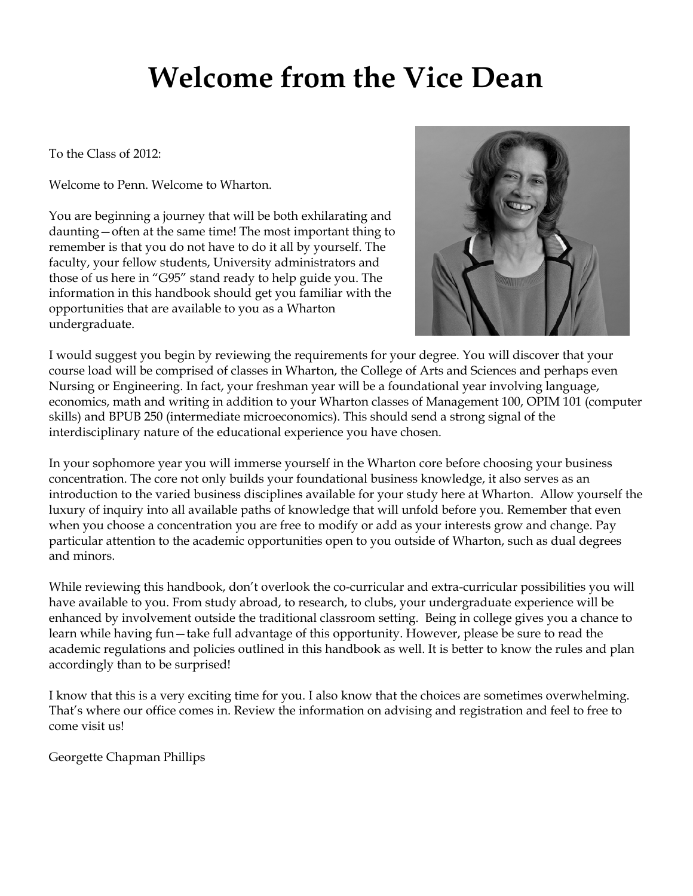# **Welcome from the Vice Dean**

To the Class of 2012:

Welcome to Penn. Welcome to Wharton.

You are beginning a journey that will be both exhilarating and daunting—often at the same time! The most important thing to remember is that you do not have to do it all by yourself. The faculty, your fellow students, University administrators and those of us here in "G95" stand ready to help guide you. The information in this handbook should get you familiar with the opportunities that are available to you as a Wharton undergraduate.



I would suggest you begin by reviewing the requirements for your degree. You will discover that your course load will be comprised of classes in Wharton, the College of Arts and Sciences and perhaps even Nursing or Engineering. In fact, your freshman year will be a foundational year involving language, economics, math and writing in addition to your Wharton classes of Management 100, OPIM 101 (computer skills) and BPUB 250 (intermediate microeconomics). This should send a strong signal of the interdisciplinary nature of the educational experience you have chosen.

In your sophomore year you will immerse yourself in the Wharton core before choosing your business concentration. The core not only builds your foundational business knowledge, it also serves as an introduction to the varied business disciplines available for your study here at Wharton. Allow yourself the luxury of inquiry into all available paths of knowledge that will unfold before you. Remember that even when you choose a concentration you are free to modify or add as your interests grow and change. Pay particular attention to the academic opportunities open to you outside of Wharton, such as dual degrees and minors.

While reviewing this handbook, don't overlook the co-curricular and extra-curricular possibilities you will have available to you. From study abroad, to research, to clubs, your undergraduate experience will be enhanced by involvement outside the traditional classroom setting. Being in college gives you a chance to learn while having fun—take full advantage of this opportunity. However, please be sure to read the academic regulations and policies outlined in this handbook as well. It is better to know the rules and plan accordingly than to be surprised!

I know that this is a very exciting time for you. I also know that the choices are sometimes overwhelming. That's where our office comes in. Review the information on advising and registration and feel to free to come visit us!

Georgette Chapman Phillips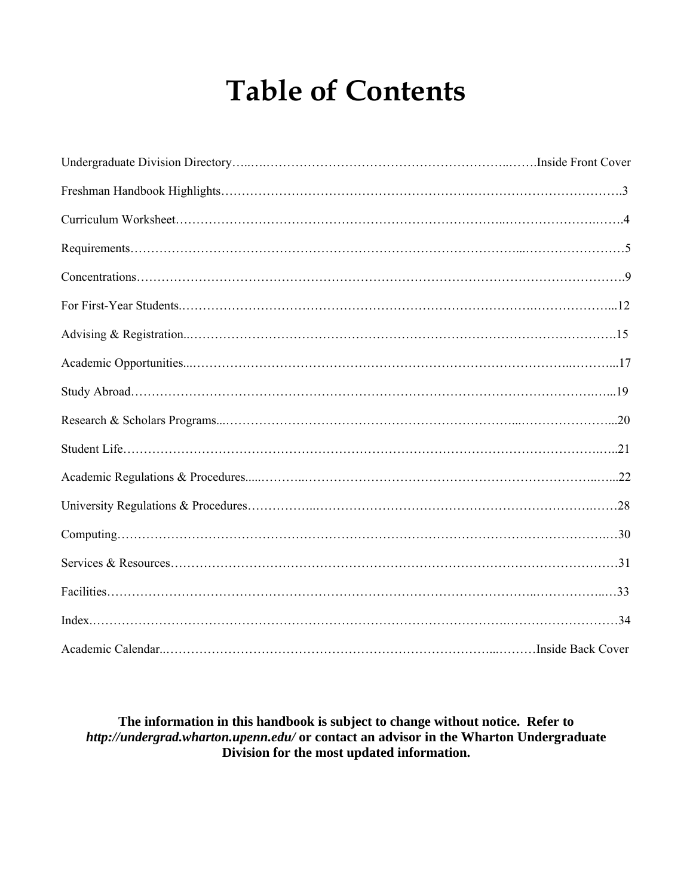# **Table of Contents**

## **The information in this handbook is subject to change without notice. Refer to**  *http://undergrad.wharton.upenn.edu/* **or contact an advisor in the Wharton Undergraduate Division for the most updated information.**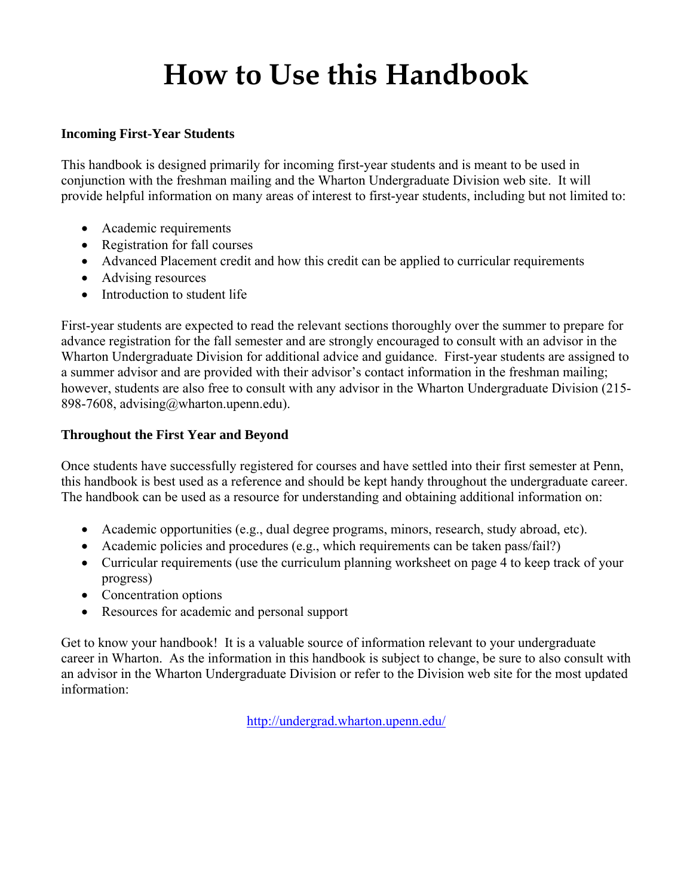# **How to Use this Handbook**

## **Incoming First-Year Students**

This handbook is designed primarily for incoming first-year students and is meant to be used in conjunction with the freshman mailing and the Wharton Undergraduate Division web site. It will provide helpful information on many areas of interest to first-year students, including but not limited to:

- Academic requirements
- Registration for fall courses
- Advanced Placement credit and how this credit can be applied to curricular requirements
- Advising resources
- Introduction to student life

First-year students are expected to read the relevant sections thoroughly over the summer to prepare for advance registration for the fall semester and are strongly encouraged to consult with an advisor in the Wharton Undergraduate Division for additional advice and guidance. First-year students are assigned to a summer advisor and are provided with their advisor's contact information in the freshman mailing; however, students are also free to consult with any advisor in the Wharton Undergraduate Division (215- 898-7608, advising@wharton.upenn.edu).

## **Throughout the First Year and Beyond**

Once students have successfully registered for courses and have settled into their first semester at Penn, this handbook is best used as a reference and should be kept handy throughout the undergraduate career. The handbook can be used as a resource for understanding and obtaining additional information on:

- Academic opportunities (e.g., dual degree programs, minors, research, study abroad, etc).
- Academic policies and procedures (e.g., which requirements can be taken pass/fail?)
- Curricular requirements (use the curriculum planning worksheet on page 4 to keep track of your progress)
- Concentration options
- Resources for academic and personal support

Get to know your handbook! It is a valuable source of information relevant to your undergraduate career in Wharton. As the information in this handbook is subject to change, be sure to also consult with an advisor in the Wharton Undergraduate Division or refer to the Division web site for the most updated information:

http://undergrad.wharton.upenn.edu/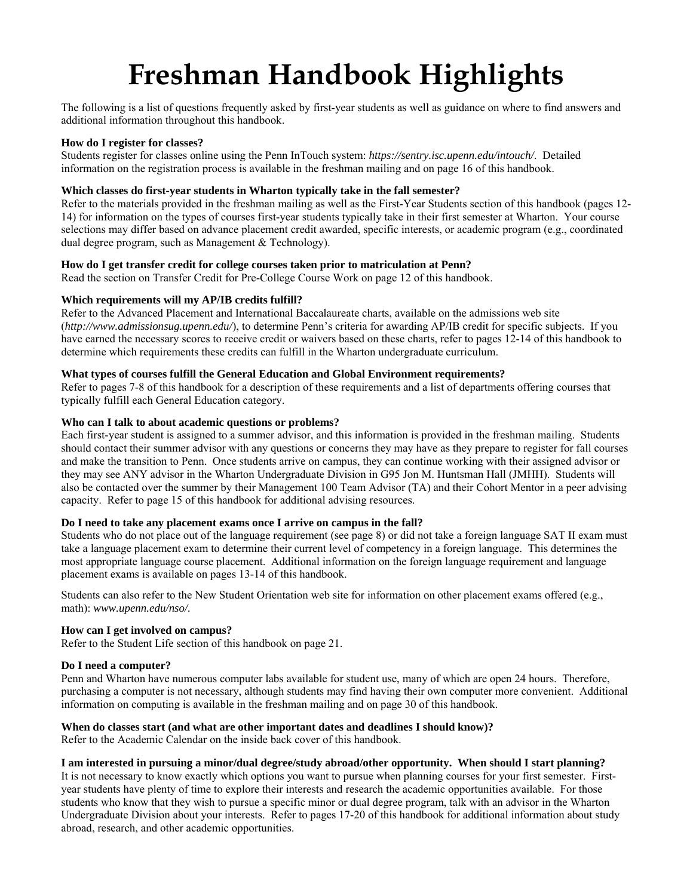# **Freshman Handbook Highlights**

The following is a list of questions frequently asked by first-year students as well as guidance on where to find answers and additional information throughout this handbook.

#### **How do I register for classes?**

Students register for classes online using the Penn InTouch system: *https://sentry.isc.upenn.edu/intouch/*. Detailed information on the registration process is available in the freshman mailing and on page 16 of this handbook.

#### **Which classes do first-year students in Wharton typically take in the fall semester?**

Refer to the materials provided in the freshman mailing as well as the First-Year Students section of this handbook (pages 12- 14) for information on the types of courses first-year students typically take in their first semester at Wharton. Your course selections may differ based on advance placement credit awarded, specific interests, or academic program (e.g., coordinated dual degree program, such as Management & Technology).

#### **How do I get transfer credit for college courses taken prior to matriculation at Penn?**

Read the section on Transfer Credit for Pre-College Course Work on page 12 of this handbook.

#### **Which requirements will my AP/IB credits fulfill?**

Refer to the Advanced Placement and International Baccalaureate charts, available on the admissions web site (*http://www.admissionsug.upenn.edu/*), to determine Penn's criteria for awarding AP/IB credit for specific subjects. If you have earned the necessary scores to receive credit or waivers based on these charts, refer to pages 12-14 of this handbook to determine which requirements these credits can fulfill in the Wharton undergraduate curriculum.

#### **What types of courses fulfill the General Education and Global Environment requirements?**

Refer to pages 7-8 of this handbook for a description of these requirements and a list of departments offering courses that typically fulfill each General Education category.

#### **Who can I talk to about academic questions or problems?**

Each first-year student is assigned to a summer advisor, and this information is provided in the freshman mailing. Students should contact their summer advisor with any questions or concerns they may have as they prepare to register for fall courses and make the transition to Penn. Once students arrive on campus, they can continue working with their assigned advisor or they may see ANY advisor in the Wharton Undergraduate Division in G95 Jon M. Huntsman Hall (JMHH). Students will also be contacted over the summer by their Management 100 Team Advisor (TA) and their Cohort Mentor in a peer advising capacity. Refer to page 15 of this handbook for additional advising resources.

## **Do I need to take any placement exams once I arrive on campus in the fall?**

Students who do not place out of the language requirement (see page 8) or did not take a foreign language SAT II exam must take a language placement exam to determine their current level of competency in a foreign language. This determines the most appropriate language course placement. Additional information on the foreign language requirement and language placement exams is available on pages 13-14 of this handbook.

Students can also refer to the New Student Orientation web site for information on other placement exams offered (e.g., math): *www.upenn.edu/nso/.* 

## **How can I get involved on campus?**

Refer to the Student Life section of this handbook on page 21.

## **Do I need a computer?**

Penn and Wharton have numerous computer labs available for student use, many of which are open 24 hours. Therefore, purchasing a computer is not necessary, although students may find having their own computer more convenient. Additional information on computing is available in the freshman mailing and on page 30 of this handbook.

## **When do classes start (and what are other important dates and deadlines I should know)?**

Refer to the Academic Calendar on the inside back cover of this handbook.

## **I am interested in pursuing a minor/dual degree/study abroad/other opportunity. When should I start planning?**

It is not necessary to know exactly which options you want to pursue when planning courses for your first semester. Firstyear students have plenty of time to explore their interests and research the academic opportunities available. For those students who know that they wish to pursue a specific minor or dual degree program, talk with an advisor in the Wharton Undergraduate Division about your interests. Refer to pages 17-20 of this handbook for additional information about study abroad, research, and other academic opportunities.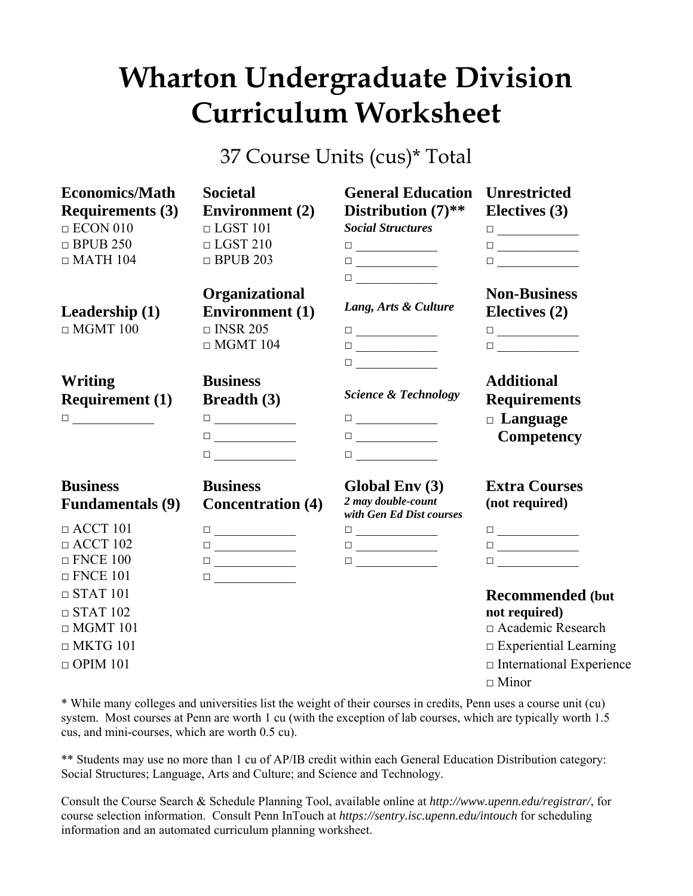# **Wharton Undergraduate Division Curriculum Worksheet**

37 Course Units (cus)\* Total

| <b>Economics/Math</b>   | <b>Societal</b>                                                                                                                                                                                                                                                                                                                                           | <b>General Education</b>                                                                                                                                                                                                                                                                                                                                  | <b>Unrestricted</b>                                                                                                                                                                                                                                                                                                                                       |
|-------------------------|-----------------------------------------------------------------------------------------------------------------------------------------------------------------------------------------------------------------------------------------------------------------------------------------------------------------------------------------------------------|-----------------------------------------------------------------------------------------------------------------------------------------------------------------------------------------------------------------------------------------------------------------------------------------------------------------------------------------------------------|-----------------------------------------------------------------------------------------------------------------------------------------------------------------------------------------------------------------------------------------------------------------------------------------------------------------------------------------------------------|
| <b>Requirements (3)</b> | <b>Environment</b> (2)                                                                                                                                                                                                                                                                                                                                    | Distribution $(7)$ **                                                                                                                                                                                                                                                                                                                                     | Electives (3)                                                                                                                                                                                                                                                                                                                                             |
| $\Box$ ECON 010         | $\Box$ LGST 101                                                                                                                                                                                                                                                                                                                                           | <b>Social Structures</b>                                                                                                                                                                                                                                                                                                                                  | $\begin{tabular}{ c c c c } \hline \quad \quad & \quad \quad & \quad \quad & \quad \quad \\ \hline \quad \quad & \quad \quad & \quad \quad & \quad \quad \\ \hline \end{tabular}$                                                                                                                                                                         |
| $\Box$ BPUB 250         | $\Box$ LGST 210                                                                                                                                                                                                                                                                                                                                           | $\begin{tabular}{ c c c c } \hline \quad \quad & \quad \quad & \quad \quad & \quad \quad \\ \hline \quad \quad & \quad \quad & \quad \quad & \quad \quad \\ \hline \end{tabular}$                                                                                                                                                                         | $\begin{tabular}{ c c c c } \hline \quad \quad & \quad \quad & \quad \quad & \quad \quad \\ \hline \quad \quad & \quad \quad & \quad \quad & \quad \quad \\ \hline \end{tabular}$                                                                                                                                                                         |
| $\Box$ MATH 104         | $\Box$ BPUB 203                                                                                                                                                                                                                                                                                                                                           | $\begin{tabular}{ c c c c } \hline \quad \quad & \quad \quad & \quad \quad & \quad \quad \\ \hline \quad \quad & \quad \quad & \quad \quad & \quad \quad \\ \hline \end{tabular}$                                                                                                                                                                         |                                                                                                                                                                                                                                                                                                                                                           |
|                         |                                                                                                                                                                                                                                                                                                                                                           | $\begin{tabular}{ c c c c } \hline \rule{0.3cm}{.04cm} \rule{0.3cm}{.04cm} \rule{0.3cm}{.04cm} \rule{0.3cm}{.04cm} \rule{0.3cm}{.04cm} \rule{0.3cm}{.04cm} \rule{0.3cm}{.04cm} \rule{0.3cm}{.04cm} \rule{0.3cm}{.04cm} \rule{0.3cm}{.04cm} \rule{0.3cm}{.04cm} \rule{0.3cm}{.04cm} \rule{0.3cm}{.04cm} \rule{0.3cm}{.04cm} \rule{0.3cm}{.04cm} \rule{0.3$ |                                                                                                                                                                                                                                                                                                                                                           |
|                         | Organizational                                                                                                                                                                                                                                                                                                                                            |                                                                                                                                                                                                                                                                                                                                                           | <b>Non-Business</b>                                                                                                                                                                                                                                                                                                                                       |
| Leadership $(1)$        | <b>Environment</b> (1)                                                                                                                                                                                                                                                                                                                                    | Lang, Arts & Culture                                                                                                                                                                                                                                                                                                                                      | Electives (2)                                                                                                                                                                                                                                                                                                                                             |
| $\Box$ MGMT 100         | $\Box$ INSR 205                                                                                                                                                                                                                                                                                                                                           |                                                                                                                                                                                                                                                                                                                                                           | $\begin{tabular}{ c c c c } \hline \quad \quad & \quad \quad & \quad \quad & \quad \quad \\ \hline \quad \quad & \quad \quad & \quad \quad & \quad \quad \\ \hline \end{tabular}$                                                                                                                                                                         |
|                         | $\Box$ MGMT 104                                                                                                                                                                                                                                                                                                                                           | $\begin{tabular}{ c c c c } \hline \quad \quad & \quad \quad & \quad \quad & \quad \quad \\ \hline \quad \quad & \quad \quad & \quad \quad & \quad \quad \\ \hline \end{tabular}$                                                                                                                                                                         |                                                                                                                                                                                                                                                                                                                                                           |
|                         |                                                                                                                                                                                                                                                                                                                                                           | $\begin{tabular}{ c c c c } \hline \quad \quad & \quad \quad & \quad \quad & \quad \quad \\ \hline \quad \quad & \quad \quad & \quad \quad & \quad \quad \\ \hline \end{tabular}$                                                                                                                                                                         |                                                                                                                                                                                                                                                                                                                                                           |
| Writing                 | <b>Business</b>                                                                                                                                                                                                                                                                                                                                           |                                                                                                                                                                                                                                                                                                                                                           | <b>Additional</b>                                                                                                                                                                                                                                                                                                                                         |
| <b>Requirement</b> (1)  | <b>Breadth</b> (3)                                                                                                                                                                                                                                                                                                                                        | <b>Science &amp; Technology</b>                                                                                                                                                                                                                                                                                                                           | <b>Requirements</b>                                                                                                                                                                                                                                                                                                                                       |
|                         |                                                                                                                                                                                                                                                                                                                                                           | $\begin{tabular}{ c c c c } \hline \quad \quad & \quad \quad & \quad \quad & \quad \quad \\ \hline \quad \quad & \quad \quad & \quad \quad & \quad \quad \\ \hline \end{tabular}$                                                                                                                                                                         | $\Box$ Language                                                                                                                                                                                                                                                                                                                                           |
|                         |                                                                                                                                                                                                                                                                                                                                                           |                                                                                                                                                                                                                                                                                                                                                           |                                                                                                                                                                                                                                                                                                                                                           |
|                         | $\begin{tabular}{ c c c c } \hline \quad \quad & \quad \quad & \quad \quad & \quad \quad \\ \hline \quad \quad & \quad \quad & \quad \quad & \quad \quad \\ \hline \end{tabular}$                                                                                                                                                                         | $\begin{tabular}{ c c c c } \hline \quad \quad & \quad \quad & \quad \quad & \quad \quad \\ \hline \quad \quad & \quad \quad & \quad \quad & \quad \quad \\ \hline \end{tabular}$                                                                                                                                                                         | <b>Competency</b>                                                                                                                                                                                                                                                                                                                                         |
|                         | $\begin{tabular}{ c c c c } \hline \rule{0.3cm}{.04cm} \rule{0.3cm}{.04cm} \rule{0.3cm}{.04cm} \rule{0.3cm}{.04cm} \rule{0.3cm}{.04cm} \rule{0.3cm}{.04cm} \rule{0.3cm}{.04cm} \rule{0.3cm}{.04cm} \rule{0.3cm}{.04cm} \rule{0.3cm}{.04cm} \rule{0.3cm}{.04cm} \rule{0.3cm}{.04cm} \rule{0.3cm}{.04cm} \rule{0.3cm}{.04cm} \rule{0.3cm}{.04cm} \rule{0.3$ | $\begin{tabular}{ c c c c } \hline \quad \quad & \quad \quad & \quad \quad \\ \hline \quad \quad & \quad \quad & \quad \quad \\ \hline \end{tabular}$                                                                                                                                                                                                     |                                                                                                                                                                                                                                                                                                                                                           |
| <b>Business</b>         | <b>Business</b>                                                                                                                                                                                                                                                                                                                                           | Global Env (3)                                                                                                                                                                                                                                                                                                                                            | <b>Extra Courses</b>                                                                                                                                                                                                                                                                                                                                      |
| <b>Fundamentals</b> (9) | <b>Concentration (4)</b>                                                                                                                                                                                                                                                                                                                                  | 2 may double-count<br>with Gen Ed Dist courses                                                                                                                                                                                                                                                                                                            | (not required)                                                                                                                                                                                                                                                                                                                                            |
| $\Box$ ACCT 101         | $\begin{tabular}{ c c c c } \hline \quad \quad & \quad \quad & \quad \quad & \quad \quad \\ \hline \quad \quad & \quad \quad & \quad \quad & \quad \quad \\ \hline \end{tabular}$                                                                                                                                                                         | $\begin{tabular}{ c c c c } \hline \quad \quad & \quad \quad & \quad \quad & \quad \quad \\ \hline \quad \quad & \quad \quad & \quad \quad & \quad \quad \\ \hline \end{tabular}$                                                                                                                                                                         |                                                                                                                                                                                                                                                                                                                                                           |
| $\Box$ ACCT 102         |                                                                                                                                                                                                                                                                                                                                                           |                                                                                                                                                                                                                                                                                                                                                           | $\begin{tabular}{ c c c c } \hline \rule{0.3cm}{.04cm} \rule{0.3cm}{.04cm} \rule{0.3cm}{.04cm} \rule{0.3cm}{.04cm} \rule{0.3cm}{.04cm} \rule{0.3cm}{.04cm} \rule{0.3cm}{.04cm} \rule{0.3cm}{.04cm} \rule{0.3cm}{.04cm} \rule{0.3cm}{.04cm} \rule{0.3cm}{.04cm} \rule{0.3cm}{.04cm} \rule{0.3cm}{.04cm} \rule{0.3cm}{.04cm} \rule{0.3cm}{.04cm} \rule{0.3$ |
| $\Box$ FNCE 100         | $\begin{tabular}{ c c c c } \hline \quad \quad & \quad \quad & \quad \quad & \quad \quad \\ \hline \quad \quad & \quad \quad & \quad \quad & \quad \quad \\ \hline \end{tabular}$                                                                                                                                                                         | $\begin{tabular}{ c c c c } \hline \quad \quad & \quad \quad & \quad \quad & \quad \quad \\ \hline \quad \quad & \quad \quad & \quad \quad & \quad \quad \\ \hline \end{tabular}$                                                                                                                                                                         |                                                                                                                                                                                                                                                                                                                                                           |
| $\Box$ FNCE 101         |                                                                                                                                                                                                                                                                                                                                                           |                                                                                                                                                                                                                                                                                                                                                           |                                                                                                                                                                                                                                                                                                                                                           |
| $\Box$ STAT 101         |                                                                                                                                                                                                                                                                                                                                                           |                                                                                                                                                                                                                                                                                                                                                           | <b>Recommended</b> (but                                                                                                                                                                                                                                                                                                                                   |
| $\Box$ STAT 102         |                                                                                                                                                                                                                                                                                                                                                           |                                                                                                                                                                                                                                                                                                                                                           | not required)                                                                                                                                                                                                                                                                                                                                             |
| $\Box$ MGMT 101         |                                                                                                                                                                                                                                                                                                                                                           |                                                                                                                                                                                                                                                                                                                                                           | □ Academic Research                                                                                                                                                                                                                                                                                                                                       |
| $\Box$ MKTG 101         |                                                                                                                                                                                                                                                                                                                                                           |                                                                                                                                                                                                                                                                                                                                                           | $\Box$ Experiential Learning                                                                                                                                                                                                                                                                                                                              |
| $\Box$ OPIM 101         |                                                                                                                                                                                                                                                                                                                                                           |                                                                                                                                                                                                                                                                                                                                                           | $\Box$ International Experience                                                                                                                                                                                                                                                                                                                           |
|                         |                                                                                                                                                                                                                                                                                                                                                           |                                                                                                                                                                                                                                                                                                                                                           | $\Box$ Minor                                                                                                                                                                                                                                                                                                                                              |

\* While many colleges and universities list the weight of their courses in credits, Penn uses a course unit (cu) system. Most courses at Penn are worth 1 cu (with the exception of lab courses, which are typically worth 1.5 cus, and mini-courses, which are worth 0.5 cu).

\*\* Students may use no more than 1 cu of AP/IB credit within each General Education Distribution category: Social Structures; Language, Arts and Culture; and Science and Technology.

Consult the Course Search & Schedule Planning Tool, available online at *http://www.upenn.edu/registrar/*, for course selection information. Consult Penn InTouch at *https://sentry.isc.upenn.edu/intouch* for scheduling information and an automated curriculum planning worksheet.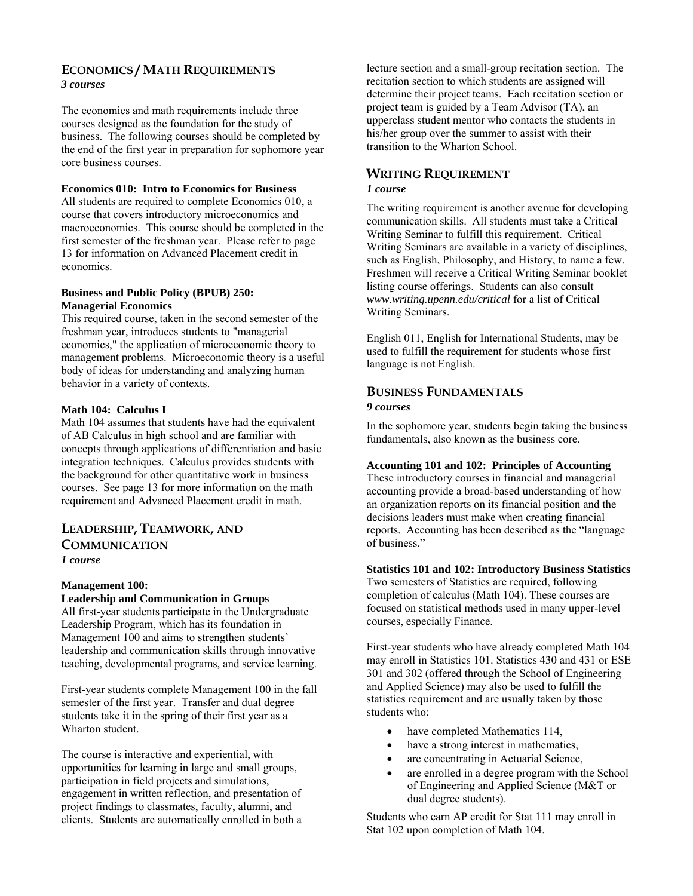## **ECONOMICS / MATH REQUIREMENTS** *3 courses*

The economics and math requirements include three courses designed as the foundation for the study of business. The following courses should be completed by the end of the first year in preparation for sophomore year core business courses.

## **Economics 010: Intro to Economics for Business**

All students are required to complete Economics 010, a course that covers introductory microeconomics and macroeconomics. This course should be completed in the first semester of the freshman year. Please refer to page 13 for information on Advanced Placement credit in economics.

## **Business and Public Policy (BPUB) 250: Managerial Economics**

This required course, taken in the second semester of the freshman year, introduces students to "managerial economics," the application of microeconomic theory to management problems. Microeconomic theory is a useful body of ideas for understanding and analyzing human behavior in a variety of contexts.

## **Math 104: Calculus I**

Math 104 assumes that students have had the equivalent of AB Calculus in high school and are familiar with concepts through applications of differentiation and basic integration techniques. Calculus provides students with the background for other quantitative work in business courses. See page 13 for more information on the math requirement and Advanced Placement credit in math.

## **LEADERSHIP, TEAMWORK, AND COMMUNICATION** *1 course*

## **Management 100:**

## **Leadership and Communication in Groups**

All first-year students participate in the Undergraduate Leadership Program, which has its foundation in Management 100 and aims to strengthen students' leadership and communication skills through innovative teaching, developmental programs, and service learning.

First-year students complete Management 100 in the fall semester of the first year. Transfer and dual degree students take it in the spring of their first year as a Wharton student.

The course is interactive and experiential, with opportunities for learning in large and small groups, participation in field projects and simulations, engagement in written reflection, and presentation of project findings to classmates, faculty, alumni, and clients. Students are automatically enrolled in both a

lecture section and a small-group recitation section. The recitation section to which students are assigned will determine their project teams. Each recitation section or project team is guided by a Team Advisor (TA), an upperclass student mentor who contacts the students in his/her group over the summer to assist with their transition to the Wharton School.

## **WRITING REQUIREMENT**

## *1 course*

The writing requirement is another avenue for developing communication skills. All students must take a Critical Writing Seminar to fulfill this requirement. Critical Writing Seminars are available in a variety of disciplines, such as English, Philosophy, and History, to name a few. Freshmen will receive a Critical Writing Seminar booklet listing course offerings. Students can also consult *www.writing.upenn.edu/critical* for a list of Critical Writing Seminars.

English 011, English for International Students, may be used to fulfill the requirement for students whose first language is not English.

## **BUSINESS FUNDAMENTALS** *9 courses*

In the sophomore year, students begin taking the business fundamentals, also known as the business core.

## **Accounting 101 and 102: Principles of Accounting**

These introductory courses in financial and managerial accounting provide a broad-based understanding of how an organization reports on its financial position and the decisions leaders must make when creating financial reports. Accounting has been described as the "language of business."

#### **Statistics 101 and 102: Introductory Business Statistics**

Two semesters of Statistics are required, following completion of calculus (Math 104). These courses are focused on statistical methods used in many upper-level courses, especially Finance.

First-year students who have already completed Math 104 may enroll in Statistics 101. Statistics 430 and 431 or ESE 301 and 302 (offered through the School of Engineering and Applied Science) may also be used to fulfill the statistics requirement and are usually taken by those students who:

- have completed Mathematics 114,
- have a strong interest in mathematics,
- are concentrating in Actuarial Science,
- are enrolled in a degree program with the School of Engineering and Applied Science (M&T or dual degree students).

Students who earn AP credit for Stat 111 may enroll in Stat 102 upon completion of Math 104.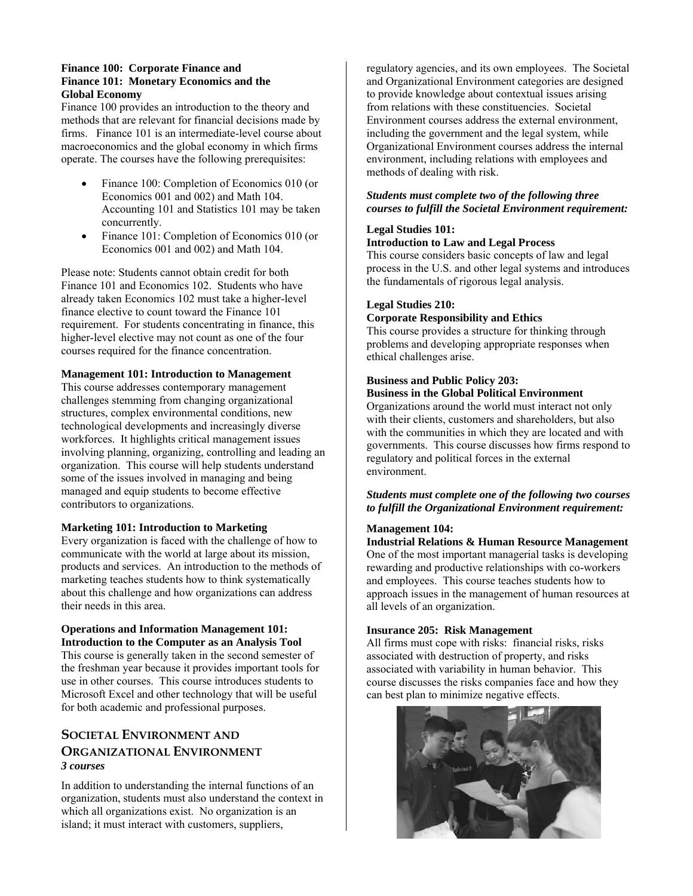#### **Finance 100: Corporate Finance and Finance 101: Monetary Economics and the Global Economy**

Finance 100 provides an introduction to the theory and methods that are relevant for financial decisions made by firms. Finance 101 is an intermediate-level course about macroeconomics and the global economy in which firms operate. The courses have the following prerequisites:

- Finance 100: Completion of Economics 010 (or Economics 001 and 002) and Math 104. Accounting 101 and Statistics 101 may be taken concurrently.
- Finance 101: Completion of Economics 010 (or Economics 001 and 002) and Math 104.

Please note: Students cannot obtain credit for both Finance 101 and Economics 102. Students who have already taken Economics 102 must take a higher-level finance elective to count toward the Finance 101 requirement. For students concentrating in finance, this higher-level elective may not count as one of the four courses required for the finance concentration.

## **Management 101: Introduction to Management**

This course addresses contemporary management challenges stemming from changing organizational structures, complex environmental conditions, new technological developments and increasingly diverse workforces. It highlights critical management issues involving planning, organizing, controlling and leading an organization. This course will help students understand some of the issues involved in managing and being managed and equip students to become effective contributors to organizations.

#### **Marketing 101: Introduction to Marketing**

Every organization is faced with the challenge of how to communicate with the world at large about its mission, products and services. An introduction to the methods of marketing teaches students how to think systematically about this challenge and how organizations can address their needs in this area.

#### **Operations and Information Management 101: Introduction to the Computer as an Analysis Tool**

This course is generally taken in the second semester of the freshman year because it provides important tools for use in other courses. This course introduces students to Microsoft Excel and other technology that will be useful for both academic and professional purposes.

## **SOCIETAL ENVIRONMENT AND ORGANIZATIONAL ENVIRONMENT** *3 courses*

In addition to understanding the internal functions of an organization, students must also understand the context in which all organizations exist. No organization is an island; it must interact with customers, suppliers,

regulatory agencies, and its own employees. The Societal and Organizational Environment categories are designed to provide knowledge about contextual issues arising from relations with these constituencies. Societal Environment courses address the external environment, including the government and the legal system, while Organizational Environment courses address the internal environment, including relations with employees and methods of dealing with risk.

## *Students must complete two of the following three courses to fulfill the Societal Environment requirement:*

#### **Legal Studies 101: Introduction to Law and Legal Process**

This course considers basic concepts of law and legal process in the U.S. and other legal systems and introduces the fundamentals of rigorous legal analysis.

## **Legal Studies 210:**

#### **Corporate Responsibility and Ethics**

This course provides a structure for thinking through problems and developing appropriate responses when ethical challenges arise.

## **Business and Public Policy 203: Business in the Global Political Environment**

Organizations around the world must interact not only with their clients, customers and shareholders, but also with the communities in which they are located and with governments. This course discusses how firms respond to regulatory and political forces in the external environment.

## *Students must complete one of the following two courses to fulfill the Organizational Environment requirement:*

## **Management 104:**

**Industrial Relations & Human Resource Management** One of the most important managerial tasks is developing rewarding and productive relationships with co-workers and employees. This course teaches students how to approach issues in the management of human resources at all levels of an organization.

#### **Insurance 205: Risk Management**

All firms must cope with risks: financial risks, risks associated with destruction of property, and risks associated with variability in human behavior. This course discusses the risks companies face and how they can best plan to minimize negative effects.

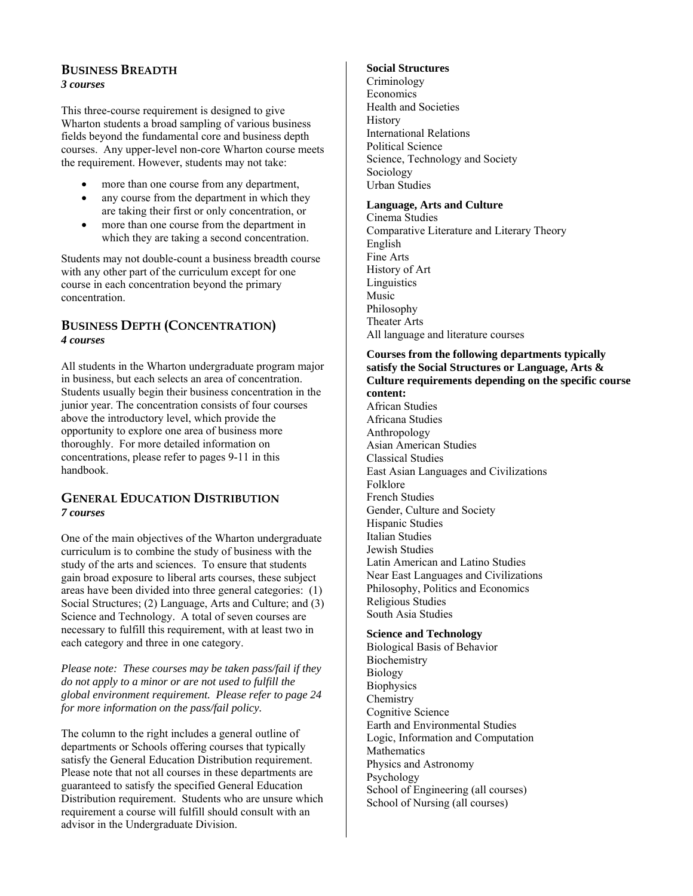## **BUSINESS BREADTH** *3 courses*

This three-course requirement is designed to give Wharton students a broad sampling of various business fields beyond the fundamental core and business depth courses. Any upper-level non-core Wharton course meets the requirement. However, students may not take:

- more than one course from any department,
- any course from the department in which they are taking their first or only concentration, or
- more than one course from the department in which they are taking a second concentration.

Students may not double-count a business breadth course with any other part of the curriculum except for one course in each concentration beyond the primary concentration.

## **BUSINESS DEPTH (CONCENTRATION)**  *4 courses*

All students in the Wharton undergraduate program major in business, but each selects an area of concentration. Students usually begin their business concentration in the junior year. The concentration consists of four courses above the introductory level, which provide the opportunity to explore one area of business more thoroughly. For more detailed information on concentrations, please refer to pages 9-11 in this handbook.

## **GENERAL EDUCATION DISTRIBUTION** *7 courses*

One of the main objectives of the Wharton undergraduate curriculum is to combine the study of business with the study of the arts and sciences. To ensure that students gain broad exposure to liberal arts courses, these subject areas have been divided into three general categories: (1) Social Structures; (2) Language, Arts and Culture; and (3) Science and Technology. A total of seven courses are necessary to fulfill this requirement, with at least two in each category and three in one category.

*Please note: These courses may be taken pass/fail if they do not apply to a minor or are not used to fulfill the global environment requirement. Please refer to page 24 for more information on the pass/fail policy.* 

The column to the right includes a general outline of departments or Schools offering courses that typically satisfy the General Education Distribution requirement. Please note that not all courses in these departments are guaranteed to satisfy the specified General Education Distribution requirement. Students who are unsure which requirement a course will fulfill should consult with an advisor in the Undergraduate Division.

## **Social Structures**

Criminology **Economics** Health and Societies **History** International Relations Political Science Science, Technology and Society Sociology Urban Studies

## **Language, Arts and Culture**

Cinema Studies Comparative Literature and Literary Theory English Fine Arts History of Art Linguistics Music Philosophy Theater Arts All language and literature courses

#### **Courses from the following departments typically satisfy the Social Structures or Language, Arts & Culture requirements depending on the specific course content:**

African Studies Africana Studies Anthropology Asian American Studies Classical Studies East Asian Languages and Civilizations Folklore French Studies Gender, Culture and Society Hispanic Studies Italian Studies Jewish Studies Latin American and Latino Studies Near East Languages and Civilizations Philosophy, Politics and Economics Religious Studies South Asia Studies

## **Science and Technology**

Biological Basis of Behavior **Biochemistry** Biology **Biophysics Chemistry** Cognitive Science Earth and Environmental Studies Logic, Information and Computation **Mathematics** Physics and Astronomy Psychology School of Engineering (all courses) School of Nursing (all courses)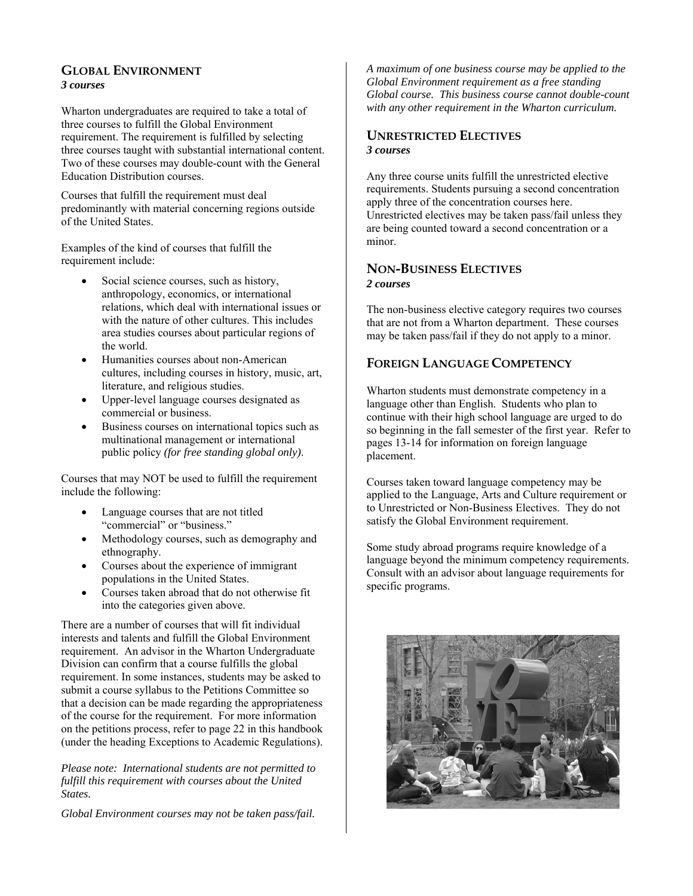## **GLOBAL ENVIRONMENT** *3 courses*

Wharton undergraduates are required to take a total of three courses to fulfill the Global Environment requirement. The requirement is fulfilled by selecting three courses taught with substantial international content. Two of these courses may double-count with the General Education Distribution courses.

Courses that fulfill the requirement must deal predominantly with material concerning regions outside of the United States.

Examples of the kind of courses that fulfill the requirement include:

- Social science courses, such as history, anthropology, economics, or international relations, which deal with international issues or with the nature of other cultures. This includes area studies courses about particular regions of the world.
- Humanities courses about non-American cultures, including courses in history, music, art, literature, and religious studies.
- Upper-level language courses designated as commercial or business.
- Business courses on international topics such as multinational management or international public policy *(for free standing global only)*.

Courses that may NOT be used to fulfill the requirement include the following:

- Language courses that are not titled "commercial" or "business."
- Methodology courses, such as demography and ethnography.
- Courses about the experience of immigrant populations in the United States.
- Courses taken abroad that do not otherwise fit into the categories given above.

There are a number of courses that will fit individual interests and talents and fulfill the Global Environment requirement. An advisor in the Wharton Undergraduate Division can confirm that a course fulfills the global requirement. In some instances, students may be asked to submit a course syllabus to the Petitions Committee so that a decision can be made regarding the appropriateness of the course for the requirement. For more information on the petitions process, refer to page 22 in this handbook (under the heading Exceptions to Academic Regulations).

*Please note: International students are not permitted to fulfill this requirement with courses about the United States.* 

*Global Environment courses may not be taken pass/fail.* 

*A maximum of one business course may be applied to the Global Environment requirement as a free standing Global course. This business course cannot double-count with any other requirement in the Wharton curriculum.*

## **UNRESTRICTED ELECTIVES** *3 courses*

Any three course units fulfill the unrestricted elective requirements. Students pursuing a second concentration apply three of the concentration courses here. Unrestricted electives may be taken pass/fail unless they are being counted toward a second concentration or a minor.

## **NON-BUSINESS ELECTIVES** *2 courses*

The non-business elective category requires two courses that are not from a Wharton department. These courses may be taken pass/fail if they do not apply to a minor.

## **FOREIGN LANGUAGE COMPETENCY**

Wharton students must demonstrate competency in a language other than English. Students who plan to continue with their high school language are urged to do so beginning in the fall semester of the first year. Refer to pages 13-14 for information on foreign language placement.

Courses taken toward language competency may be applied to the Language, Arts and Culture requirement or to Unrestricted or Non-Business Electives. They do not satisfy the Global Environment requirement.

Some study abroad programs require knowledge of a language beyond the minimum competency requirements. Consult with an advisor about language requirements for specific programs.

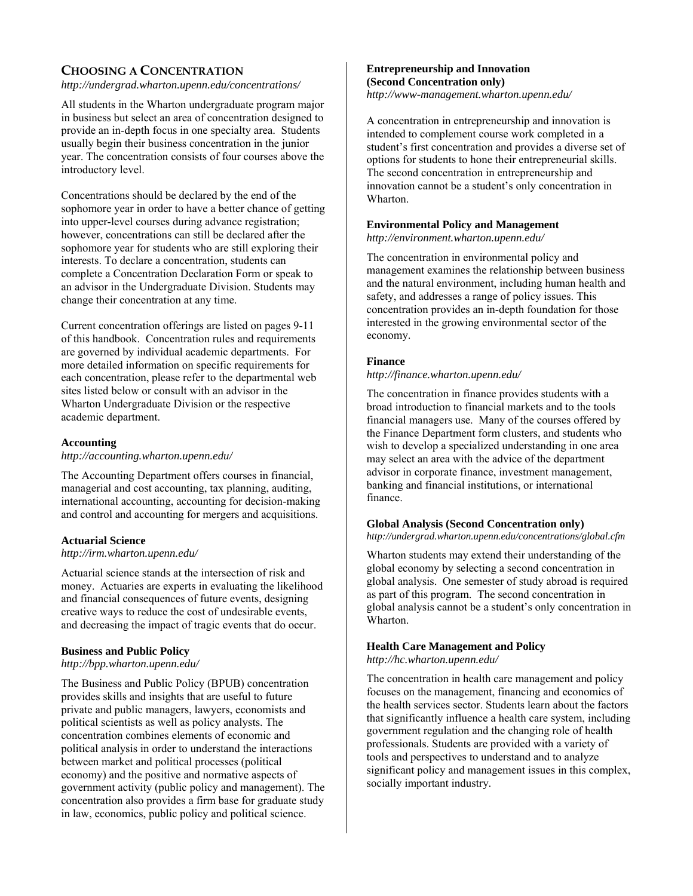## **CHOOSING A CONCENTRATION**

*http://undergrad.wharton.upenn.edu/concentrations/*

All students in the Wharton undergraduate program major in business but select an area of concentration designed to provide an in-depth focus in one specialty area. Students usually begin their business concentration in the junior year. The concentration consists of four courses above the introductory level.

Concentrations should be declared by the end of the sophomore year in order to have a better chance of getting into upper-level courses during advance registration; however, concentrations can still be declared after the sophomore year for students who are still exploring their interests. To declare a concentration, students can complete a Concentration Declaration Form or speak to an advisor in the Undergraduate Division. Students may change their concentration at any time.

Current concentration offerings are listed on pages 9-11 of this handbook. Concentration rules and requirements are governed by individual academic departments. For more detailed information on specific requirements for each concentration, please refer to the departmental web sites listed below or consult with an advisor in the Wharton Undergraduate Division or the respective academic department.

## **Accounting**

*http://accounting.wharton.upenn.edu/*

The Accounting Department offers courses in financial, managerial and cost accounting, tax planning, auditing, international accounting, accounting for decision-making and control and accounting for mergers and acquisitions.

## **Actuarial Science**

*http://irm.wharton.upenn.edu/*

Actuarial science stands at the intersection of risk and money. Actuaries are experts in evaluating the likelihood and financial consequences of future events, designing creative ways to reduce the cost of undesirable events, and decreasing the impact of tragic events that do occur.

## **Business and Public Policy**

*http://bpp.wharton.upenn.edu/*

The Business and Public Policy (BPUB) concentration provides skills and insights that are useful to future private and public managers, lawyers, economists and political scientists as well as policy analysts. The concentration combines elements of economic and political analysis in order to understand the interactions between market and political processes (political economy) and the positive and normative aspects of government activity (public policy and management). The concentration also provides a firm base for graduate study in law, economics, public policy and political science.

## **Entrepreneurship and Innovation (Second Concentration only)**

*http://www-management.wharton.upenn.edu/*

A concentration in entrepreneurship and innovation is intended to complement course work completed in a student's first concentration and provides a diverse set of options for students to hone their entrepreneurial skills. The second concentration in entrepreneurship and innovation cannot be a student's only concentration in Wharton.

#### **Environmental Policy and Management**

*http://environment.wharton.upenn.edu/*

The concentration in environmental policy and management examines the relationship between business and the natural environment, including human health and safety, and addresses a range of policy issues. This concentration provides an in-depth foundation for those interested in the growing environmental sector of the economy.

## **Finance**

#### *http://finance.wharton.upenn.edu/*

The concentration in finance provides students with a broad introduction to financial markets and to the tools financial managers use. Many of the courses offered by the Finance Department form clusters, and students who wish to develop a specialized understanding in one area may select an area with the advice of the department advisor in corporate finance, investment management, banking and financial institutions, or international finance.

## **Global Analysis (Second Concentration only)**

*http://undergrad.wharton.upenn.edu/concentrations/global.cfm*

Wharton students may extend their understanding of the global economy by selecting a second concentration in global analysis. One semester of study abroad is required as part of this program. The second concentration in global analysis cannot be a student's only concentration in Wharton.

## **Health Care Management and Policy**

*http://hc.wharton.upenn.edu/* 

The concentration in health care management and policy focuses on the management, financing and economics of the health services sector. Students learn about the factors that significantly influence a health care system, including government regulation and the changing role of health professionals. Students are provided with a variety of tools and perspectives to understand and to analyze significant policy and management issues in this complex, socially important industry.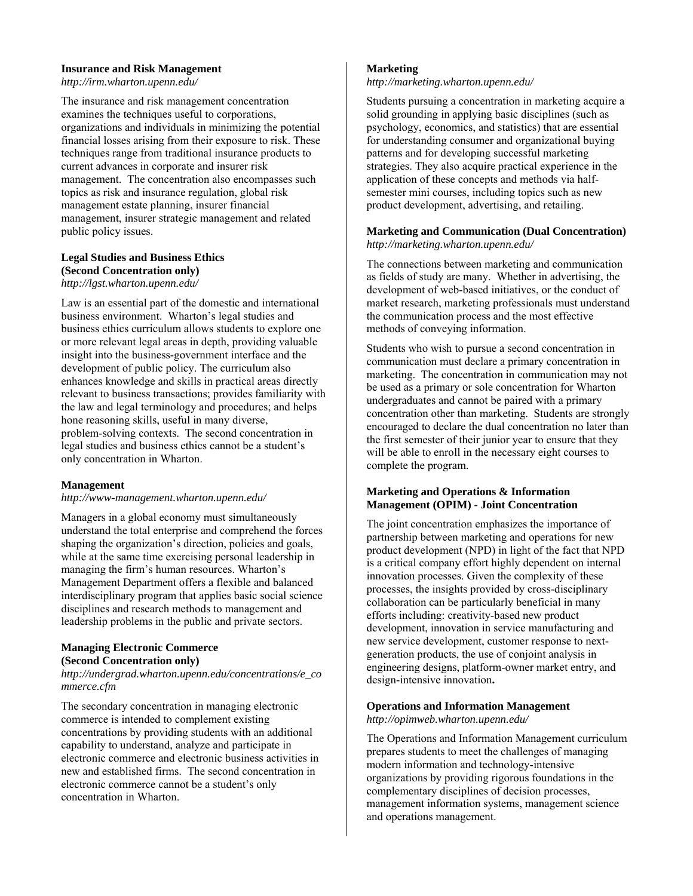#### **Insurance and Risk Management**

*http://irm.wharton.upenn.edu/*

The insurance and risk management concentration examines the techniques useful to corporations, organizations and individuals in minimizing the potential financial losses arising from their exposure to risk. These techniques range from traditional insurance products to current advances in corporate and insurer risk management. The concentration also encompasses such topics as risk and insurance regulation, global risk management estate planning, insurer financial management, insurer strategic management and related public policy issues.

#### **Legal Studies and Business Ethics (Second Concentration only)**  *http://lgst.wharton.upenn.edu/*

Law is an essential part of the domestic and international business environment. Wharton's legal studies and business ethics curriculum allows students to explore one or more relevant legal areas in depth, providing valuable insight into the business-government interface and the development of public policy. The curriculum also enhances knowledge and skills in practical areas directly relevant to business transactions; provides familiarity with the law and legal terminology and procedures; and helps hone reasoning skills, useful in many diverse, problem-solving contexts. The second concentration in legal studies and business ethics cannot be a student's only concentration in Wharton.

## **Management**

#### *http://www-management.wharton.upenn.edu/*

Managers in a global economy must simultaneously understand the total enterprise and comprehend the forces shaping the organization's direction, policies and goals, while at the same time exercising personal leadership in managing the firm's human resources. Wharton's Management Department offers a flexible and balanced interdisciplinary program that applies basic social science disciplines and research methods to management and leadership problems in the public and private sectors.

#### **Managing Electronic Commerce (Second Concentration only)**

*http://undergrad.wharton.upenn.edu/concentrations/e\_co mmerce.cfm*

The secondary concentration in managing electronic commerce is intended to complement existing concentrations by providing students with an additional capability to understand, analyze and participate in electronic commerce and electronic business activities in new and established firms. The second concentration in electronic commerce cannot be a student's only concentration in Wharton.

## **Marketing**

*http://marketing.wharton.upenn.edu/*

Students pursuing a concentration in marketing acquire a solid grounding in applying basic disciplines (such as psychology, economics, and statistics) that are essential for understanding consumer and organizational buying patterns and for developing successful marketing strategies. They also acquire practical experience in the application of these concepts and methods via halfsemester mini courses, including topics such as new product development, advertising, and retailing.

#### **Marketing and Communication (Dual Concentration)**  *http://marketing.wharton.upenn.edu/*

The connections between marketing and communication as fields of study are many. Whether in advertising, the development of web-based initiatives, or the conduct of market research, marketing professionals must understand the communication process and the most effective methods of conveying information.

Students who wish to pursue a second concentration in communication must declare a primary concentration in marketing. The concentration in communication may not be used as a primary or sole concentration for Wharton undergraduates and cannot be paired with a primary concentration other than marketing. Students are strongly encouraged to declare the dual concentration no later than the first semester of their junior year to ensure that they will be able to enroll in the necessary eight courses to complete the program.

## **Marketing and Operations & Information Management (OPIM) - Joint Concentration**

The joint concentration emphasizes the importance of partnership between marketing and operations for new product development (NPD) in light of the fact that NPD is a critical company effort highly dependent on internal innovation processes. Given the complexity of these processes, the insights provided by cross-disciplinary collaboration can be particularly beneficial in many efforts including: creativity-based new product development, innovation in service manufacturing and new service development, customer response to nextgeneration products, the use of conjoint analysis in engineering designs, platform-owner market entry, and design-intensive innovation**.** 

## **Operations and Information Management**

*http://opimweb.wharton.upenn.edu/*

The Operations and Information Management curriculum prepares students to meet the challenges of managing modern information and technology-intensive organizations by providing rigorous foundations in the complementary disciplines of decision processes, management information systems, management science and operations management.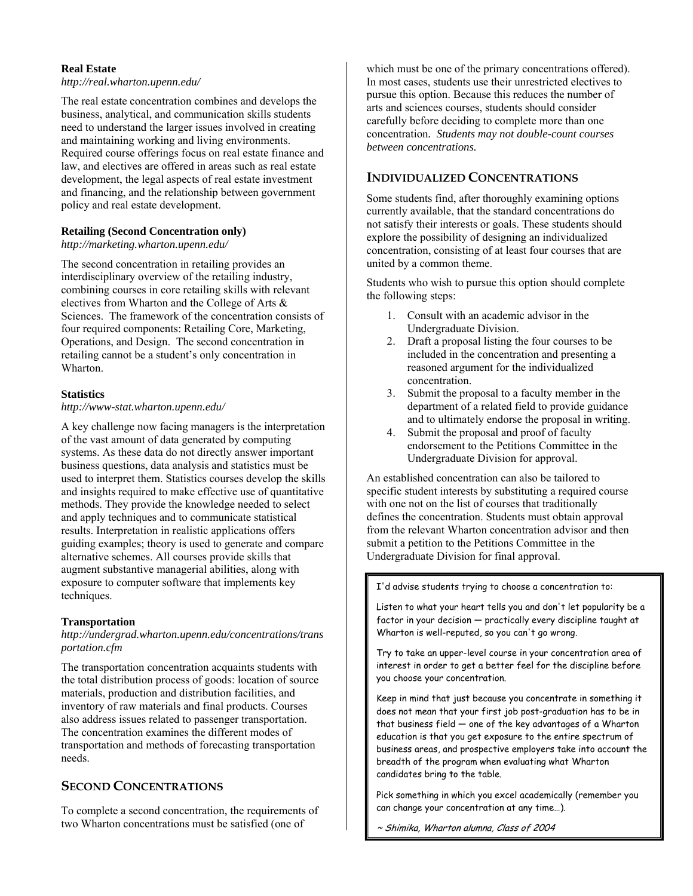#### **Real Estate**

*http://real.wharton.upenn.edu/* 

The real estate concentration combines and develops the business, analytical, and communication skills students need to understand the larger issues involved in creating and maintaining working and living environments. Required course offerings focus on real estate finance and law, and electives are offered in areas such as real estate development, the legal aspects of real estate investment and financing, and the relationship between government policy and real estate development.

## **Retailing (Second Concentration only)**

*http://marketing.wharton.upenn.edu/* 

The second concentration in retailing provides an interdisciplinary overview of the retailing industry, combining courses in core retailing skills with relevant electives from Wharton and the College of Arts & Sciences. The framework of the concentration consists of four required components: Retailing Core, Marketing, Operations, and Design. The second concentration in retailing cannot be a student's only concentration in Wharton.

#### **Statistics**

*http://www-stat.wharton.upenn.edu/*

A key challenge now facing managers is the interpretation of the vast amount of data generated by computing systems. As these data do not directly answer important business questions, data analysis and statistics must be used to interpret them. Statistics courses develop the skills and insights required to make effective use of quantitative methods. They provide the knowledge needed to select and apply techniques and to communicate statistical results. Interpretation in realistic applications offers guiding examples; theory is used to generate and compare alternative schemes. All courses provide skills that augment substantive managerial abilities, along with exposure to computer software that implements key techniques.

#### **Transportation**

#### *http://undergrad.wharton.upenn.edu/concentrations/trans portation.cfm*

The transportation concentration acquaints students with the total distribution process of goods: location of source materials, production and distribution facilities, and inventory of raw materials and final products. Courses also address issues related to passenger transportation. The concentration examines the different modes of transportation and methods of forecasting transportation needs.

## **SECOND CONCENTRATIONS**

To complete a second concentration, the requirements of two Wharton concentrations must be satisfied (one of

which must be one of the primary concentrations offered). In most cases, students use their unrestricted electives to pursue this option. Because this reduces the number of arts and sciences courses, students should consider carefully before deciding to complete more than one concentration*. Students may not double-count courses between concentrations.*

## **INDIVIDUALIZED CONCENTRATIONS**

Some students find, after thoroughly examining options currently available, that the standard concentrations do not satisfy their interests or goals. These students should explore the possibility of designing an individualized concentration, consisting of at least four courses that are united by a common theme.

Students who wish to pursue this option should complete the following steps:

- 1. Consult with an academic advisor in the Undergraduate Division.
- 2. Draft a proposal listing the four courses to be included in the concentration and presenting a reasoned argument for the individualized concentration.
- 3. Submit the proposal to a faculty member in the department of a related field to provide guidance and to ultimately endorse the proposal in writing.
- 4. Submit the proposal and proof of faculty endorsement to the Petitions Committee in the Undergraduate Division for approval.

An established concentration can also be tailored to specific student interests by substituting a required course with one not on the list of courses that traditionally defines the concentration. Students must obtain approval from the relevant Wharton concentration advisor and then submit a petition to the Petitions Committee in the Undergraduate Division for final approval.

I'd advise students trying to choose a concentration to:

Listen to what your heart tells you and don't let popularity be a factor in your decision — practically every discipline taught at Wharton is well-reputed, so you can't go wrong.

Try to take an upper-level course in your concentration area of interest in order to get a better feel for the discipline before you choose your concentration.

Keep in mind that just because you concentrate in something it does not mean that your first job post-graduation has to be in that business field — one of the key advantages of a Wharton education is that you get exposure to the entire spectrum of business areas, and prospective employers take into account the breadth of the program when evaluating what Wharton candidates bring to the table.

Pick something in which you excel academically (remember you can change your concentration at any time…).

~ Shimika, Wharton alumna, Class of 2004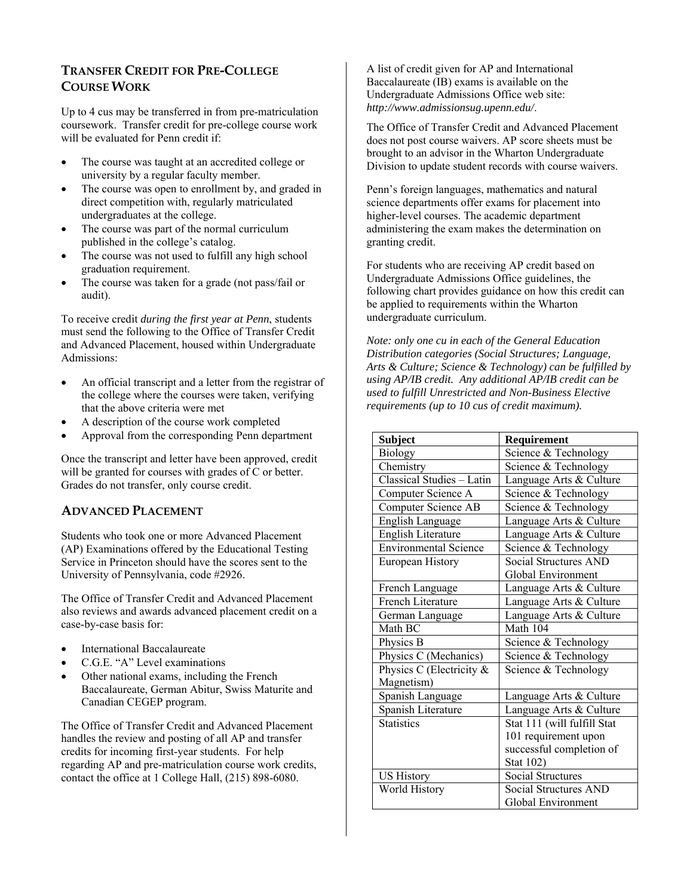## **TRANSFER CREDIT FOR PRE-COLLEGE COURSE WORK**

Up to 4 cus may be transferred in from pre-matriculation coursework. Transfer credit for pre-college course work will be evaluated for Penn credit if:

- The course was taught at an accredited college or university by a regular faculty member.
- The course was open to enrollment by, and graded in direct competition with, regularly matriculated undergraduates at the college.
- The course was part of the normal curriculum published in the college's catalog.
- The course was not used to fulfill any high school graduation requirement.
- The course was taken for a grade (not pass/fail or audit).

To receive credit *during the first year at Penn*, students must send the following to the Office of Transfer Credit and Advanced Placement, housed within Undergraduate Admissions:

- An official transcript and a letter from the registrar of the college where the courses were taken, verifying that the above criteria were met
- A description of the course work completed
- Approval from the corresponding Penn department

Once the transcript and letter have been approved, credit will be granted for courses with grades of C or better. Grades do not transfer, only course credit.

## **ADVANCED PLACEMENT**

Students who took one or more Advanced Placement (AP) Examinations offered by the Educational Testing Service in Princeton should have the scores sent to the University of Pennsylvania, code #2926.

The Office of Transfer Credit and Advanced Placement also reviews and awards advanced placement credit on a case-by-case basis for:

- International Baccalaureate
- C.G.E. "A" Level examinations
- Other national exams, including the French Baccalaureate, German Abitur, Swiss Maturite and Canadian CEGEP program.

The Office of Transfer Credit and Advanced Placement handles the review and posting of all AP and transfer credits for incoming first-year students. For help regarding AP and pre-matriculation course work credits, contact the office at 1 College Hall, (215) 898-6080.

A list of credit given for AP and International Baccalaureate (IB) exams is available on the Undergraduate Admissions Office web site: *http://www.admissionsug.upenn.edu/*.

The Office of Transfer Credit and Advanced Placement does not post course waivers. AP score sheets must be brought to an advisor in the Wharton Undergraduate Division to update student records with course waivers.

Penn's foreign languages, mathematics and natural science departments offer exams for placement into higher-level courses. The academic department administering the exam makes the determination on granting credit.

For students who are receiving AP credit based on Undergraduate Admissions Office guidelines, the following chart provides guidance on how this credit can be applied to requirements within the Wharton undergraduate curriculum.

*Note: only one cu in each of the General Education Distribution categories (Social Structures; Language, Arts & Culture; Science & Technology) can be fulfilled by using AP/IB credit. Any additional AP/IB credit can be used to fulfill Unrestricted and Non-Business Elective requirements (up to 10 cus of credit maximum).*

| <b>Subject</b>               | Requirement                  |
|------------------------------|------------------------------|
| <b>Biology</b>               | Science & Technology         |
| Chemistry                    | Science & Technology         |
| Classical Studies - Latin    | Language Arts & Culture      |
| Computer Science A           | Science & Technology         |
| <b>Computer Science AB</b>   | Science & Technology         |
| English Language             | Language Arts & Culture      |
| English Literature           | Language Arts & Culture      |
| <b>Environmental Science</b> | Science & Technology         |
| European History             | <b>Social Structures AND</b> |
|                              | Global Environment           |
| French Language              | Language Arts & Culture      |
| <b>French Literature</b>     | Language Arts & Culture      |
| German Language              | Language Arts & Culture      |
| Math BC                      | Math 104                     |
| Physics B                    | Science & Technology         |
| Physics C (Mechanics)        | Science & Technology         |
| Physics C (Electricity &     | Science & Technology         |
| Magnetism)                   |                              |
| Spanish Language             | Language Arts & Culture      |
| Spanish Literature           | Language Arts & Culture      |
| <b>Statistics</b>            | Stat 111 (will fulfill Stat  |
|                              | 101 requirement upon         |
|                              | successful completion of     |
|                              | Stat 102)                    |
| <b>US History</b>            | <b>Social Structures</b>     |
| World History                | <b>Social Structures AND</b> |
|                              | Global Environment           |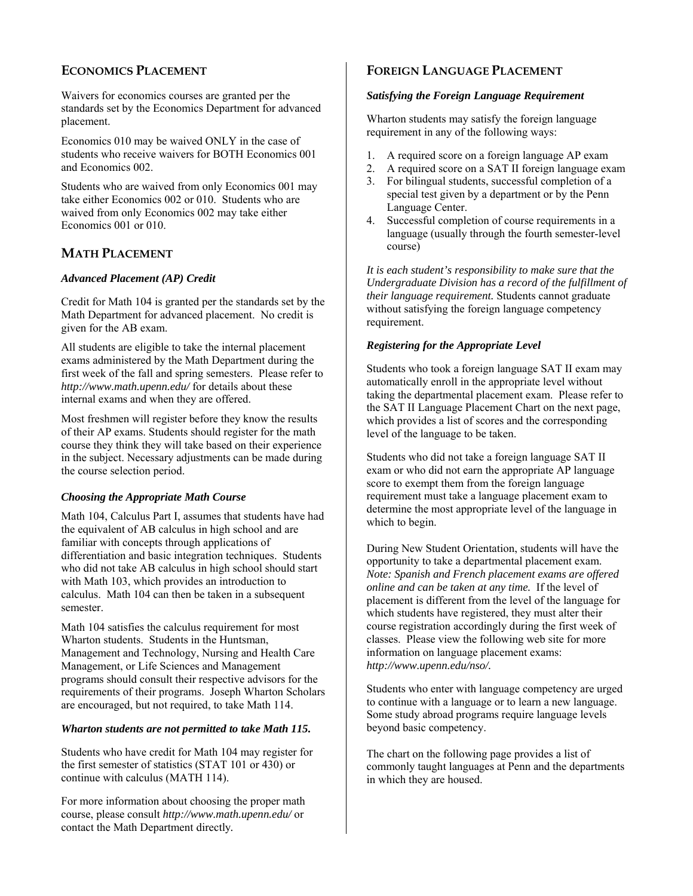## **ECONOMICS PLACEMENT**

Waivers for economics courses are granted per the standards set by the Economics Department for advanced placement.

Economics 010 may be waived ONLY in the case of students who receive waivers for BOTH Economics 001 and Economics 002.

Students who are waived from only Economics 001 may take either Economics 002 or 010. Students who are waived from only Economics 002 may take either Economics 001 or 010.

## **MATH PLACEMENT**

## *Advanced Placement (AP) Credit*

Credit for Math 104 is granted per the standards set by the Math Department for advanced placement. No credit is given for the AB exam.

All students are eligible to take the internal placement exams administered by the Math Department during the first week of the fall and spring semesters. Please refer to *http://www.math.upenn.edu/* for details about these internal exams and when they are offered.

Most freshmen will register before they know the results of their AP exams. Students should register for the math course they think they will take based on their experience in the subject. Necessary adjustments can be made during the course selection period.

## *Choosing the Appropriate Math Course*

Math 104, Calculus Part I, assumes that students have had the equivalent of AB calculus in high school and are familiar with concepts through applications of differentiation and basic integration techniques. Students who did not take AB calculus in high school should start with Math 103, which provides an introduction to calculus. Math 104 can then be taken in a subsequent semester.

Math 104 satisfies the calculus requirement for most Wharton students. Students in the Huntsman, Management and Technology, Nursing and Health Care Management, or Life Sciences and Management programs should consult their respective advisors for the requirements of their programs. Joseph Wharton Scholars are encouraged, but not required, to take Math 114.

## *Wharton students are not permitted to take Math 115.*

Students who have credit for Math 104 may register for the first semester of statistics (STAT 101 or 430) or continue with calculus (MATH 114).

For more information about choosing the proper math course, please consult *http://www.math.upenn.edu/* or contact the Math Department directly*.* 

## **FOREIGN LANGUAGE PLACEMENT**

## *Satisfying the Foreign Language Requirement*

Wharton students may satisfy the foreign language requirement in any of the following ways:

- 1. A required score on a foreign language AP exam
- 2. A required score on a SAT II foreign language exam
- 3. For bilingual students, successful completion of a special test given by a department or by the Penn Language Center.
- 4. Successful completion of course requirements in a language (usually through the fourth semester-level course)

*It is each student's responsibility to make sure that the Undergraduate Division has a record of the fulfillment of their language requirement.* Students cannot graduate without satisfying the foreign language competency requirement.

## *Registering for the Appropriate Level*

Students who took a foreign language SAT II exam may automatically enroll in the appropriate level without taking the departmental placement exam. Please refer to the SAT II Language Placement Chart on the next page, which provides a list of scores and the corresponding level of the language to be taken.

Students who did not take a foreign language SAT II exam or who did not earn the appropriate AP language score to exempt them from the foreign language requirement must take a language placement exam to determine the most appropriate level of the language in which to begin.

During New Student Orientation, students will have the opportunity to take a departmental placement exam. *Note: Spanish and French placement exams are offered online and can be taken at any time.* If the level of placement is different from the level of the language for which students have registered, they must alter their course registration accordingly during the first week of classes. Please view the following web site for more information on language placement exams: *http://www.upenn.edu/nso/.* 

Students who enter with language competency are urged to continue with a language or to learn a new language. Some study abroad programs require language levels beyond basic competency.

The chart on the following page provides a list of commonly taught languages at Penn and the departments in which they are housed.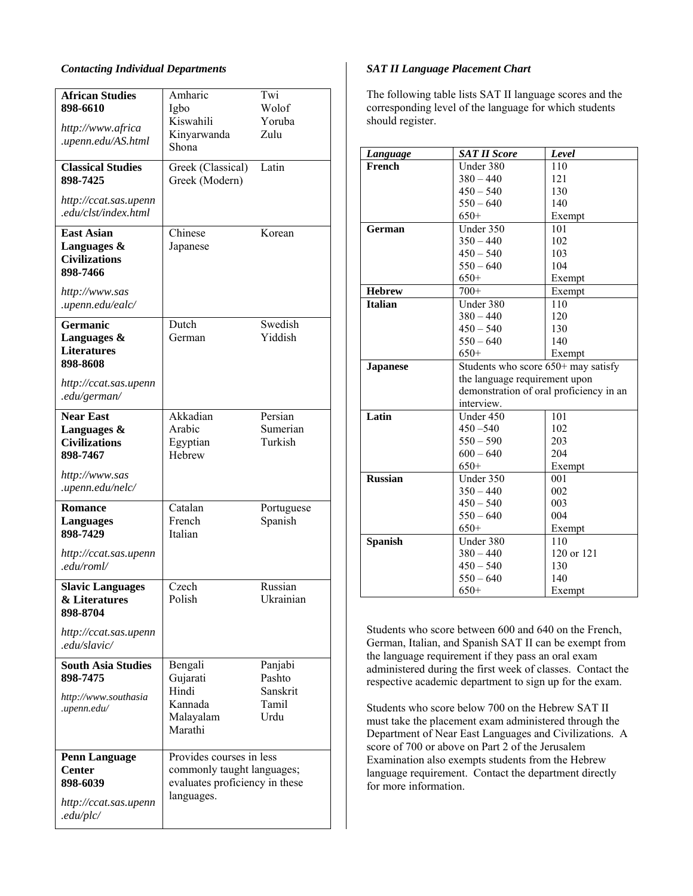#### *Contacting Individual Departments*

| <b>African Studies</b><br>898-6610                                   | Amharic<br>Igbo                              | Twi<br>Wolof         |
|----------------------------------------------------------------------|----------------------------------------------|----------------------|
|                                                                      | Kiswahili                                    | Yoruba               |
| http://www.africa<br>.upenn.edu/AS.html                              | Kinyarwanda<br>Shona                         | Zulu                 |
| <b>Classical Studies</b><br>898-7425                                 | Greek (Classical)<br>Greek (Modern)          | Latin                |
| http://ccat.sas.upenn<br>.edu/clst/index.html                        |                                              |                      |
| <b>East Asian</b><br>Languages &<br><b>Civilizations</b><br>898-7466 | Chinese<br>Japanese                          | Korean               |
| http://www.sas<br>.upenn.edu/ealc/                                   |                                              |                      |
| <b>Germanic</b>                                                      | Dutch                                        | Swedish              |
| Languages $\&$<br><b>Literatures</b><br>898-8608                     | German                                       | Yiddish              |
| http://ccat.sas.upenn<br>.edu/german/                                |                                              |                      |
| <b>Near East</b>                                                     | Akkadian                                     | Persian              |
| Languages &<br><b>Civilizations</b>                                  | Arabic<br>Egyptian                           | Sumerian<br>Turkish  |
| 898-7467                                                             | Hebrew                                       |                      |
| http://www.sas<br>.upenn.edu/nelc/                                   |                                              |                      |
| <b>Romance</b>                                                       | Catalan                                      | Portuguese           |
| Languages<br>898-7429                                                | French<br>Italian                            | Spanish              |
| http://ccat.sas.upenn<br>.edu/roml/                                  |                                              |                      |
| <b>Slavic Languages</b><br>& Literatures<br>898-8704                 | Czech<br>Polish                              | Russian<br>Ukrainian |
| http://ccat.sas.upenn<br>.edu/slavic/                                |                                              |                      |
| <b>South Asia Studies</b>                                            | Bengali                                      | Panjabi              |
| 898-7475                                                             | Gujarati<br>Hindi                            | Pashto<br>Sanskrit   |
| http://www.southasia                                                 | Kannada                                      | Tamil                |
| .upenn.edu/                                                          | Malayalam<br>Marathi                         | Urdu                 |
| <b>Penn Language</b>                                                 | Provides courses in less                     |                      |
| <b>Center</b>                                                        | commonly taught languages;                   |                      |
| 898-6039<br>http://ccat.sas.upenn                                    | evaluates proficiency in these<br>languages. |                      |
| .edu/plc/                                                            |                                              |                      |

#### *SAT II Language Placement Chart*

The following table lists SAT II language scores and the corresponding level of the language for which students should register.

| Language        | <b>SAT II Score</b>                     | Level      |  |
|-----------------|-----------------------------------------|------------|--|
| French          | Under 380                               | 110        |  |
|                 | $380 - 440$                             | 121        |  |
|                 | $450 - 540$                             | 130        |  |
|                 | $550 - 640$                             | 140        |  |
|                 | $650+$                                  | Exempt     |  |
| German          | Under 350                               | 101        |  |
|                 | $350 - 440$                             | 102        |  |
|                 | $450 - 540$                             | 103        |  |
|                 | $550 - 640$                             | 104        |  |
|                 | $650+$                                  | Exempt     |  |
| <b>Hebrew</b>   | $700+$                                  | Exempt     |  |
| <b>Italian</b>  | Under 380                               | 110        |  |
|                 | $380 - 440$                             | 120        |  |
|                 | $450 - 540$                             | 130        |  |
|                 | $550 - 640$                             | 140        |  |
|                 | $650+$                                  | Exempt     |  |
| <b>Japanese</b> | Students who score 650+ may satisfy     |            |  |
|                 | the language requirement upon           |            |  |
|                 | demonstration of oral proficiency in an |            |  |
|                 | interview.                              |            |  |
| Latin           | Under 450                               | 101        |  |
|                 | $450 - 540$                             | 102        |  |
|                 | $550 - 590$                             | 203        |  |
|                 | $600 - 640$                             | 204        |  |
|                 | $650+$                                  | Exempt     |  |
| <b>Russian</b>  | Under 350                               | 001        |  |
|                 | $350 - 440$                             | 002        |  |
|                 | $450 - 540$                             | 003        |  |
|                 | $550 - 640$                             | 004        |  |
|                 | $650+$                                  | Exempt     |  |
| <b>Spanish</b>  | Under 380                               | 110        |  |
|                 | $380 - 440$                             | 120 or 121 |  |
|                 | $450 - 540$                             | 130        |  |
|                 | $550 - 640$                             | 140        |  |
|                 | $650+$                                  | Exempt     |  |

Students who score between 600 and 640 on the French, German, Italian, and Spanish SAT II can be exempt from the language requirement if they pass an oral exam administered during the first week of classes. Contact the respective academic department to sign up for the exam.

Students who score below 700 on the Hebrew SAT II must take the placement exam administered through the Department of Near East Languages and Civilizations. A score of 700 or above on Part 2 of the Jerusalem Examination also exempts students from the Hebrew language requirement. Contact the department directly for more information.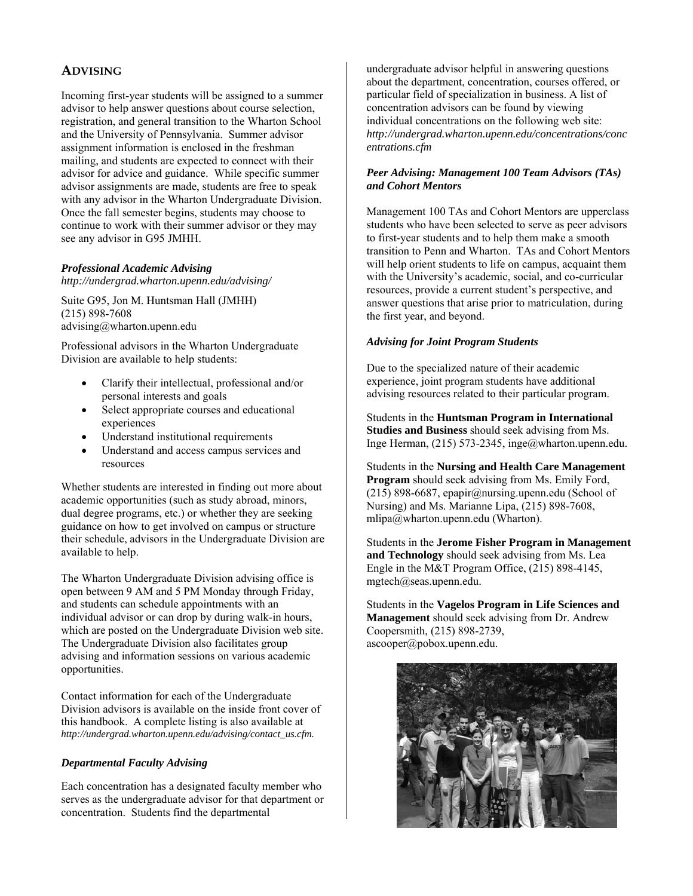## **ADVISING**

Incoming first-year students will be assigned to a summer advisor to help answer questions about course selection, registration, and general transition to the Wharton School and the University of Pennsylvania. Summer advisor assignment information is enclosed in the freshman mailing, and students are expected to connect with their advisor for advice and guidance. While specific summer advisor assignments are made, students are free to speak with any advisor in the Wharton Undergraduate Division. Once the fall semester begins, students may choose to continue to work with their summer advisor or they may see any advisor in G95 JMHH.

#### *Professional Academic Advising*

*http://undergrad.wharton.upenn.edu/advising/* 

Suite G95, Jon M. Huntsman Hall (JMHH) (215) 898-7608 advising@wharton.upenn.edu

Professional advisors in the Wharton Undergraduate Division are available to help students:

- Clarify their intellectual, professional and/or personal interests and goals
- Select appropriate courses and educational experiences
- Understand institutional requirements
- Understand and access campus services and resources

Whether students are interested in finding out more about academic opportunities (such as study abroad, minors, dual degree programs, etc.) or whether they are seeking guidance on how to get involved on campus or structure their schedule, advisors in the Undergraduate Division are available to help.

The Wharton Undergraduate Division advising office is open between 9 AM and 5 PM Monday through Friday, and students can schedule appointments with an individual advisor or can drop by during walk-in hours, which are posted on the Undergraduate Division web site. The Undergraduate Division also facilitates group advising and information sessions on various academic opportunities.

Contact information for each of the Undergraduate Division advisors is available on the inside front cover of this handbook. A complete listing is also available at *http://undergrad.wharton.upenn.edu/advising/contact\_us.cfm.*

## *Departmental Faculty Advising*

Each concentration has a designated faculty member who serves as the undergraduate advisor for that department or concentration. Students find the departmental

undergraduate advisor helpful in answering questions about the department, concentration, courses offered, or particular field of specialization in business. A list of concentration advisors can be found by viewing individual concentrations on the following web site: *http://undergrad.wharton.upenn.edu/concentrations/conc entrations.cfm* 

#### *Peer Advising: Management 100 Team Advisors (TAs) and Cohort Mentors*

Management 100 TAs and Cohort Mentors are upperclass students who have been selected to serve as peer advisors to first-year students and to help them make a smooth transition to Penn and Wharton. TAs and Cohort Mentors will help orient students to life on campus, acquaint them with the University's academic, social, and co-curricular resources, provide a current student's perspective, and answer questions that arise prior to matriculation, during the first year, and beyond.

#### *Advising for Joint Program Students*

Due to the specialized nature of their academic experience, joint program students have additional advising resources related to their particular program.

Students in the **Huntsman Program in International Studies and Business** should seek advising from Ms. Inge Herman, (215) 573-2345, inge@wharton.upenn.edu.

Students in the **Nursing and Health Care Management Program** should seek advising from Ms. Emily Ford, (215) 898-6687, epapir@nursing.upenn.edu (School of Nursing) and Ms. Marianne Lipa, (215) 898-7608, mlipa@wharton.upenn.edu (Wharton).

Students in the **Jerome Fisher Program in Management and Technology** should seek advising from Ms. Lea Engle in the M&T Program Office, (215) 898-4145, mgtech@seas.upenn.edu.

Students in the **Vagelos Program in Life Sciences and Management** should seek advising from Dr. Andrew Coopersmith, (215) 898-2739, ascooper@pobox.upenn.edu.

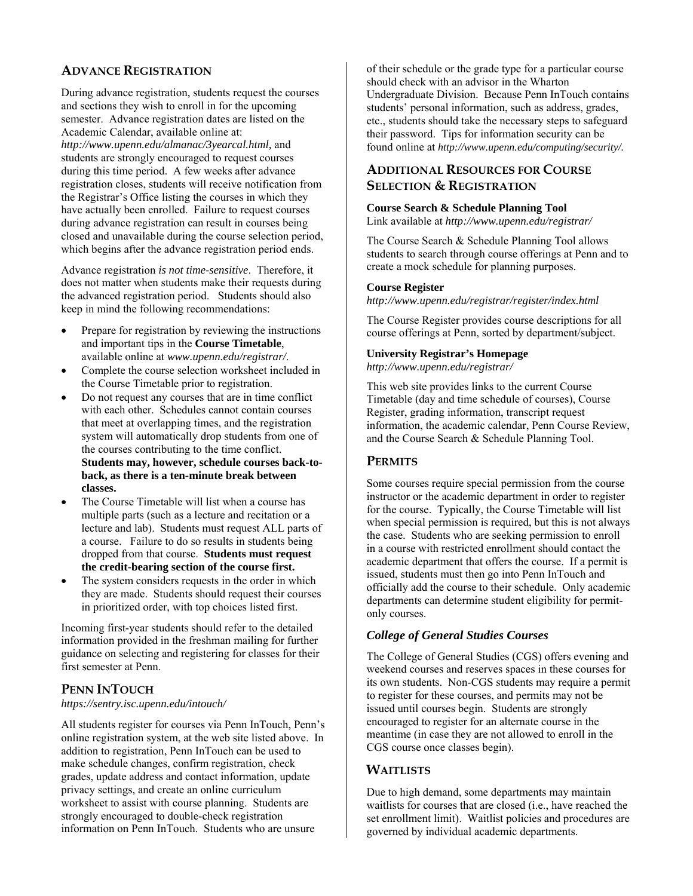## **ADVANCE REGISTRATION**

During advance registration, students request the courses and sections they wish to enroll in for the upcoming semester. Advance registration dates are listed on the Academic Calendar, available online at: *http://www.upenn.edu/almanac/3yearcal.html,* and students are strongly encouraged to request courses during this time period. A few weeks after advance registration closes, students will receive notification from the Registrar's Office listing the courses in which they have actually been enrolled. Failure to request courses during advance registration can result in courses being closed and unavailable during the course selection period, which begins after the advance registration period ends.

Advance registration *is not time-sensitive*. Therefore, it does not matter when students make their requests during the advanced registration period. Students should also keep in mind the following recommendations:

- Prepare for registration by reviewing the instructions and important tips in the **Course Timetable**, available online at *www.upenn.edu/registrar/*.
- Complete the course selection worksheet included in the Course Timetable prior to registration.
- Do not request any courses that are in time conflict with each other. Schedules cannot contain courses that meet at overlapping times, and the registration system will automatically drop students from one of the courses contributing to the time conflict. **Students may, however, schedule courses back-toback, as there is a ten-minute break between classes.**
- The Course Timetable will list when a course has multiple parts (such as a lecture and recitation or a lecture and lab). Students must request ALL parts of a course. Failure to do so results in students being dropped from that course. **Students must request the credit-bearing section of the course first.**
- The system considers requests in the order in which they are made. Students should request their courses in prioritized order, with top choices listed first.

Incoming first-year students should refer to the detailed information provided in the freshman mailing for further guidance on selecting and registering for classes for their first semester at Penn.

## **PENN INTOUCH**

*https://sentry.isc.upenn.edu/intouch/*

All students register for courses via Penn InTouch, Penn's online registration system, at the web site listed above. In addition to registration, Penn InTouch can be used to make schedule changes, confirm registration, check grades, update address and contact information, update privacy settings, and create an online curriculum worksheet to assist with course planning. Students are strongly encouraged to double-check registration information on Penn InTouch. Students who are unsure

of their schedule or the grade type for a particular course should check with an advisor in the Wharton Undergraduate Division. Because Penn InTouch contains students' personal information, such as address, grades, etc., students should take the necessary steps to safeguard their password. Tips for information security can be found online at *http://www.upenn.edu/computing/security/.*

## **ADDITIONAL RESOURCES FOR COURSE SELECTION & REGISTRATION**

#### **Course Search & Schedule Planning Tool**

Link available at *http://www.upenn.edu/registrar/*

The Course Search & Schedule Planning Tool allows students to search through course offerings at Penn and to create a mock schedule for planning purposes.

#### **Course Register**

*http://www.upenn.edu/registrar/register/index.html* 

The Course Register provides course descriptions for all course offerings at Penn, sorted by department/subject.

## **University Registrar's Homepage**

*http://www.upenn.edu/registrar/*

This web site provides links to the current Course Timetable (day and time schedule of courses), Course Register, grading information, transcript request information, the academic calendar, Penn Course Review, and the Course Search & Schedule Planning Tool.

## **PERMITS**

Some courses require special permission from the course instructor or the academic department in order to register for the course. Typically, the Course Timetable will list when special permission is required, but this is not always the case. Students who are seeking permission to enroll in a course with restricted enrollment should contact the academic department that offers the course. If a permit is issued, students must then go into Penn InTouch and officially add the course to their schedule. Only academic departments can determine student eligibility for permitonly courses.

## *College of General Studies Courses*

The College of General Studies (CGS) offers evening and weekend courses and reserves spaces in these courses for its own students. Non-CGS students may require a permit to register for these courses, and permits may not be issued until courses begin. Students are strongly encouraged to register for an alternate course in the meantime (in case they are not allowed to enroll in the CGS course once classes begin).

## **WAITLISTS**

Due to high demand, some departments may maintain waitlists for courses that are closed (i.e., have reached the set enrollment limit). Waitlist policies and procedures are governed by individual academic departments.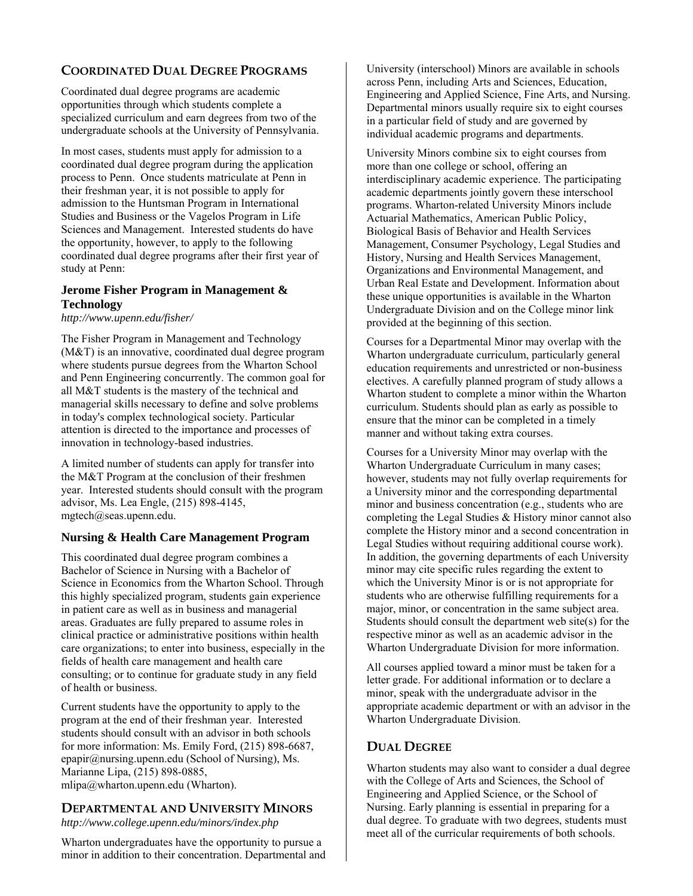## **COORDINATED DUAL DEGREE PROGRAMS**

Coordinated dual degree programs are academic opportunities through which students complete a specialized curriculum and earn degrees from two of the undergraduate schools at the University of Pennsylvania.

In most cases, students must apply for admission to a coordinated dual degree program during the application process to Penn. Once students matriculate at Penn in their freshman year, it is not possible to apply for admission to the Huntsman Program in International Studies and Business or the Vagelos Program in Life Sciences and Management. Interested students do have the opportunity, however, to apply to the following coordinated dual degree programs after their first year of study at Penn:

## **Jerome Fisher Program in Management & Technology**

*http://www.upenn.edu/fisher/* 

The Fisher Program in Management and Technology (M&T) is an innovative, coordinated dual degree program where students pursue degrees from the Wharton School and Penn Engineering concurrently. The common goal for all M&T students is the mastery of the technical and managerial skills necessary to define and solve problems in today's complex technological society. Particular attention is directed to the importance and processes of innovation in technology-based industries.

A limited number of students can apply for transfer into the M&T Program at the conclusion of their freshmen year. Interested students should consult with the program advisor, Ms. Lea Engle, (215) 898-4145, mgtech@seas.upenn.edu.

## **Nursing & Health Care Management Program**

This coordinated dual degree program combines a Bachelor of Science in Nursing with a Bachelor of Science in Economics from the Wharton School. Through this highly specialized program, students gain experience in patient care as well as in business and managerial areas. Graduates are fully prepared to assume roles in clinical practice or administrative positions within health care organizations; to enter into business, especially in the fields of health care management and health care consulting; or to continue for graduate study in any field of health or business.

Current students have the opportunity to apply to the program at the end of their freshman year. Interested students should consult with an advisor in both schools for more information: Ms. Emily Ford, (215) 898-6687, epapir@nursing.upenn.edu (School of Nursing), Ms. Marianne Lipa, (215) 898-0885, mlipa@wharton.upenn.edu (Wharton).

## **DEPARTMENTAL AND UNIVERSITY MINORS**

*http://www.college.upenn.edu/minors/index.php* 

Wharton undergraduates have the opportunity to pursue a minor in addition to their concentration. Departmental and University (interschool) Minors are available in schools across Penn, including Arts and Sciences, Education, Engineering and Applied Science, Fine Arts, and Nursing. Departmental minors usually require six to eight courses in a particular field of study and are governed by individual academic programs and departments.

University Minors combine six to eight courses from more than one college or school, offering an interdisciplinary academic experience. The participating academic departments jointly govern these interschool programs. Wharton-related University Minors include Actuarial Mathematics, American Public Policy, Biological Basis of Behavior and Health Services Management, Consumer Psychology, Legal Studies and History, Nursing and Health Services Management, Organizations and Environmental Management, and Urban Real Estate and Development. Information about these unique opportunities is available in the Wharton Undergraduate Division and on the College minor link provided at the beginning of this section.

Courses for a Departmental Minor may overlap with the Wharton undergraduate curriculum, particularly general education requirements and unrestricted or non-business electives. A carefully planned program of study allows a Wharton student to complete a minor within the Wharton curriculum. Students should plan as early as possible to ensure that the minor can be completed in a timely manner and without taking extra courses.

Courses for a University Minor may overlap with the Wharton Undergraduate Curriculum in many cases; however, students may not fully overlap requirements for a University minor and the corresponding departmental minor and business concentration (e.g., students who are completing the Legal Studies & History minor cannot also complete the History minor and a second concentration in Legal Studies without requiring additional course work). In addition, the governing departments of each University minor may cite specific rules regarding the extent to which the University Minor is or is not appropriate for students who are otherwise fulfilling requirements for a major, minor, or concentration in the same subject area. Students should consult the department web site(s) for the respective minor as well as an academic advisor in the Wharton Undergraduate Division for more information.

All courses applied toward a minor must be taken for a letter grade. For additional information or to declare a minor, speak with the undergraduate advisor in the appropriate academic department or with an advisor in the Wharton Undergraduate Division.

## **DUAL DEGREE**

Wharton students may also want to consider a dual degree with the College of Arts and Sciences, the School of Engineering and Applied Science, or the School of Nursing. Early planning is essential in preparing for a dual degree. To graduate with two degrees, students must meet all of the curricular requirements of both schools.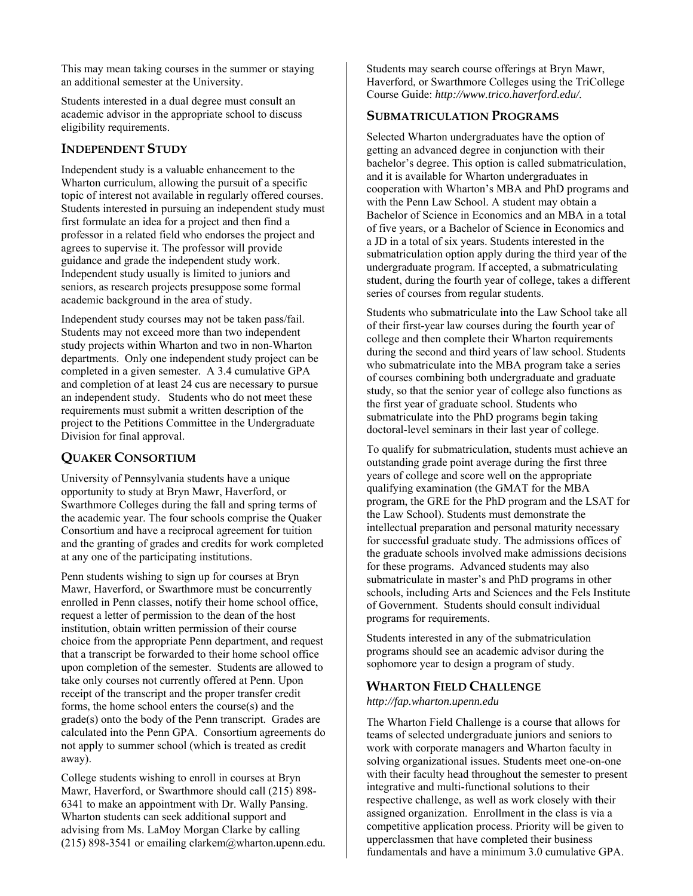This may mean taking courses in the summer or staying an additional semester at the University.

Students interested in a dual degree must consult an academic advisor in the appropriate school to discuss eligibility requirements.

## **INDEPENDENT STUDY**

Independent study is a valuable enhancement to the Wharton curriculum, allowing the pursuit of a specific topic of interest not available in regularly offered courses. Students interested in pursuing an independent study must first formulate an idea for a project and then find a professor in a related field who endorses the project and agrees to supervise it. The professor will provide guidance and grade the independent study work. Independent study usually is limited to juniors and seniors, as research projects presuppose some formal academic background in the area of study.

Independent study courses may not be taken pass/fail. Students may not exceed more than two independent study projects within Wharton and two in non-Wharton departments. Only one independent study project can be completed in a given semester. A 3.4 cumulative GPA and completion of at least 24 cus are necessary to pursue an independent study. Students who do not meet these requirements must submit a written description of the project to the Petitions Committee in the Undergraduate Division for final approval.

## **QUAKER CONSORTIUM**

University of Pennsylvania students have a unique opportunity to study at Bryn Mawr, Haverford, or Swarthmore Colleges during the fall and spring terms of the academic year. The four schools comprise the Quaker Consortium and have a reciprocal agreement for tuition and the granting of grades and credits for work completed at any one of the participating institutions.

Penn students wishing to sign up for courses at Bryn Mawr, Haverford, or Swarthmore must be concurrently enrolled in Penn classes, notify their home school office, request a letter of permission to the dean of the host institution, obtain written permission of their course choice from the appropriate Penn department, and request that a transcript be forwarded to their home school office upon completion of the semester. Students are allowed to take only courses not currently offered at Penn. Upon receipt of the transcript and the proper transfer credit forms, the home school enters the course(s) and the grade(s) onto the body of the Penn transcript. Grades are calculated into the Penn GPA. Consortium agreements do not apply to summer school (which is treated as credit away).

College students wishing to enroll in courses at Bryn Mawr, Haverford, or Swarthmore should call (215) 898- 6341 to make an appointment with Dr. Wally Pansing. Wharton students can seek additional support and advising from Ms. LaMoy Morgan Clarke by calling (215) 898-3541 or emailing clarkem@wharton.upenn.edu*.*

Students may search course offerings at Bryn Mawr, Haverford, or Swarthmore Colleges using the TriCollege Course Guide: *http://www.trico.haverford.edu/.*

## **SUBMATRICULATION PROGRAMS**

Selected Wharton undergraduates have the option of getting an advanced degree in conjunction with their bachelor's degree. This option is called submatriculation, and it is available for Wharton undergraduates in cooperation with Wharton's MBA and PhD programs and with the Penn Law School. A student may obtain a Bachelor of Science in Economics and an MBA in a total of five years, or a Bachelor of Science in Economics and a JD in a total of six years. Students interested in the submatriculation option apply during the third year of the undergraduate program. If accepted, a submatriculating student, during the fourth year of college, takes a different series of courses from regular students.

Students who submatriculate into the Law School take all of their first-year law courses during the fourth year of college and then complete their Wharton requirements during the second and third years of law school. Students who submatriculate into the MBA program take a series of courses combining both undergraduate and graduate study, so that the senior year of college also functions as the first year of graduate school. Students who submatriculate into the PhD programs begin taking doctoral-level seminars in their last year of college.

To qualify for submatriculation, students must achieve an outstanding grade point average during the first three years of college and score well on the appropriate qualifying examination (the GMAT for the MBA program, the GRE for the PhD program and the LSAT for the Law School). Students must demonstrate the intellectual preparation and personal maturity necessary for successful graduate study. The admissions offices of the graduate schools involved make admissions decisions for these programs. Advanced students may also submatriculate in master's and PhD programs in other schools, including Arts and Sciences and the Fels Institute of Government. Students should consult individual programs for requirements.

Students interested in any of the submatriculation programs should see an academic advisor during the sophomore year to design a program of study.

## **WHARTON FIELD CHALLENGE**

*http://fap.wharton.upenn.edu* 

The Wharton Field Challenge is a course that allows for teams of selected undergraduate juniors and seniors to work with corporate managers and Wharton faculty in solving organizational issues. Students meet one-on-one with their faculty head throughout the semester to present integrative and multi-functional solutions to their respective challenge, as well as work closely with their assigned organization. Enrollment in the class is via a competitive application process. Priority will be given to upperclassmen that have completed their business fundamentals and have a minimum 3.0 cumulative GPA.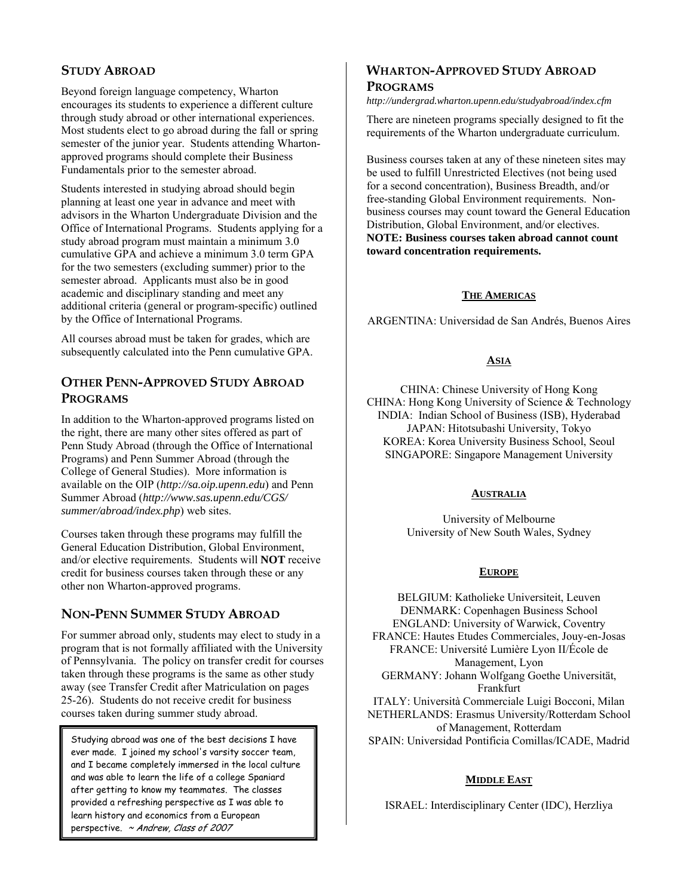## **STUDY ABROAD**

Beyond foreign language competency, Wharton encourages its students to experience a different culture through study abroad or other international experiences. Most students elect to go abroad during the fall or spring semester of the junior year. Students attending Whartonapproved programs should complete their Business Fundamentals prior to the semester abroad.

Students interested in studying abroad should begin planning at least one year in advance and meet with advisors in the Wharton Undergraduate Division and the Office of International Programs. Students applying for a study abroad program must maintain a minimum 3.0 cumulative GPA and achieve a minimum 3.0 term GPA for the two semesters (excluding summer) prior to the semester abroad. Applicants must also be in good academic and disciplinary standing and meet any additional criteria (general or program-specific) outlined by the Office of International Programs.

All courses abroad must be taken for grades, which are subsequently calculated into the Penn cumulative GPA.

## **OTHER PENN-APPROVED STUDY ABROAD PROGRAMS**

In addition to the Wharton-approved programs listed on the right, there are many other sites offered as part of Penn Study Abroad (through the Office of International Programs) and Penn Summer Abroad (through the College of General Studies). More information is available on the OIP (*http://sa.oip.upenn.edu*) and Penn Summer Abroad (*http://www.sas.upenn.edu/CGS/ summer/abroad/index.php*) web sites.

Courses taken through these programs may fulfill the General Education Distribution, Global Environment, and/or elective requirements. Students will **NOT** receive credit for business courses taken through these or any other non Wharton-approved programs.

## **NON-PENN SUMMER STUDY ABROAD**

For summer abroad only, students may elect to study in a program that is not formally affiliated with the University of Pennsylvania. The policy on transfer credit for courses taken through these programs is the same as other study away (see Transfer Credit after Matriculation on pages 25-26). Students do not receive credit for business courses taken during summer study abroad.

Studying abroad was one of the best decisions I have ever made. I joined my school's varsity soccer team, and I became completely immersed in the local culture and was able to learn the life of a college Spaniard after getting to know my teammates. The classes provided a refreshing perspective as I was able to learn history and economics from a European perspective. ~ Andrew, Class of 2007

## **WHARTON-APPROVED STUDY ABROAD**

## **PROGRAMS**

*http://undergrad.wharton.upenn.edu/studyabroad/index.cfm* 

There are nineteen programs specially designed to fit the requirements of the Wharton undergraduate curriculum.

Business courses taken at any of these nineteen sites may be used to fulfill Unrestricted Electives (not being used for a second concentration), Business Breadth, and/or free-standing Global Environment requirements. Nonbusiness courses may count toward the General Education Distribution, Global Environment, and/or electives. **NOTE: Business courses taken abroad cannot count toward concentration requirements.** 

## **THE AMERICAS**

ARGENTINA: Universidad de San Andrés, Buenos Aires

## **ASIA**

CHINA: Chinese University of Hong Kong CHINA: Hong Kong University of Science & Technology INDIA: Indian School of Business (ISB), Hyderabad JAPAN: Hitotsubashi University, Tokyo KOREA: Korea University Business School, Seoul SINGAPORE: Singapore Management University

#### **AUSTRALIA**

University of Melbourne University of New South Wales, Sydney

#### **EUROPE**

BELGIUM: Katholieke Universiteit, Leuven DENMARK: Copenhagen Business School ENGLAND: University of Warwick, Coventry FRANCE: Hautes Etudes Commerciales, Jouy-en-Josas FRANCE: Université Lumière Lyon II/École de Management, Lyon GERMANY: Johann Wolfgang Goethe Universität, Frankfurt ITALY: Università Commerciale Luigi Bocconi, Milan NETHERLANDS: Erasmus University/Rotterdam School of Management, Rotterdam

SPAIN: Universidad Pontificia Comillas/ICADE, Madrid

## **MIDDLE EAST**

ISRAEL: Interdisciplinary Center (IDC), Herzliya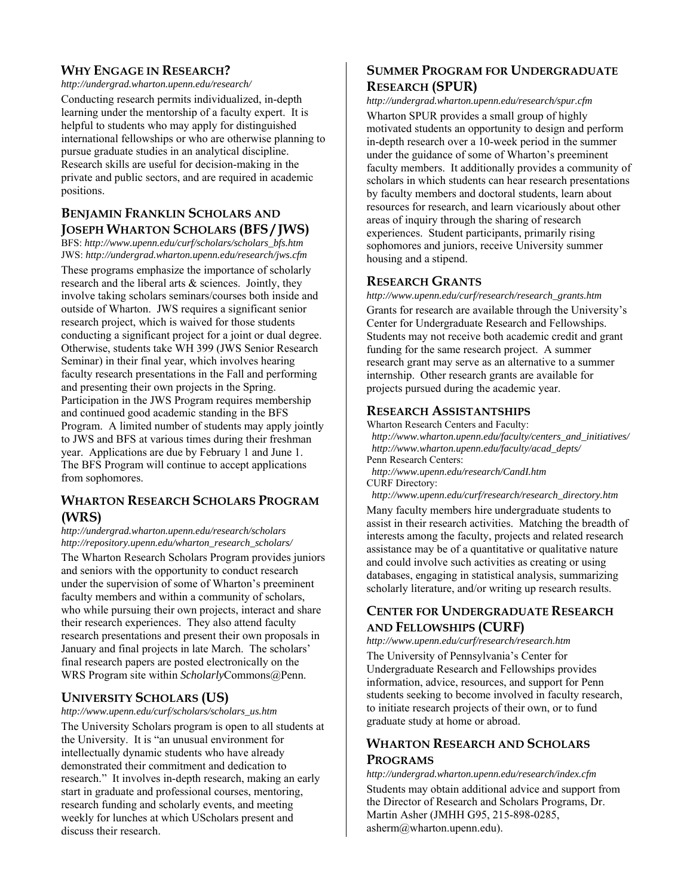## **WHY ENGAGE IN RESEARCH?**

*http://undergrad.wharton.upenn.edu/research/*

Conducting research permits individualized, in-depth learning under the mentorship of a faculty expert. It is helpful to students who may apply for distinguished international fellowships or who are otherwise planning to pursue graduate studies in an analytical discipline. Research skills are useful for decision-making in the private and public sectors, and are required in academic positions.

## **BENJAMIN FRANKLIN SCHOLARS AND JOSEPH WHARTON SCHOLARS (BFS / JWS)**

BFS: *http://www.upenn.edu/curf/scholars/scholars\_bfs.htm* JWS: *http://undergrad.wharton.upenn.edu/research/jws.cfm* 

These programs emphasize the importance of scholarly research and the liberal arts & sciences. Jointly, they involve taking scholars seminars/courses both inside and outside of Wharton. JWS requires a significant senior research project, which is waived for those students conducting a significant project for a joint or dual degree. Otherwise, students take WH 399 (JWS Senior Research Seminar) in their final year, which involves hearing faculty research presentations in the Fall and performing and presenting their own projects in the Spring. Participation in the JWS Program requires membership and continued good academic standing in the BFS Program. A limited number of students may apply jointly to JWS and BFS at various times during their freshman year. Applications are due by February 1 and June 1. The BFS Program will continue to accept applications from sophomores.

## **WHARTON RESEARCH SCHOLARS PROGRAM (WRS)**

*http://undergrad.wharton.upenn.edu/research/scholars http://repository.upenn.edu/wharton\_research\_scholars/* 

The Wharton Research Scholars Program provides juniors and seniors with the opportunity to conduct research under the supervision of some of Wharton's preeminent faculty members and within a community of scholars, who while pursuing their own projects, interact and share their research experiences. They also attend faculty research presentations and present their own proposals in January and final projects in late March. The scholars' final research papers are posted electronically on the WRS Program site within *Scholarly*Commons@Penn.

## **UNIVERSITY SCHOLARS (US)**

*http://www.upenn.edu/curf/scholars/scholars\_us.htm* 

The University Scholars program is open to all students at the University. It is "an unusual environment for intellectually dynamic students who have already demonstrated their commitment and dedication to research." It involves in-depth research, making an early start in graduate and professional courses, mentoring, research funding and scholarly events, and meeting weekly for lunches at which UScholars present and discuss their research.

## **SUMMER PROGRAM FOR UNDERGRADUATE RESEARCH (SPUR)**

*http://undergrad.wharton.upenn.edu/research/spur.cfm*  Wharton SPUR provides a small group of highly motivated students an opportunity to design and perform in-depth research over a 10-week period in the summer under the guidance of some of Wharton's preeminent faculty members. It additionally provides a community of scholars in which students can hear research presentations by faculty members and doctoral students, learn about resources for research, and learn vicariously about other areas of inquiry through the sharing of research experiences. Student participants, primarily rising sophomores and juniors, receive University summer housing and a stipend.

## **RESEARCH GRANTS**

*http://www.upenn.edu/curf/research/research\_grants.htm*  Grants for research are available through the University's Center for Undergraduate Research and Fellowships. Students may not receive both academic credit and grant funding for the same research project. A summer research grant may serve as an alternative to a summer internship. Other research grants are available for projects pursued during the academic year.

## **RESEARCH ASSISTANTSHIPS**

Wharton Research Centers and Faculty:  *http://www.wharton.upenn.edu/faculty/centers\_and\_initiatives/ http://www.wharton.upenn.edu/faculty/acad\_depts/*  Penn Research Centers:

 *http://www.upenn.edu/research/CandI.htm*  CURF Directory:

 *http://www.upenn.edu/curf/research/research\_directory.htm* 

Many faculty members hire undergraduate students to assist in their research activities. Matching the breadth of interests among the faculty, projects and related research assistance may be of a quantitative or qualitative nature and could involve such activities as creating or using databases, engaging in statistical analysis, summarizing scholarly literature, and/or writing up research results.

## **CENTER FOR UNDERGRADUATE RESEARCH AND FELLOWSHIPS (CURF)**

*http://www.upenn.edu/curf/research/research.htm* 

The University of Pennsylvania's Center for Undergraduate Research and Fellowships provides information, advice, resources, and support for Penn students seeking to become involved in faculty research, to initiate research projects of their own, or to fund graduate study at home or abroad.

## **WHARTON RESEARCH AND SCHOLARS PROGRAMS**

*http://undergrad.wharton.upenn.edu/research/index.cfm*  Students may obtain additional advice and support from the Director of Research and Scholars Programs, Dr. Martin Asher (JMHH G95, 215-898-0285, asherm@wharton.upenn.edu).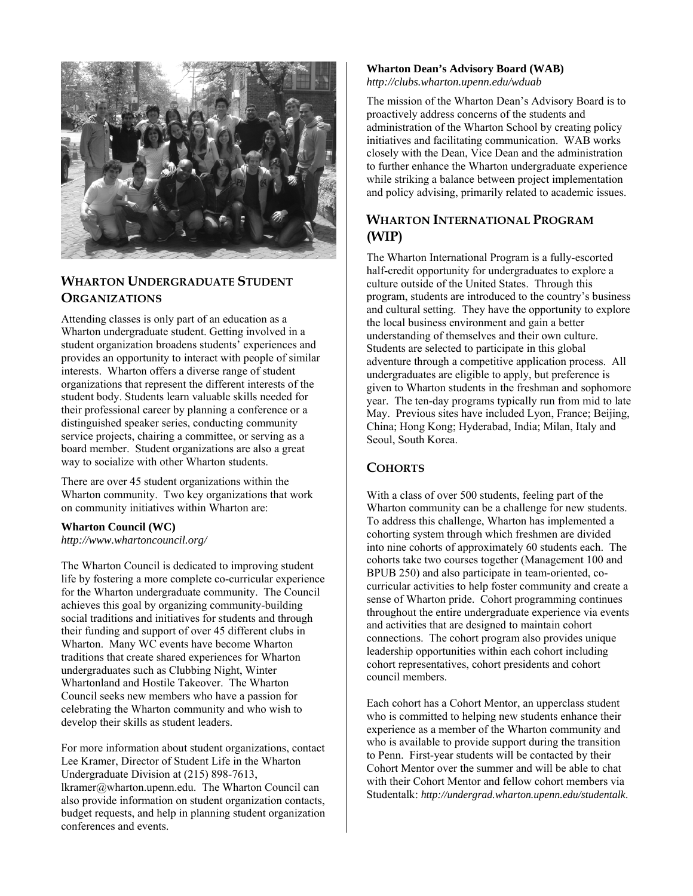

## **WHARTON UNDERGRADUATE STUDENT ORGANIZATIONS**

Attending classes is only part of an education as a Wharton undergraduate student. Getting involved in a student organization broadens students' experiences and provides an opportunity to interact with people of similar interests. Wharton offers a diverse range of student organizations that represent the different interests of the student body. Students learn valuable skills needed for their professional career by planning a conference or a distinguished speaker series, conducting community service projects, chairing a committee, or serving as a board member. Student organizations are also a great way to socialize with other Wharton students.

There are over 45 student organizations within the Wharton community. Two key organizations that work on community initiatives within Wharton are:

## **Wharton Council (WC)**

*http://www.whartoncouncil.org/* 

The Wharton Council is dedicated to improving student life by fostering a more complete co-curricular experience for the Wharton undergraduate community. The Council achieves this goal by organizing community-building social traditions and initiatives for students and through their funding and support of over 45 different clubs in Wharton. Many WC events have become Wharton traditions that create shared experiences for Wharton undergraduates such as Clubbing Night, Winter Whartonland and Hostile Takeover. The Wharton Council seeks new members who have a passion for celebrating the Wharton community and who wish to develop their skills as student leaders.

For more information about student organizations, contact Lee Kramer, Director of Student Life in the Wharton Undergraduate Division at (215) 898-7613, lkramer@wharton.upenn.edu. The Wharton Council can also provide information on student organization contacts, budget requests, and help in planning student organization conferences and events.

#### **Wharton Dean's Advisory Board (WAB)** *http://clubs.wharton.upenn.edu/wduab*

The mission of the Wharton Dean's Advisory Board is to proactively address concerns of the students and administration of the Wharton School by creating policy initiatives and facilitating communication. WAB works closely with the Dean, Vice Dean and the administration to further enhance the Wharton undergraduate experience while striking a balance between project implementation and policy advising, primarily related to academic issues.

## **WHARTON INTERNATIONAL PROGRAM (WIP)**

The Wharton International Program is a fully-escorted half-credit opportunity for undergraduates to explore a culture outside of the United States. Through this program, students are introduced to the country's business and cultural setting. They have the opportunity to explore the local business environment and gain a better understanding of themselves and their own culture. Students are selected to participate in this global adventure through a competitive application process. All undergraduates are eligible to apply, but preference is given to Wharton students in the freshman and sophomore year. The ten-day programs typically run from mid to late May. Previous sites have included Lyon, France; Beijing, China; Hong Kong; Hyderabad, India; Milan, Italy and Seoul, South Korea.

## **COHORTS**

With a class of over 500 students, feeling part of the Wharton community can be a challenge for new students. To address this challenge, Wharton has implemented a cohorting system through which freshmen are divided into nine cohorts of approximately 60 students each. The cohorts take two courses together (Management 100 and BPUB 250) and also participate in team-oriented, cocurricular activities to help foster community and create a sense of Wharton pride. Cohort programming continues throughout the entire undergraduate experience via events and activities that are designed to maintain cohort connections. The cohort program also provides unique leadership opportunities within each cohort including cohort representatives, cohort presidents and cohort council members.

Each cohort has a Cohort Mentor, an upperclass student who is committed to helping new students enhance their experience as a member of the Wharton community and who is available to provide support during the transition to Penn. First-year students will be contacted by their Cohort Mentor over the summer and will be able to chat with their Cohort Mentor and fellow cohort members via Studentalk: *http://undergrad.wharton.upenn.edu/studentalk*.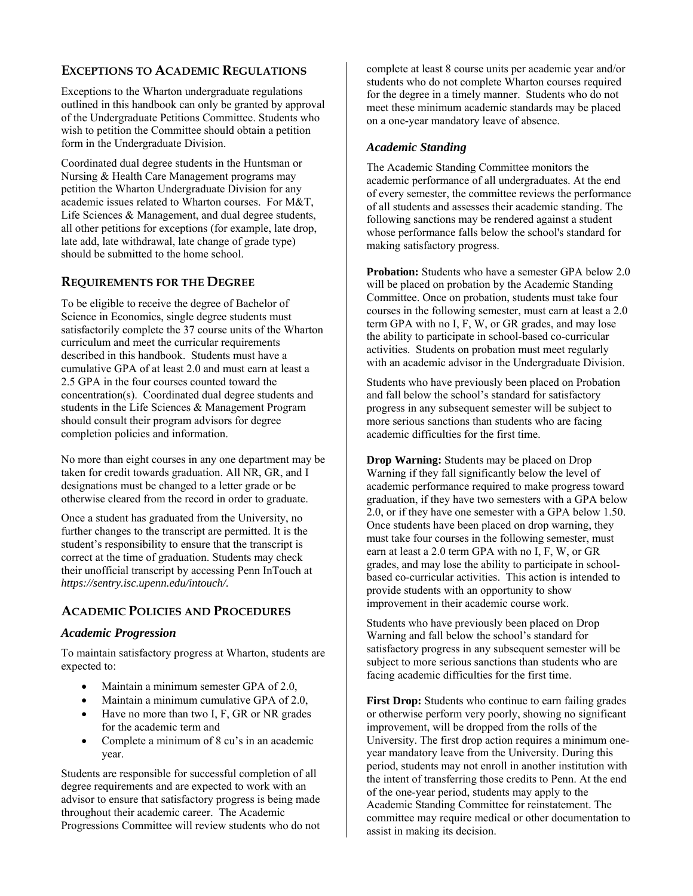## **EXCEPTIONS TO ACADEMIC REGULATIONS**

Exceptions to the Wharton undergraduate regulations outlined in this handbook can only be granted by approval of the Undergraduate Petitions Committee. Students who wish to petition the Committee should obtain a petition form in the Undergraduate Division.

Coordinated dual degree students in the Huntsman or Nursing & Health Care Management programs may petition the Wharton Undergraduate Division for any academic issues related to Wharton courses. For M&T, Life Sciences & Management, and dual degree students, all other petitions for exceptions (for example, late drop, late add, late withdrawal, late change of grade type) should be submitted to the home school.

## **REQUIREMENTS FOR THE DEGREE**

To be eligible to receive the degree of Bachelor of Science in Economics, single degree students must satisfactorily complete the 37 course units of the Wharton curriculum and meet the curricular requirements described in this handbook. Students must have a cumulative GPA of at least 2.0 and must earn at least a 2.5 GPA in the four courses counted toward the concentration(s). Coordinated dual degree students and students in the Life Sciences & Management Program should consult their program advisors for degree completion policies and information.

No more than eight courses in any one department may be taken for credit towards graduation. All NR, GR, and I designations must be changed to a letter grade or be otherwise cleared from the record in order to graduate.

Once a student has graduated from the University, no further changes to the transcript are permitted. It is the student's responsibility to ensure that the transcript is correct at the time of graduation. Students may check their unofficial transcript by accessing Penn InTouch at *https://sentry.isc.upenn.edu/intouch/.*

## **ACADEMIC POLICIES AND PROCEDURES**

## *Academic Progression*

To maintain satisfactory progress at Wharton, students are expected to:

- Maintain a minimum semester GPA of 2.0,
- Maintain a minimum cumulative GPA of 2.0,
- Have no more than two I, F, GR or NR grades for the academic term and
- Complete a minimum of 8 cu's in an academic year.

Students are responsible for successful completion of all degree requirements and are expected to work with an advisor to ensure that satisfactory progress is being made throughout their academic career. The Academic Progressions Committee will review students who do not

complete at least 8 course units per academic year and/or students who do not complete Wharton courses required for the degree in a timely manner. Students who do not meet these minimum academic standards may be placed on a one-year mandatory leave of absence.

## *Academic Standing*

The Academic Standing Committee monitors the academic performance of all undergraduates. At the end of every semester, the committee reviews the performance of all students and assesses their academic standing. The following sanctions may be rendered against a student whose performance falls below the school's standard for making satisfactory progress.

**Probation:** Students who have a semester GPA below 2.0 will be placed on probation by the Academic Standing Committee. Once on probation, students must take four courses in the following semester, must earn at least a 2.0 term GPA with no I, F, W, or GR grades, and may lose the ability to participate in school-based co-curricular activities. Students on probation must meet regularly with an academic advisor in the Undergraduate Division.

Students who have previously been placed on Probation and fall below the school's standard for satisfactory progress in any subsequent semester will be subject to more serious sanctions than students who are facing academic difficulties for the first time.

**Drop Warning:** Students may be placed on Drop Warning if they fall significantly below the level of academic performance required to make progress toward graduation, if they have two semesters with a GPA below 2.0, or if they have one semester with a GPA below 1.50. Once students have been placed on drop warning, they must take four courses in the following semester, must earn at least a 2.0 term GPA with no I, F, W, or GR grades, and may lose the ability to participate in schoolbased co-curricular activities. This action is intended to provide students with an opportunity to show improvement in their academic course work.

Students who have previously been placed on Drop Warning and fall below the school's standard for satisfactory progress in any subsequent semester will be subject to more serious sanctions than students who are facing academic difficulties for the first time.

**First Drop:** Students who continue to earn failing grades or otherwise perform very poorly, showing no significant improvement, will be dropped from the rolls of the University. The first drop action requires a minimum oneyear mandatory leave from the University. During this period, students may not enroll in another institution with the intent of transferring those credits to Penn. At the end of the one-year period, students may apply to the Academic Standing Committee for reinstatement. The committee may require medical or other documentation to assist in making its decision.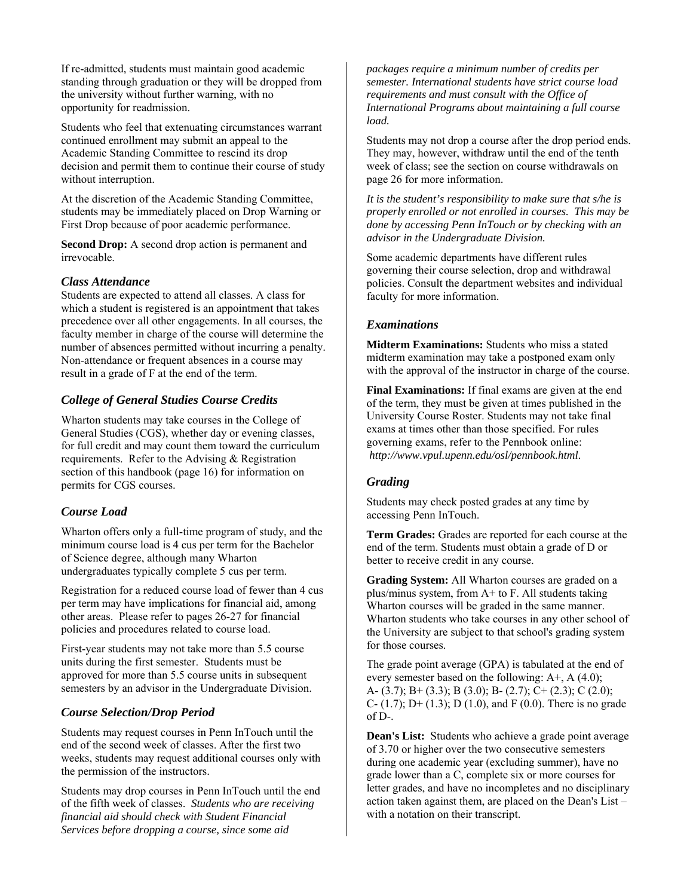If re-admitted, students must maintain good academic standing through graduation or they will be dropped from the university without further warning, with no opportunity for readmission.

Students who feel that extenuating circumstances warrant continued enrollment may submit an appeal to the Academic Standing Committee to rescind its drop decision and permit them to continue their course of study without interruption.

At the discretion of the Academic Standing Committee, students may be immediately placed on Drop Warning or First Drop because of poor academic performance.

**Second Drop:** A second drop action is permanent and irrevocable.

## *Class Attendance*

Students are expected to attend all classes. A class for which a student is registered is an appointment that takes precedence over all other engagements. In all courses, the faculty member in charge of the course will determine the number of absences permitted without incurring a penalty. Non-attendance or frequent absences in a course may result in a grade of F at the end of the term.

## *College of General Studies Course Credits*

Wharton students may take courses in the College of General Studies (CGS), whether day or evening classes, for full credit and may count them toward the curriculum requirements. Refer to the Advising & Registration section of this handbook (page 16) for information on permits for CGS courses.

## *Course Load*

Wharton offers only a full-time program of study, and the minimum course load is 4 cus per term for the Bachelor of Science degree, although many Wharton undergraduates typically complete 5 cus per term.

Registration for a reduced course load of fewer than 4 cus per term may have implications for financial aid, among other areas. Please refer to pages 26-27 for financial policies and procedures related to course load.

First-year students may not take more than 5.5 course units during the first semester. Students must be approved for more than 5.5 course units in subsequent semesters by an advisor in the Undergraduate Division.

## *Course Selection/Drop Period*

Students may request courses in Penn InTouch until the end of the second week of classes. After the first two weeks, students may request additional courses only with the permission of the instructors.

Students may drop courses in Penn InTouch until the end of the fifth week of classes. *Students who are receiving financial aid should check with Student Financial Services before dropping a course, since some aid* 

*packages require a minimum number of credits per semester. International students have strict course load requirements and must consult with the Office of International Programs about maintaining a full course load.*

Students may not drop a course after the drop period ends. They may, however, withdraw until the end of the tenth week of class; see the section on course withdrawals on page 26 for more information.

*It is the student's responsibility to make sure that s/he is properly enrolled or not enrolled in courses. This may be done by accessing Penn InTouch or by checking with an advisor in the Undergraduate Division.*

Some academic departments have different rules governing their course selection, drop and withdrawal policies. Consult the department websites and individual faculty for more information.

## *Examinations*

**Midterm Examinations:** Students who miss a stated midterm examination may take a postponed exam only with the approval of the instructor in charge of the course.

**Final Examinations:** If final exams are given at the end of the term, they must be given at times published in the University Course Roster. Students may not take final exams at times other than those specified. For rules governing exams, refer to the Pennbook online: *http://www.vpul.upenn.edu/osl/pennbook.html*.

## *Grading*

Students may check posted grades at any time by accessing Penn InTouch.

**Term Grades:** Grades are reported for each course at the end of the term. Students must obtain a grade of D or better to receive credit in any course.

**Grading System:** All Wharton courses are graded on a plus/minus system, from A+ to F. All students taking Wharton courses will be graded in the same manner. Wharton students who take courses in any other school of the University are subject to that school's grading system for those courses.

The grade point average (GPA) is tabulated at the end of every semester based on the following:  $A^{+}$ , A (4.0); A- (3.7); B+ (3.3); B (3.0); B- (2.7); C+ (2.3); C (2.0); C-  $(1.7)$ ; D+  $(1.3)$ ; D $(1.0)$ , and F $(0.0)$ . There is no grade of D-.

**Dean's List:** Students who achieve a grade point average of 3.70 or higher over the two consecutive semesters during one academic year (excluding summer), have no grade lower than a C, complete six or more courses for letter grades, and have no incompletes and no disciplinary action taken against them, are placed on the Dean's List – with a notation on their transcript.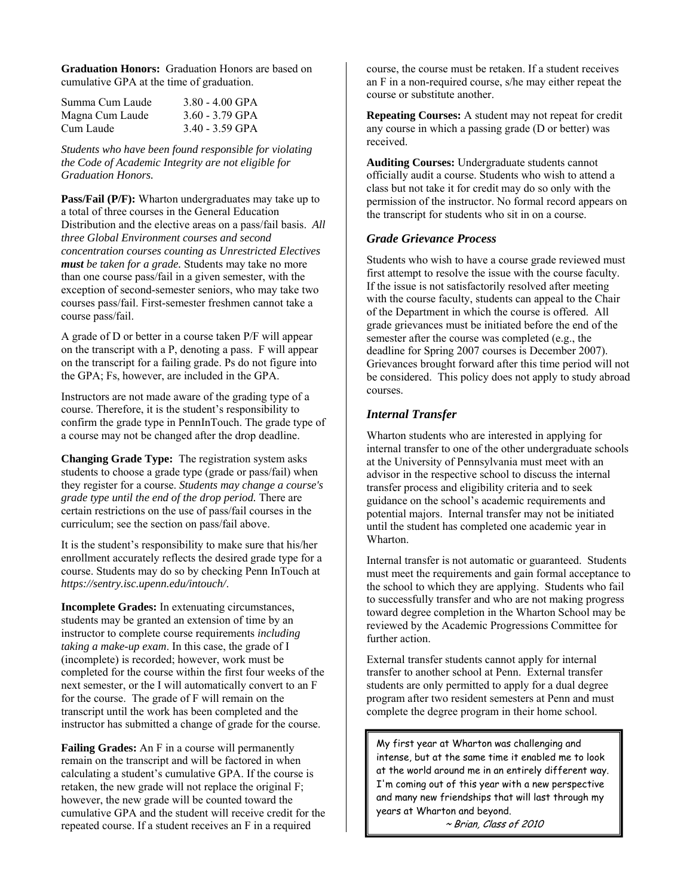**Graduation Honors:** Graduation Honors are based on cumulative GPA at the time of graduation.

| Summa Cum Laude | $3.80 - 4.00$ GPA |
|-----------------|-------------------|
| Magna Cum Laude | $3.60 - 3.79$ GPA |
| Cum Laude       | $3.40 - 3.59$ GPA |

*Students who have been found responsible for violating the Code of Academic Integrity are not eligible for Graduation Honors.* 

**Pass/Fail (P/F):** Wharton undergraduates may take up to a total of three courses in the General Education Distribution and the elective areas on a pass/fail basis. *All three Global Environment courses and second concentration courses counting as Unrestricted Electives must be taken for a grade.* Students may take no more than one course pass/fail in a given semester, with the exception of second-semester seniors, who may take two courses pass/fail. First-semester freshmen cannot take a course pass/fail.

A grade of D or better in a course taken P/F will appear on the transcript with a P, denoting a pass. F will appear on the transcript for a failing grade. Ps do not figure into the GPA; Fs, however, are included in the GPA.

Instructors are not made aware of the grading type of a course. Therefore, it is the student's responsibility to confirm the grade type in PennInTouch. The grade type of a course may not be changed after the drop deadline.

**Changing Grade Type:** The registration system asks students to choose a grade type (grade or pass/fail) when they register for a course. *Students may change a course's grade type until the end of the drop period.* There are certain restrictions on the use of pass/fail courses in the curriculum; see the section on pass/fail above.

It is the student's responsibility to make sure that his/her enrollment accurately reflects the desired grade type for a course. Students may do so by checking Penn InTouch at *https://sentry.isc.upenn.edu/intouch/*.

**Incomplete Grades:** In extenuating circumstances, students may be granted an extension of time by an instructor to complete course requirements *including taking a make-up exam*. In this case, the grade of I (incomplete) is recorded; however, work must be completed for the course within the first four weeks of the next semester, or the I will automatically convert to an F for the course. The grade of F will remain on the transcript until the work has been completed and the instructor has submitted a change of grade for the course.

**Failing Grades:** An F in a course will permanently remain on the transcript and will be factored in when calculating a student's cumulative GPA. If the course is retaken, the new grade will not replace the original F; however, the new grade will be counted toward the cumulative GPA and the student will receive credit for the repeated course. If a student receives an F in a required

course, the course must be retaken. If a student receives an F in a non-required course, s/he may either repeat the course or substitute another.

**Repeating Courses:** A student may not repeat for credit any course in which a passing grade (D or better) was received.

**Auditing Courses:** Undergraduate students cannot officially audit a course. Students who wish to attend a class but not take it for credit may do so only with the permission of the instructor. No formal record appears on the transcript for students who sit in on a course.

## *Grade Grievance Process*

Students who wish to have a course grade reviewed must first attempt to resolve the issue with the course faculty. If the issue is not satisfactorily resolved after meeting with the course faculty, students can appeal to the Chair of the Department in which the course is offered. All grade grievances must be initiated before the end of the semester after the course was completed (e.g., the deadline for Spring 2007 courses is December 2007). Grievances brought forward after this time period will not be considered. This policy does not apply to study abroad courses.

## *Internal Transfer*

Wharton students who are interested in applying for internal transfer to one of the other undergraduate schools at the University of Pennsylvania must meet with an advisor in the respective school to discuss the internal transfer process and eligibility criteria and to seek guidance on the school's academic requirements and potential majors. Internal transfer may not be initiated until the student has completed one academic year in Wharton.

Internal transfer is not automatic or guaranteed. Students must meet the requirements and gain formal acceptance to the school to which they are applying. Students who fail to successfully transfer and who are not making progress toward degree completion in the Wharton School may be reviewed by the Academic Progressions Committee for further action.

External transfer students cannot apply for internal transfer to another school at Penn. External transfer students are only permitted to apply for a dual degree program after two resident semesters at Penn and must complete the degree program in their home school.

My first year at Wharton was challenging and intense, but at the same time it enabled me to look at the world around me in an entirely different way. I'm coming out of this year with a new perspective and many new friendships that will last through my years at Wharton and beyond.

~ Brian, Class of 2010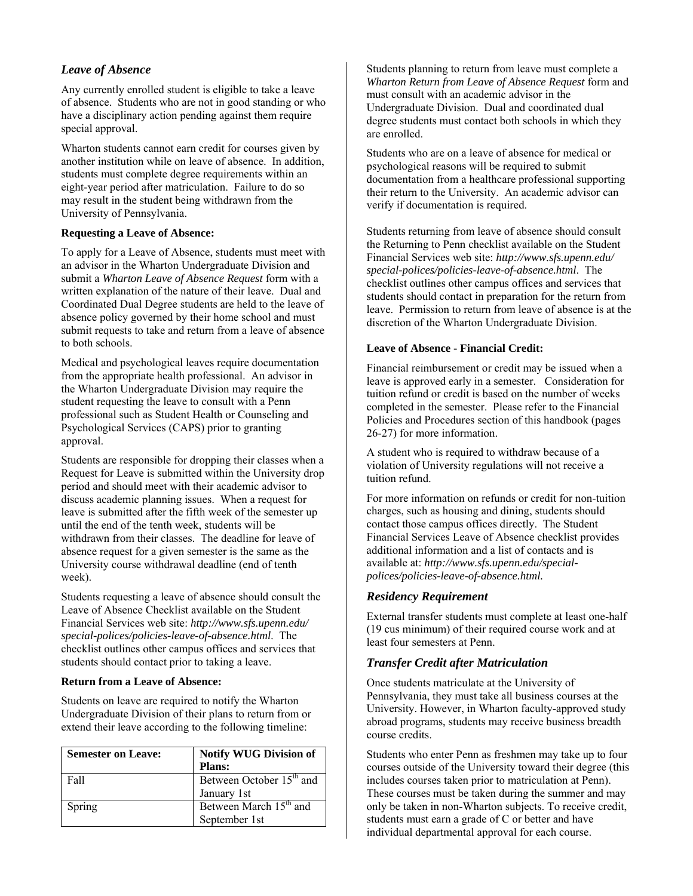## *Leave of Absence*

Any currently enrolled student is eligible to take a leave of absence. Students who are not in good standing or who have a disciplinary action pending against them require special approval.

Wharton students cannot earn credit for courses given by another institution while on leave of absence. In addition, students must complete degree requirements within an eight-year period after matriculation. Failure to do so may result in the student being withdrawn from the University of Pennsylvania.

## **Requesting a Leave of Absence:**

To apply for a Leave of Absence, students must meet with an advisor in the Wharton Undergraduate Division and submit a *Wharton Leave of Absence Request* form with a written explanation of the nature of their leave. Dual and Coordinated Dual Degree students are held to the leave of absence policy governed by their home school and must submit requests to take and return from a leave of absence to both schools.

Medical and psychological leaves require documentation from the appropriate health professional. An advisor in the Wharton Undergraduate Division may require the student requesting the leave to consult with a Penn professional such as Student Health or Counseling and Psychological Services (CAPS) prior to granting approval.

Students are responsible for dropping their classes when a Request for Leave is submitted within the University drop period and should meet with their academic advisor to discuss academic planning issues. When a request for leave is submitted after the fifth week of the semester up until the end of the tenth week, students will be withdrawn from their classes. The deadline for leave of absence request for a given semester is the same as the University course withdrawal deadline (end of tenth week).

Students requesting a leave of absence should consult the Leave of Absence Checklist available on the Student Financial Services web site: *http://www.sfs.upenn.edu/ special-polices/policies-leave-of-absence.html*. The checklist outlines other campus offices and services that students should contact prior to taking a leave.

## **Return from a Leave of Absence:**

Students on leave are required to notify the Wharton Undergraduate Division of their plans to return from or extend their leave according to the following timeline:

| <b>Semester on Leave:</b> | <b>Notify WUG Division of</b>        |  |
|---------------------------|--------------------------------------|--|
|                           | <b>Plans:</b>                        |  |
| Fall                      | Between October 15 <sup>th</sup> and |  |
|                           | January 1st                          |  |
| Spring                    | Between March 15 <sup>th</sup> and   |  |
|                           | September 1st                        |  |

Students planning to return from leave must complete a *Wharton Return from Leave of Absence Request* form and must consult with an academic advisor in the Undergraduate Division. Dual and coordinated dual degree students must contact both schools in which they are enrolled.

Students who are on a leave of absence for medical or psychological reasons will be required to submit documentation from a healthcare professional supporting their return to the University. An academic advisor can verify if documentation is required.

Students returning from leave of absence should consult the Returning to Penn checklist available on the Student Financial Services web site: *http://www.sfs.upenn.edu/ special-polices/policies-leave-of-absence.html*. The checklist outlines other campus offices and services that students should contact in preparation for the return from leave. Permission to return from leave of absence is at the discretion of the Wharton Undergraduate Division.

## **Leave of Absence - Financial Credit:**

Financial reimbursement or credit may be issued when a leave is approved early in a semester. Consideration for tuition refund or credit is based on the number of weeks completed in the semester. Please refer to the Financial Policies and Procedures section of this handbook (pages 26-27) for more information.

A student who is required to withdraw because of a violation of University regulations will not receive a tuition refund.

For more information on refunds or credit for non-tuition charges, such as housing and dining, students should contact those campus offices directly. The Student Financial Services Leave of Absence checklist provides additional information and a list of contacts and is available at: *http://www.sfs.upenn.edu/specialpolices/policies-leave-of-absence.html.*

## *Residency Requirement*

External transfer students must complete at least one-half (19 cus minimum) of their required course work and at least four semesters at Penn.

## *Transfer Credit after Matriculation*

Once students matriculate at the University of Pennsylvania, they must take all business courses at the University. However, in Wharton faculty-approved study abroad programs, students may receive business breadth course credits.

Students who enter Penn as freshmen may take up to four courses outside of the University toward their degree (this includes courses taken prior to matriculation at Penn). These courses must be taken during the summer and may only be taken in non-Wharton subjects. To receive credit, students must earn a grade of C or better and have individual departmental approval for each course.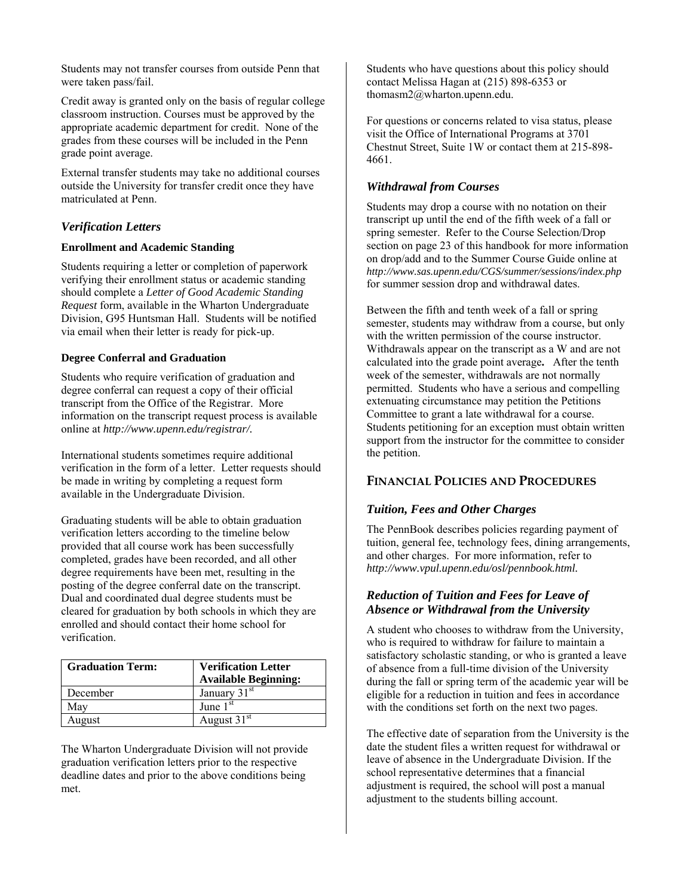Students may not transfer courses from outside Penn that were taken pass/fail.

Credit away is granted only on the basis of regular college classroom instruction. Courses must be approved by the appropriate academic department for credit. None of the grades from these courses will be included in the Penn grade point average.

External transfer students may take no additional courses outside the University for transfer credit once they have matriculated at Penn.

## *Verification Letters*

## **Enrollment and Academic Standing**

Students requiring a letter or completion of paperwork verifying their enrollment status or academic standing should complete a *Letter of Good Academic Standing Request* form, available in the Wharton Undergraduate Division, G95 Huntsman Hall. Students will be notified via email when their letter is ready for pick-up.

## **Degree Conferral and Graduation**

Students who require verification of graduation and degree conferral can request a copy of their official transcript from the Office of the Registrar. More information on the transcript request process is available online at *http://www.upenn.edu/registrar/.*

International students sometimes require additional verification in the form of a letter. Letter requests should be made in writing by completing a request form available in the Undergraduate Division.

Graduating students will be able to obtain graduation verification letters according to the timeline below provided that all course work has been successfully completed, grades have been recorded, and all other degree requirements have been met, resulting in the posting of the degree conferral date on the transcript. Dual and coordinated dual degree students must be cleared for graduation by both schools in which they are enrolled and should contact their home school for verification.

| <b>Graduation Term:</b> | <b>Verification Letter</b><br><b>Available Beginning:</b> |
|-------------------------|-----------------------------------------------------------|
| December                | January 31st                                              |
| May                     | June $1st$                                                |
| August                  | August 31 <sup>st</sup>                                   |

The Wharton Undergraduate Division will not provide graduation verification letters prior to the respective deadline dates and prior to the above conditions being met.

Students who have questions about this policy should contact Melissa Hagan at (215) 898-6353 or thomasm2@wharton.upenn.edu.

For questions or concerns related to visa status, please visit the Office of International Programs at 3701 Chestnut Street, Suite 1W or contact them at 215-898- 4661.

## *Withdrawal from Courses*

Students may drop a course with no notation on their transcript up until the end of the fifth week of a fall or spring semester. Refer to the Course Selection/Drop section on page 23 of this handbook for more information on drop/add and to the Summer Course Guide online at *http://www.sas.upenn.edu/CGS/summer/sessions/index.php* for summer session drop and withdrawal dates.

Between the fifth and tenth week of a fall or spring semester, students may withdraw from a course, but only with the written permission of the course instructor. Withdrawals appear on the transcript as a W and are not calculated into the grade point average**.** After the tenth week of the semester, withdrawals are not normally permitted. Students who have a serious and compelling extenuating circumstance may petition the Petitions Committee to grant a late withdrawal for a course. Students petitioning for an exception must obtain written support from the instructor for the committee to consider the petition.

## **FINANCIAL POLICIES AND PROCEDURES**

## *Tuition, Fees and Other Charges*

The PennBook describes policies regarding payment of tuition, general fee, technology fees, dining arrangements, and other charges. For more information, refer to *http://www.vpul.upenn.edu/osl/pennbook.html.*

## *Reduction of Tuition and Fees for Leave of Absence or Withdrawal from the University*

A student who chooses to withdraw from the University, who is required to withdraw for failure to maintain a satisfactory scholastic standing, or who is granted a leave of absence from a full-time division of the University during the fall or spring term of the academic year will be eligible for a reduction in tuition and fees in accordance with the conditions set forth on the next two pages.

The effective date of separation from the University is the date the student files a written request for withdrawal or leave of absence in the Undergraduate Division. If the school representative determines that a financial adjustment is required, the school will post a manual adjustment to the students billing account.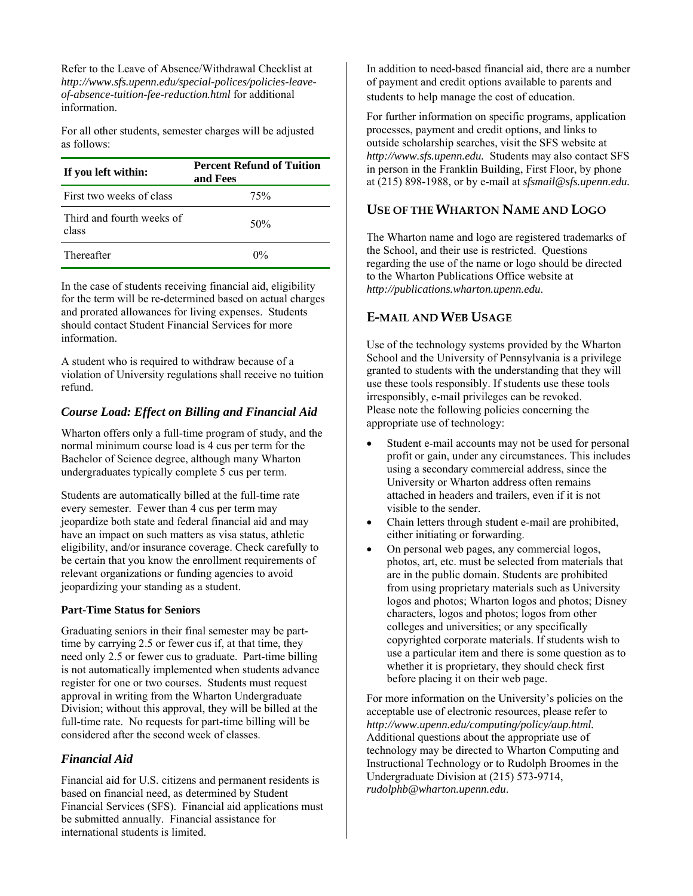Refer to the Leave of Absence/Withdrawal Checklist at *http://www.sfs.upenn.edu/special-polices/policies-leaveof-absence-tuition-fee-reduction.html* for additional information.

For all other students, semester charges will be adjusted as follows:

| If you left within:                | <b>Percent Refund of Tuition</b><br>and Fees |  |
|------------------------------------|----------------------------------------------|--|
| First two weeks of class           | 75%                                          |  |
| Third and fourth weeks of<br>class | 50%                                          |  |
| Thereafter                         | $0\%$                                        |  |

In the case of students receiving financial aid, eligibility for the term will be re-determined based on actual charges and prorated allowances for living expenses. Students should contact Student Financial Services for more information.

A student who is required to withdraw because of a violation of University regulations shall receive no tuition refund.

## *Course Load: Effect on Billing and Financial Aid*

Wharton offers only a full-time program of study, and the normal minimum course load is 4 cus per term for the Bachelor of Science degree, although many Wharton undergraduates typically complete 5 cus per term.

Students are automatically billed at the full-time rate every semester. Fewer than 4 cus per term may jeopardize both state and federal financial aid and may have an impact on such matters as visa status, athletic eligibility, and/or insurance coverage. Check carefully to be certain that you know the enrollment requirements of relevant organizations or funding agencies to avoid jeopardizing your standing as a student.

## **Part-Time Status for Seniors**

Graduating seniors in their final semester may be parttime by carrying 2.5 or fewer cus if, at that time, they need only 2.5 or fewer cus to graduate. Part-time billing is not automatically implemented when students advance register for one or two courses. Students must request approval in writing from the Wharton Undergraduate Division; without this approval, they will be billed at the full-time rate. No requests for part-time billing will be considered after the second week of classes.

## *Financial Aid*

Financial aid for U.S. citizens and permanent residents is based on financial need, as determined by Student Financial Services (SFS). Financial aid applications must be submitted annually. Financial assistance for international students is limited.

In addition to need-based financial aid, there are a number of payment and credit options available to parents and students to help manage the cost of education.

For further information on specific programs, application processes, payment and credit options, and links to outside scholarship searches, visit the SFS website at *http://www.sfs.upenn.edu.* Students may also contact SFS in person in the Franklin Building, First Floor, by phone at (215) 898-1988, or by e-mail at *sfsmail@sfs.upenn.edu.* 

## **USE OF THE WHARTON NAME AND LOGO**

The Wharton name and logo are registered trademarks of the School, and their use is restricted. Questions regarding the use of the name or logo should be directed to the Wharton Publications Office website at *http://publications.wharton.upenn.edu*.

## **E-MAIL AND WEB USAGE**

Use of the technology systems provided by the Wharton School and the University of Pennsylvania is a privilege granted to students with the understanding that they will use these tools responsibly. If students use these tools irresponsibly, e-mail privileges can be revoked. Please note the following policies concerning the appropriate use of technology:

- Student e-mail accounts may not be used for personal profit or gain, under any circumstances. This includes using a secondary commercial address, since the University or Wharton address often remains attached in headers and trailers, even if it is not visible to the sender.
- Chain letters through student e-mail are prohibited, either initiating or forwarding.
- On personal web pages, any commercial logos, photos, art, etc. must be selected from materials that are in the public domain. Students are prohibited from using proprietary materials such as University logos and photos; Wharton logos and photos; Disney characters, logos and photos; logos from other colleges and universities; or any specifically copyrighted corporate materials. If students wish to use a particular item and there is some question as to whether it is proprietary, they should check first before placing it on their web page.

For more information on the University's policies on the acceptable use of electronic resources, please refer to *http://www.upenn.edu/computing/policy/aup.html.* Additional questions about the appropriate use of technology may be directed to Wharton Computing and Instructional Technology or to Rudolph Broomes in the Undergraduate Division at (215) 573-9714, *rudolphb@wharton.upenn.edu*.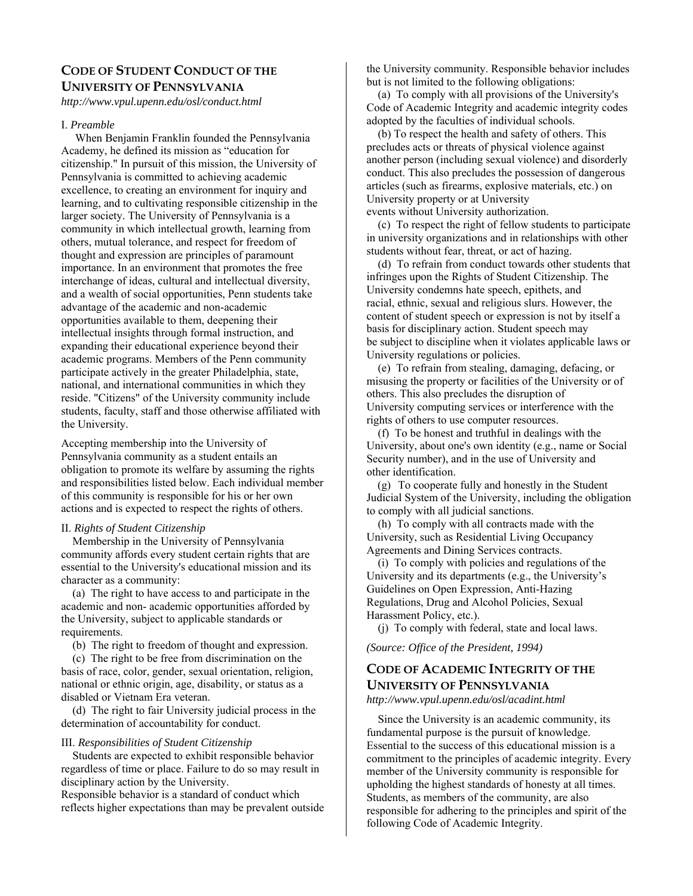## **CODE OF STUDENT CONDUCT OF THE UNIVERSITY OF PENNSYLVANIA**

*http://www.vpul.upenn.edu/osl/conduct.html* 

#### I. *Preamble*

 When Benjamin Franklin founded the Pennsylvania Academy, he defined its mission as "education for citizenship." In pursuit of this mission, the University of Pennsylvania is committed to achieving academic excellence, to creating an environment for inquiry and learning, and to cultivating responsible citizenship in the larger society. The University of Pennsylvania is a community in which intellectual growth, learning from others, mutual tolerance, and respect for freedom of thought and expression are principles of paramount importance. In an environment that promotes the free interchange of ideas, cultural and intellectual diversity, and a wealth of social opportunities, Penn students take advantage of the academic and non-academic opportunities available to them, deepening their intellectual insights through formal instruction, and expanding their educational experience beyond their academic programs. Members of the Penn community participate actively in the greater Philadelphia, state, national, and international communities in which they reside. "Citizens" of the University community include students, faculty, staff and those otherwise affiliated with the University.

Accepting membership into the University of Pennsylvania community as a student entails an obligation to promote its welfare by assuming the rights and responsibilities listed below. Each individual member of this community is responsible for his or her own actions and is expected to respect the rights of others.

#### II. *Rights of Student Citizenship*

 Membership in the University of Pennsylvania community affords every student certain rights that are essential to the University's educational mission and its character as a community:

 (a) The right to have access to and participate in the academic and non- academic opportunities afforded by the University, subject to applicable standards or requirements.

(b) The right to freedom of thought and expression.

 (c) The right to be free from discrimination on the basis of race, color, gender, sexual orientation, religion, national or ethnic origin, age, disability, or status as a disabled or Vietnam Era veteran.

 (d) The right to fair University judicial process in the determination of accountability for conduct.

#### III. *Responsibilities of Student Citizenship*

 Students are expected to exhibit responsible behavior regardless of time or place. Failure to do so may result in disciplinary action by the University. Responsible behavior is a standard of conduct which

reflects higher expectations than may be prevalent outside

the University community. Responsible behavior includes but is not limited to the following obligations:

 (a) To comply with all provisions of the University's Code of Academic Integrity and academic integrity codes adopted by the faculties of individual schools.

 (b) To respect the health and safety of others. This precludes acts or threats of physical violence against another person (including sexual violence) and disorderly conduct. This also precludes the possession of dangerous articles (such as firearms, explosive materials, etc.) on University property or at University events without University authorization.

 (c) To respect the right of fellow students to participate in university organizations and in relationships with other students without fear, threat, or act of hazing.

 (d) To refrain from conduct towards other students that infringes upon the Rights of Student Citizenship. The University condemns hate speech, epithets, and racial, ethnic, sexual and religious slurs. However, the content of student speech or expression is not by itself a basis for disciplinary action. Student speech may be subject to discipline when it violates applicable laws or University regulations or policies.

 (e) To refrain from stealing, damaging, defacing, or misusing the property or facilities of the University or of others. This also precludes the disruption of University computing services or interference with the rights of others to use computer resources.

 (f) To be honest and truthful in dealings with the University, about one's own identity (e.g., name or Social Security number), and in the use of University and other identification.

(g) To cooperate fully and honestly in the Student Judicial System of the University, including the obligation to comply with all judicial sanctions.

 (h) To comply with all contracts made with the University, such as Residential Living Occupancy Agreements and Dining Services contracts.

 (i) To comply with policies and regulations of the University and its departments (e.g., the University's Guidelines on Open Expression, Anti-Hazing Regulations, Drug and Alcohol Policies, Sexual Harassment Policy, etc.).

(j) To comply with federal, state and local laws.

*(Source: Office of the President, 1994)* 

## **CODE OF ACADEMIC INTEGRITY OF THE UNIVERSITY OF PENNSYLVANIA**

*http://www.vpul.upenn.edu/osl/acadint.html* 

 Since the University is an academic community, its fundamental purpose is the pursuit of knowledge. Essential to the success of this educational mission is a commitment to the principles of academic integrity. Every member of the University community is responsible for upholding the highest standards of honesty at all times. Students, as members of the community, are also responsible for adhering to the principles and spirit of the following Code of Academic Integrity.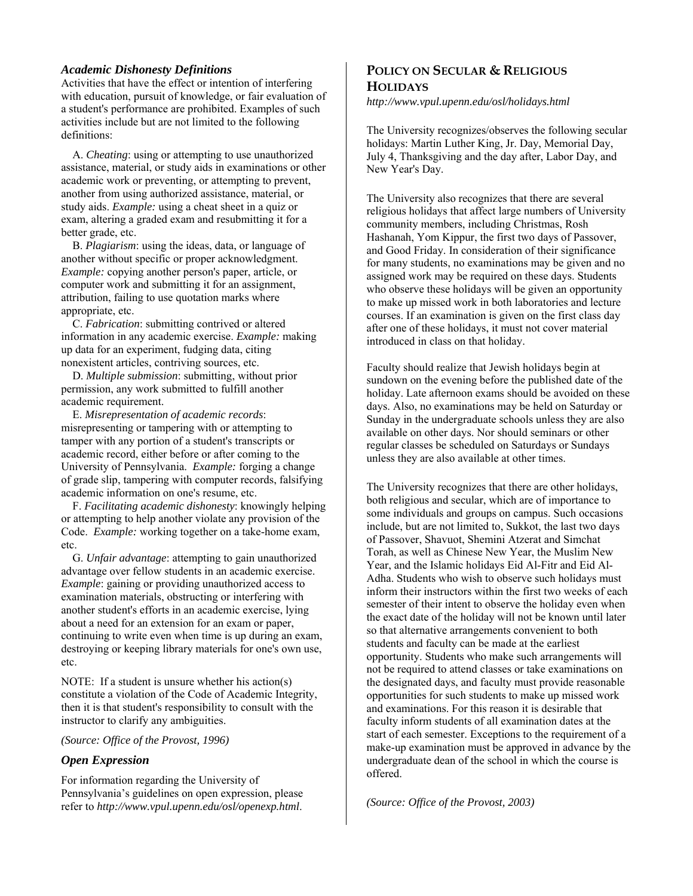#### *Academic Dishonesty Definitions*

Activities that have the effect or intention of interfering with education, pursuit of knowledge, or fair evaluation of a student's performance are prohibited. Examples of such activities include but are not limited to the following definitions:

 A. *Cheating*: using or attempting to use unauthorized assistance, material, or study aids in examinations or other academic work or preventing, or attempting to prevent, another from using authorized assistance, material, or study aids. *Example:* using a cheat sheet in a quiz or exam, altering a graded exam and resubmitting it for a better grade, etc.

 B. *Plagiarism*: using the ideas, data, or language of another without specific or proper acknowledgment. *Example:* copying another person's paper, article, or computer work and submitting it for an assignment, attribution, failing to use quotation marks where appropriate, etc.

 C. *Fabrication*: submitting contrived or altered information in any academic exercise. *Example:* making up data for an experiment, fudging data, citing nonexistent articles, contriving sources, etc.

 D. *Multiple submission*: submitting, without prior permission, any work submitted to fulfill another academic requirement.

 E. *Misrepresentation of academic records*: misrepresenting or tampering with or attempting to tamper with any portion of a student's transcripts or academic record, either before or after coming to the University of Pennsylvania. *Example:* forging a change of grade slip, tampering with computer records, falsifying academic information on one's resume, etc.

 F. *Facilitating academic dishonesty*: knowingly helping or attempting to help another violate any provision of the Code. *Example:* working together on a take-home exam, etc.

 G. *Unfair advantage*: attempting to gain unauthorized advantage over fellow students in an academic exercise. *Example*: gaining or providing unauthorized access to examination materials, obstructing or interfering with another student's efforts in an academic exercise, lying about a need for an extension for an exam or paper, continuing to write even when time is up during an exam, destroying or keeping library materials for one's own use, etc.

NOTE: If a student is unsure whether his action(s) constitute a violation of the Code of Academic Integrity, then it is that student's responsibility to consult with the instructor to clarify any ambiguities.

#### *(Source: Office of the Provost, 1996)*

#### *Open Expression*

For information regarding the University of Pennsylvania's guidelines on open expression, please refer to *http://www.vpul.upenn.edu/osl/openexp.html*.

## **POLICY ON SECULAR & RELIGIOUS HOLIDAYS**

*http://www.vpul.upenn.edu/osl/holidays.html* 

The University recognizes/observes the following secular holidays: Martin Luther King, Jr. Day, Memorial Day, July 4, Thanksgiving and the day after, Labor Day, and New Year's Day.

The University also recognizes that there are several religious holidays that affect large numbers of University community members, including Christmas, Rosh Hashanah, Yom Kippur, the first two days of Passover, and Good Friday. In consideration of their significance for many students, no examinations may be given and no assigned work may be required on these days. Students who observe these holidays will be given an opportunity to make up missed work in both laboratories and lecture courses. If an examination is given on the first class day after one of these holidays, it must not cover material introduced in class on that holiday.

Faculty should realize that Jewish holidays begin at sundown on the evening before the published date of the holiday. Late afternoon exams should be avoided on these days. Also, no examinations may be held on Saturday or Sunday in the undergraduate schools unless they are also available on other days. Nor should seminars or other regular classes be scheduled on Saturdays or Sundays unless they are also available at other times.

The University recognizes that there are other holidays, both religious and secular, which are of importance to some individuals and groups on campus. Such occasions include, but are not limited to, Sukkot, the last two days of Passover, Shavuot, Shemini Atzerat and Simchat Torah, as well as Chinese New Year, the Muslim New Year, and the Islamic holidays Eid Al-Fitr and Eid Al-Adha. Students who wish to observe such holidays must inform their instructors within the first two weeks of each semester of their intent to observe the holiday even when the exact date of the holiday will not be known until later so that alternative arrangements convenient to both students and faculty can be made at the earliest opportunity. Students who make such arrangements will not be required to attend classes or take examinations on the designated days, and faculty must provide reasonable opportunities for such students to make up missed work and examinations. For this reason it is desirable that faculty inform students of all examination dates at the start of each semester. Exceptions to the requirement of a make-up examination must be approved in advance by the undergraduate dean of the school in which the course is offered.

*(Source: Office of the Provost, 2003)*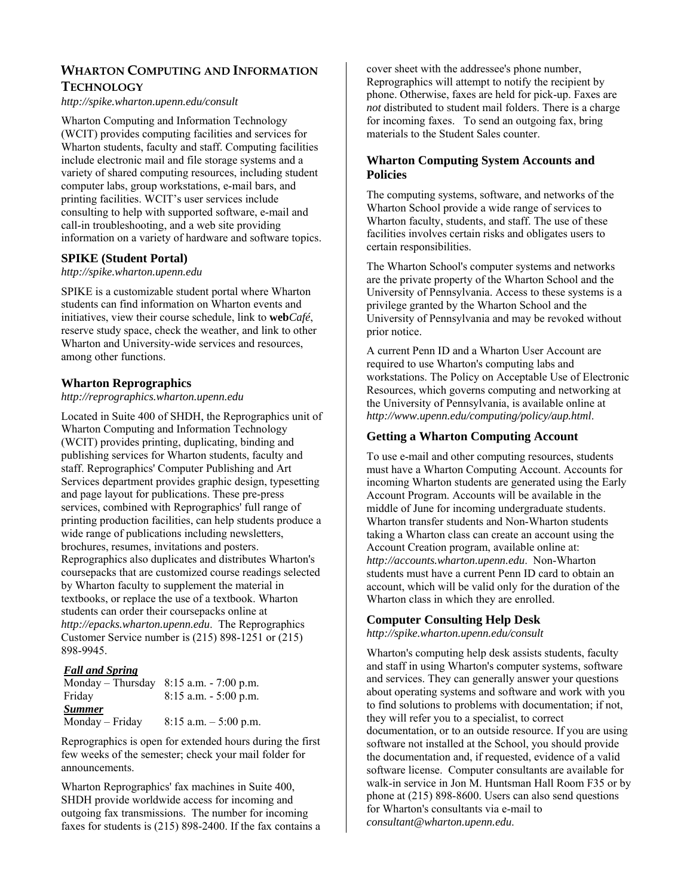## **WHARTON COMPUTING AND INFORMATION TECHNOLOGY**

#### *http://spike.wharton.upenn.edu/consult*

Wharton Computing and Information Technology (WCIT) provides computing facilities and services for Wharton students, faculty and staff. Computing facilities include electronic mail and file storage systems and a variety of shared computing resources, including student computer labs, group workstations, e-mail bars, and printing facilities. WCIT's user services include consulting to help with supported software, e-mail and call-in troubleshooting, and a web site providing information on a variety of hardware and software topics.

## **SPIKE (Student Portal)**

#### *http://spike.wharton.upenn.edu*

SPIKE is a customizable student portal where Wharton students can find information on Wharton events and initiatives, view their course schedule, link to **web***Café*, reserve study space, check the weather, and link to other Wharton and University-wide services and resources, among other functions.

## **Wharton Reprographics**

#### *http://reprographics.wharton.upenn.edu*

Located in Suite 400 of SHDH, the Reprographics unit of Wharton Computing and Information Technology (WCIT) provides printing, duplicating, binding and publishing services for Wharton students, faculty and staff. Reprographics' Computer Publishing and Art Services department provides graphic design, typesetting and page layout for publications. These pre-press services, combined with Reprographics' full range of printing production facilities, can help students produce a wide range of publications including newsletters, brochures, resumes, invitations and posters. Reprographics also duplicates and distributes Wharton's coursepacks that are customized course readings selected by Wharton faculty to supplement the material in textbooks, or replace the use of a textbook. Wharton students can order their coursepacks online at *http://epacks.wharton.upenn.edu*. The Reprographics Customer Service number is (215) 898-1251 or (215) 898-9945.

## *Fall and Spring*

| Monday – Thursday | $8:15$ a.m. $-7:00$ p.m. |
|-------------------|--------------------------|
| Friday            | $8:15$ a.m. $-5:00$ p.m. |
| <b>Summer</b>     |                          |
| Monday - Friday   | $8:15$ a.m. $-5:00$ p.m. |

Reprographics is open for extended hours during the first few weeks of the semester; check your mail folder for announcements.

Wharton Reprographics' fax machines in Suite 400, SHDH provide worldwide access for incoming and outgoing fax transmissions. The number for incoming faxes for students is (215) 898-2400. If the fax contains a

cover sheet with the addressee's phone number, Reprographics will attempt to notify the recipient by phone. Otherwise, faxes are held for pick-up. Faxes are *not* distributed to student mail folders. There is a charge for incoming faxes. To send an outgoing fax, bring materials to the Student Sales counter.

## **Wharton Computing System Accounts and Policies**

The computing systems, software, and networks of the Wharton School provide a wide range of services to Wharton faculty, students, and staff. The use of these facilities involves certain risks and obligates users to certain responsibilities.

The Wharton School's computer systems and networks are the private property of the Wharton School and the University of Pennsylvania. Access to these systems is a privilege granted by the Wharton School and the University of Pennsylvania and may be revoked without prior notice.

A current Penn ID and a Wharton User Account are required to use Wharton's computing labs and workstations. The Policy on Acceptable Use of Electronic Resources, which governs computing and networking at the University of Pennsylvania, is available online at *http://www.upenn.edu/computing/policy/aup.html*.

## **Getting a Wharton Computing Account**

To use e-mail and other computing resources, students must have a Wharton Computing Account. Accounts for incoming Wharton students are generated using the Early Account Program. Accounts will be available in the middle of June for incoming undergraduate students. Wharton transfer students and Non-Wharton students taking a Wharton class can create an account using the Account Creation program, available online at: *http://accounts.wharton.upenn.edu*. Non-Wharton students must have a current Penn ID card to obtain an account, which will be valid only for the duration of the Wharton class in which they are enrolled.

## **Computer Consulting Help Desk**

*http://spike.wharton.upenn.edu/consult* 

Wharton's computing help desk assists students, faculty and staff in using Wharton's computer systems, software and services. They can generally answer your questions about operating systems and software and work with you to find solutions to problems with documentation; if not, they will refer you to a specialist, to correct documentation, or to an outside resource. If you are using software not installed at the School, you should provide the documentation and, if requested, evidence of a valid software license. Computer consultants are available for walk-in service in Jon M. Huntsman Hall Room F35 or by phone at (215) 898-8600. Users can also send questions for Wharton's consultants via e-mail to *consultant@wharton.upenn.edu*.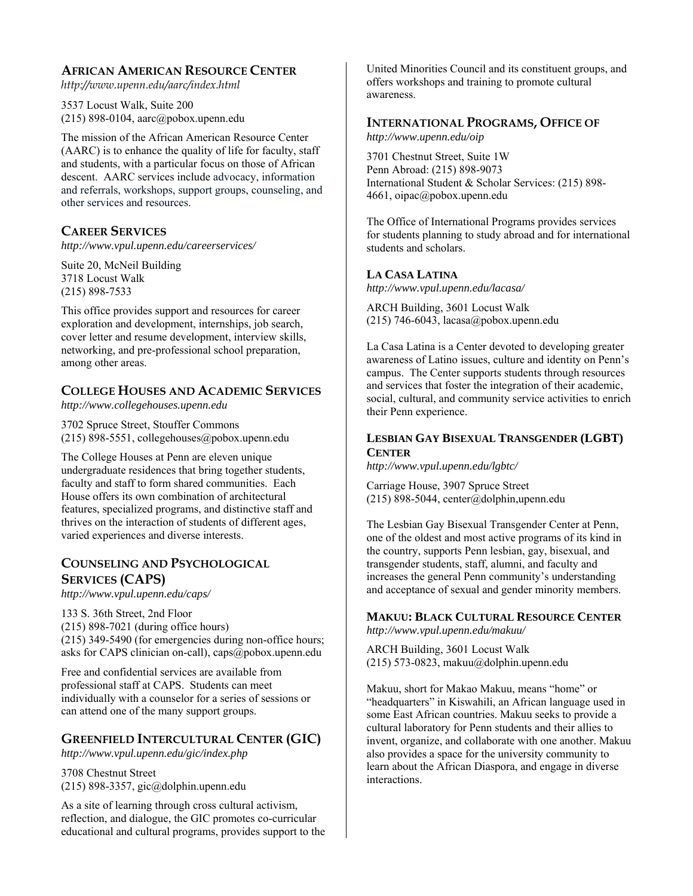## **AFRICAN AMERICAN RESOURCE CENTER**

*http://www.upenn.edu/aarc/index.html* 

3537 Locust Walk, Suite 200 (215) 898-0104, aarc@pobox.upenn.edu

The mission of the African American Resource Center (AARC) is to enhance the quality of life for faculty, staff and students, with a particular focus on those of African descent. AARC services include advocacy, information and referrals, workshops, support groups, counseling, and other services and resources.

## **CAREER SERVICES**

*http://www.vpul.upenn.edu/careerservices/* 

Suite 20, McNeil Building 3718 Locust Walk (215) 898-7533

This office provides support and resources for career exploration and development, internships, job search, cover letter and resume development, interview skills, networking, and pre-professional school preparation, among other areas.

## **COLLEGE HOUSES AND ACADEMIC SERVICES**

*http://www.collegehouses.upenn.edu*

3702 Spruce Street, Stouffer Commons (215) 898-5551, collegehouses@pobox.upenn.edu

The College Houses at Penn are eleven unique undergraduate residences that bring together students, faculty and staff to form shared communities. Each House offers its own combination of architectural features, specialized programs, and distinctive staff and thrives on the interaction of students of different ages, varied experiences and diverse interests.

## **COUNSELING AND PSYCHOLOGICAL SERVICES (CAPS)**

*http://www.vpul.upenn.edu/caps/*

133 S. 36th Street, 2nd Floor (215) 898-7021 (during office hours) (215) 349-5490 (for emergencies during non-office hours; asks for CAPS clinician on-call), caps@pobox.upenn.edu

Free and confidential services are available from professional staff at CAPS. Students can meet individually with a counselor for a series of sessions or can attend one of the many support groups.

## **GREENFIELD INTERCULTURAL CENTER (GIC)**

*http://www.vpul.upenn.edu/gic/index.php* 

3708 Chestnut Street (215) 898-3357, gic@dolphin.upenn.edu

As a site of learning through cross cultural activism, reflection, and dialogue, the GIC promotes co-curricular educational and cultural programs, provides support to the

United Minorities Council and its constituent groups, and offers workshops and training to promote cultural awareness.

## **INTERNATIONAL PROGRAMS, OFFICE OF**

*http://www.upenn.edu/oip* 

3701 Chestnut Street, Suite 1W Penn Abroad: (215) 898-9073 International Student & Scholar Services: (215) 898- 4661, oipac@pobox.upenn.edu

The Office of International Programs provides services for students planning to study abroad and for international students and scholars.

## **LA CASA LATINA**

*http://www.vpul.upenn.edu/lacasa/* 

ARCH Building, 3601 Locust Walk (215) 746-6043, lacasa@pobox.upenn.edu

La Casa Latina is a Center devoted to developing greater awareness of Latino issues, culture and identity on Penn's campus. The Center supports students through resources and services that foster the integration of their academic, social, cultural, and community service activities to enrich their Penn experience.

## **LESBIAN GAY BISEXUAL TRANSGENDER (LGBT) CENTER**

*http://www.vpul.upenn.edu/lgbtc/* 

Carriage House, 3907 Spruce Street (215) 898-5044, center@dolphin,upenn.edu

The Lesbian Gay Bisexual Transgender Center at Penn, one of the oldest and most active programs of its kind in the country, supports Penn lesbian, gay, bisexual, and transgender students, staff, alumni, and faculty and increases the general Penn community's understanding and acceptance of sexual and gender minority members.

#### **MAKUU: BLACK CULTURAL RESOURCE CENTER** *http://www.vpul.upenn.edu/makuu/*

ARCH Building, 3601 Locust Walk (215) 573-0823, makuu@dolphin.upenn.edu

Makuu, short for Makao Makuu, means "home" or "headquarters" in Kiswahili, an African language used in some East African countries. Makuu seeks to provide a cultural laboratory for Penn students and their allies to invent, organize, and collaborate with one another. Makuu also provides a space for the university community to learn about the African Diaspora, and engage in diverse interactions.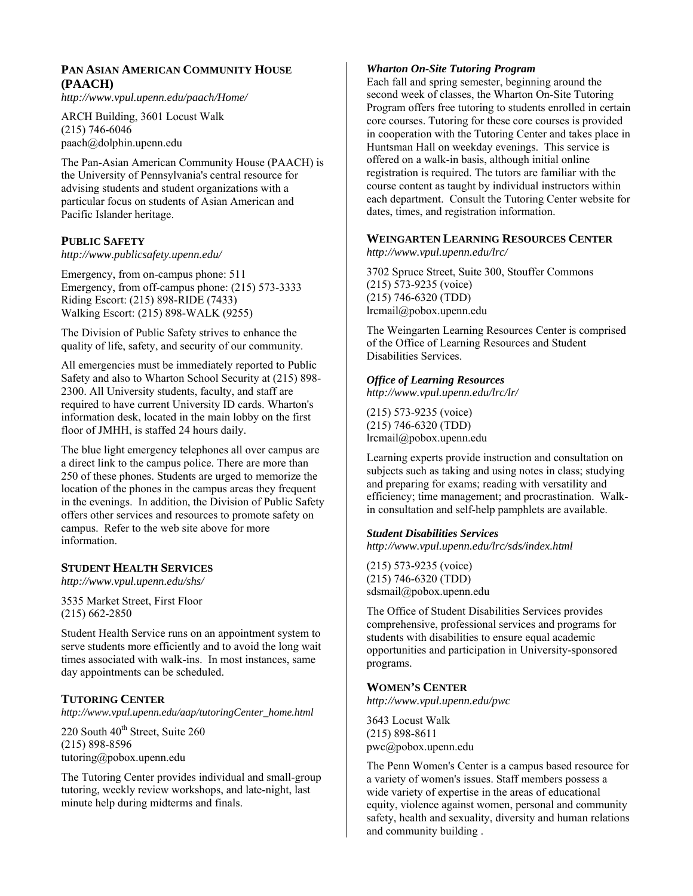## **PAN ASIAN AMERICAN COMMUNITY HOUSE (PAACH)**

*http://www.vpul.upenn.edu/paach/Home/* 

ARCH Building, 3601 Locust Walk (215) 746-6046 paach@dolphin.upenn.edu

The Pan-Asian American Community House (PAACH) is the University of Pennsylvania's central resource for advising students and student organizations with a particular focus on students of Asian American and Pacific Islander heritage.

## **PUBLIC SAFETY**

*http://www.publicsafety.upenn.edu/* 

Emergency, from on-campus phone: 511 Emergency, from off-campus phone: (215) 573-3333 Riding Escort: (215) 898-RIDE (7433) Walking Escort: (215) 898-WALK (9255)

The Division of Public Safety strives to enhance the quality of life, safety, and security of our community.

All emergencies must be immediately reported to Public Safety and also to Wharton School Security at (215) 898- 2300. All University students, faculty, and staff are required to have current University ID cards. Wharton's information desk, located in the main lobby on the first floor of JMHH, is staffed 24 hours daily.

The blue light emergency telephones all over campus are a direct link to the campus police. There are more than 250 of these phones. Students are urged to memorize the location of the phones in the campus areas they frequent in the evenings. In addition, the Division of Public Safety offers other services and resources to promote safety on campus. Refer to the web site above for more information.

## **STUDENT HEALTH SERVICES**

*http://www.vpul.upenn.edu/shs/* 

3535 Market Street, First Floor (215) 662-2850

Student Health Service runs on an appointment system to serve students more efficiently and to avoid the long wait times associated with walk-ins. In most instances, same day appointments can be scheduled.

## **TUTORING CENTER**

*http://www.vpul.upenn.edu/aap/tutoringCenter\_home.html* 

220 South  $40<sup>th</sup>$  Street, Suite 260 (215) 898-8596 tutoring@pobox.upenn.edu

The Tutoring Center provides individual and small-group tutoring, weekly review workshops, and late-night, last minute help during midterms and finals.

#### *Wharton On-Site Tutoring Program*

Each fall and spring semester, beginning around the second week of classes, the Wharton On-Site Tutoring Program offers free tutoring to students enrolled in certain core courses. Tutoring for these core courses is provided in cooperation with the Tutoring Center and takes place in Huntsman Hall on weekday evenings. This service is offered on a walk-in basis, although initial online registration is required. The tutors are familiar with the course content as taught by individual instructors within each department. Consult the Tutoring Center website for dates, times, and registration information.

#### **WEINGARTEN LEARNING RESOURCES CENTER**

*http://www.vpul.upenn.edu/lrc/* 

3702 Spruce Street, Suite 300, Stouffer Commons (215) 573-9235 (voice) (215) 746-6320 (TDD) lrcmail@pobox.upenn.edu

The Weingarten Learning Resources Center is comprised of the Office of Learning Resources and Student Disabilities Services.

#### *Office of Learning Resources*

*http://www.vpul.upenn.edu/lrc/lr/* 

(215) 573-9235 (voice) (215) 746-6320 (TDD) lrcmail@pobox.upenn.edu

Learning experts provide instruction and consultation on subjects such as taking and using notes in class; studying and preparing for exams; reading with versatility and efficiency; time management; and procrastination. Walkin consultation and self-help pamphlets are available.

#### *Student Disabilities Services*

*http://www.vpul.upenn.edu/lrc/sds/index.html* 

(215) 573-9235 (voice) (215) 746-6320 (TDD) sdsmail@pobox.upenn.edu

The Office of Student Disabilities Services provides comprehensive, professional services and programs for students with disabilities to ensure equal academic opportunities and participation in University-sponsored programs.

#### **WOMEN'S CENTER**

*http://www.vpul.upenn.edu/pwc* 

3643 Locust Walk (215) 898-8611 pwc@pobox.upenn.edu

The Penn Women's Center is a campus based resource for a variety of women's issues. Staff members possess a wide variety of expertise in the areas of educational equity, violence against women, personal and community safety, health and sexuality, diversity and human relations and community building .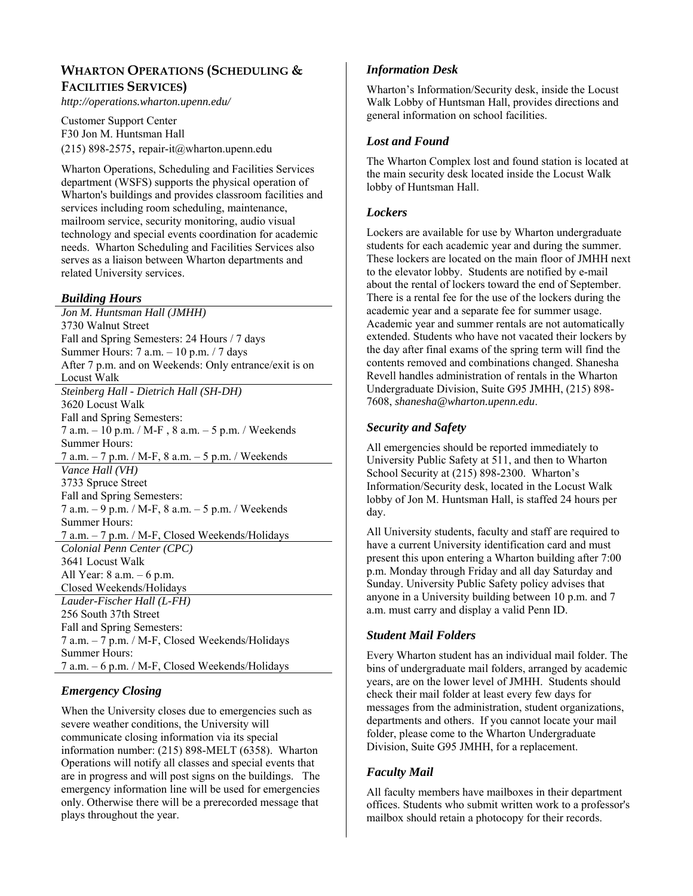## **WHARTON OPERATIONS (SCHEDULING & FACILITIES SERVICES)**

*http://operations.wharton.upenn.edu/* 

Customer Support Center F30 Jon M. Huntsman Hall (215) 898-2575, repair-it@wharton.upenn.edu

Wharton Operations, Scheduling and Facilities Services department (WSFS) supports the physical operation of Wharton's buildings and provides classroom facilities and services including room scheduling, maintenance, mailroom service, security monitoring, audio visual technology and special events coordination for academic needs. Wharton Scheduling and Facilities Services also serves as a liaison between Wharton departments and related University services.

## *Building Hours*

*Jon M. Huntsman Hall (JMHH)*  3730 Walnut Street Fall and Spring Semesters: 24 Hours / 7 days Summer Hours: 7 a.m. – 10 p.m. / 7 days After 7 p.m. and on Weekends: Only entrance/exit is on Locust Walk *Steinberg Hall - Dietrich Hall (SH-DH)*  3620 Locust Walk Fall and Spring Semesters: 7 a.m. – 10 p.m. / M-F , 8 a.m. – 5 p.m. / Weekends Summer Hours: 7 a.m. – 7 p.m. / M-F, 8 a.m. – 5 p.m. / Weekends *Vance Hall (VH)*  3733 Spruce Street Fall and Spring Semesters: 7 a.m. – 9 p.m. / M-F, 8 a.m. – 5 p.m. / Weekends Summer Hours: 7 a.m. – 7 p.m. / M-F, Closed Weekends/Holidays *Colonial Penn Center (CPC)*  3641 Locust Walk All Year: 8 a.m. – 6 p.m. Closed Weekends/Holidays *Lauder-Fischer Hall (L-FH)*  256 South 37th Street Fall and Spring Semesters: 7 a.m. – 7 p.m. / M-F, Closed Weekends/Holidays Summer Hours: 7 a.m. – 6 p.m. / M-F, Closed Weekends/Holidays

## *Emergency Closing*

When the University closes due to emergencies such as severe weather conditions, the University will communicate closing information via its special information number: (215) 898-MELT (6358). Wharton Operations will notify all classes and special events that are in progress and will post signs on the buildings. The emergency information line will be used for emergencies only. Otherwise there will be a prerecorded message that plays throughout the year.

## *Information Desk*

Wharton's Information/Security desk, inside the Locust Walk Lobby of Huntsman Hall, provides directions and general information on school facilities.

## *Lost and Found*

The Wharton Complex lost and found station is located at the main security desk located inside the Locust Walk lobby of Huntsman Hall.

## *Lockers*

Lockers are available for use by Wharton undergraduate students for each academic year and during the summer. These lockers are located on the main floor of JMHH next to the elevator lobby. Students are notified by e-mail about the rental of lockers toward the end of September. There is a rental fee for the use of the lockers during the academic year and a separate fee for summer usage. Academic year and summer rentals are not automatically extended. Students who have not vacated their lockers by the day after final exams of the spring term will find the contents removed and combinations changed. Shanesha Revell handles administration of rentals in the Wharton Undergraduate Division, Suite G95 JMHH, (215) 898- 7608, *shanesha@wharton.upenn.edu*.

## *Security and Safety*

All emergencies should be reported immediately to University Public Safety at 511, and then to Wharton School Security at (215) 898-2300. Wharton's Information/Security desk, located in the Locust Walk lobby of Jon M. Huntsman Hall, is staffed 24 hours per day.

All University students, faculty and staff are required to have a current University identification card and must present this upon entering a Wharton building after 7:00 p.m. Monday through Friday and all day Saturday and Sunday. University Public Safety policy advises that anyone in a University building between 10 p.m. and 7 a.m. must carry and display a valid Penn ID.

## *Student Mail Folders*

Every Wharton student has an individual mail folder. The bins of undergraduate mail folders, arranged by academic years, are on the lower level of JMHH. Students should check their mail folder at least every few days for messages from the administration, student organizations, departments and others. If you cannot locate your mail folder, please come to the Wharton Undergraduate Division, Suite G95 JMHH, for a replacement.

## *Faculty Mail*

All faculty members have mailboxes in their department offices. Students who submit written work to a professor's mailbox should retain a photocopy for their records.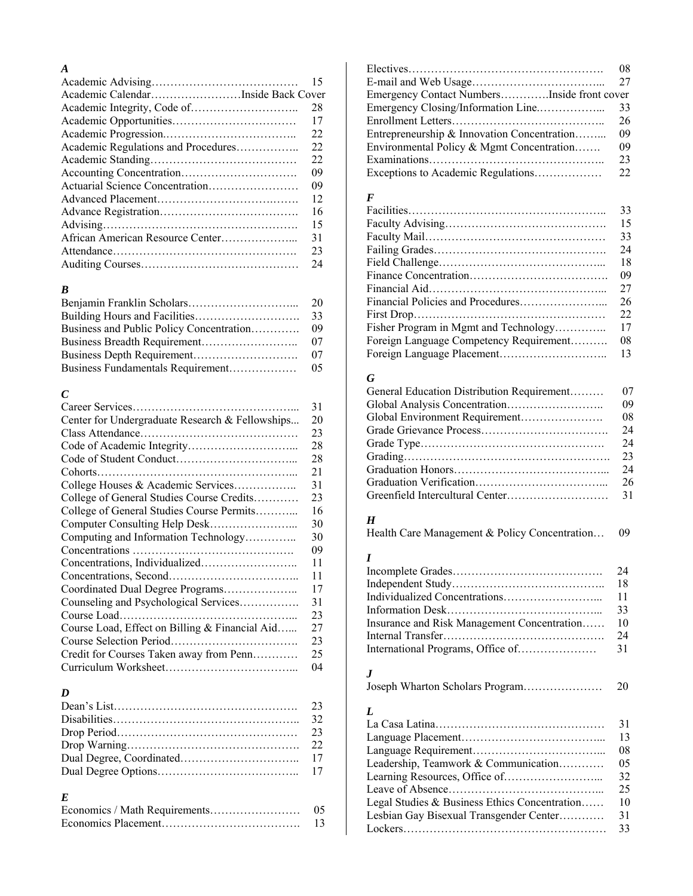## *A*

|                                     | 15 |
|-------------------------------------|----|
| Academic CalendarInside Back Cover  |    |
|                                     | 28 |
|                                     | 17 |
|                                     | 22 |
| Academic Regulations and Procedures | 22 |
|                                     | 22 |
|                                     | 09 |
| Actuarial Science Concentration     | 09 |
|                                     | 12 |
|                                     | 16 |
|                                     | 15 |
|                                     | 31 |
|                                     | 23 |
|                                     | 24 |

## *B*

|                                          | 20 |
|------------------------------------------|----|
|                                          | 33 |
| Business and Public Policy Concentration | 09 |
|                                          | 07 |
|                                          | 07 |
|                                          | 05 |

## *C*

|                                                 | 31 |
|-------------------------------------------------|----|
| Center for Undergraduate Research & Fellowships | 20 |
|                                                 | 23 |
|                                                 | 28 |
|                                                 | 28 |
|                                                 | 21 |
| College Houses & Academic Services              | 31 |
| College of General Studies Course Credits       | 23 |
| College of General Studies Course Permits       | 16 |
|                                                 | 30 |
| Computing and Information Technology            | 30 |
|                                                 | 09 |
|                                                 | 11 |
|                                                 | 11 |
| Coordinated Dual Degree Programs                | 17 |
| Counseling and Psychological Services           | 31 |
|                                                 | 23 |
| Course Load, Effect on Billing & Financial Aid  | 27 |
|                                                 | 23 |
| Credit for Courses Taken away from Penn         | 25 |
|                                                 | 04 |

## *D*

## *E*

| 05 |
|----|
|    |

|                                             | 08 |
|---------------------------------------------|----|
|                                             |    |
| Emergency Contact NumbersInside front cover |    |
|                                             | 33 |
|                                             | 26 |
| Entrepreneurship & Innovation Concentration | 09 |
| Environmental Policy & Mgmt Concentration   | 09 |
|                                             | 23 |
|                                             | 22 |

## *F*

|                                         | 33 |
|-----------------------------------------|----|
|                                         | 15 |
|                                         | 33 |
|                                         | 24 |
|                                         | 18 |
|                                         | 09 |
|                                         | 27 |
|                                         | 26 |
|                                         | 22 |
| Fisher Program in Mgmt and Technology   | 17 |
| Foreign Language Competency Requirement | 08 |
|                                         | 13 |
|                                         |    |

## *G*

| General Education Distribution Requirement | 07 |
|--------------------------------------------|----|
|                                            | 09 |
|                                            | 08 |
|                                            | 24 |
|                                            | 24 |
|                                            | 23 |
|                                            | 24 |
|                                            | 26 |
|                                            |    |

## *H*

|  |  | Health Care Management & Policy Concentration | 09 |
|--|--|-----------------------------------------------|----|
|--|--|-----------------------------------------------|----|

## *I*

|                                             | -18 |
|---------------------------------------------|-----|
|                                             |     |
|                                             |     |
| Insurance and Risk Management Concentration | 10  |
|                                             | 24  |
|                                             |     |

## *J*

Joseph Wharton Scholars Program………………… 20

## *L*

|                                               | 31 |
|-----------------------------------------------|----|
|                                               | 13 |
|                                               | 08 |
| Leadership, Teamwork & Communication          | 05 |
|                                               | 32 |
|                                               | 25 |
| Legal Studies & Business Ethics Concentration | 10 |
| Lesbian Gay Bisexual Transgender Center       | 31 |
|                                               | 33 |
|                                               |    |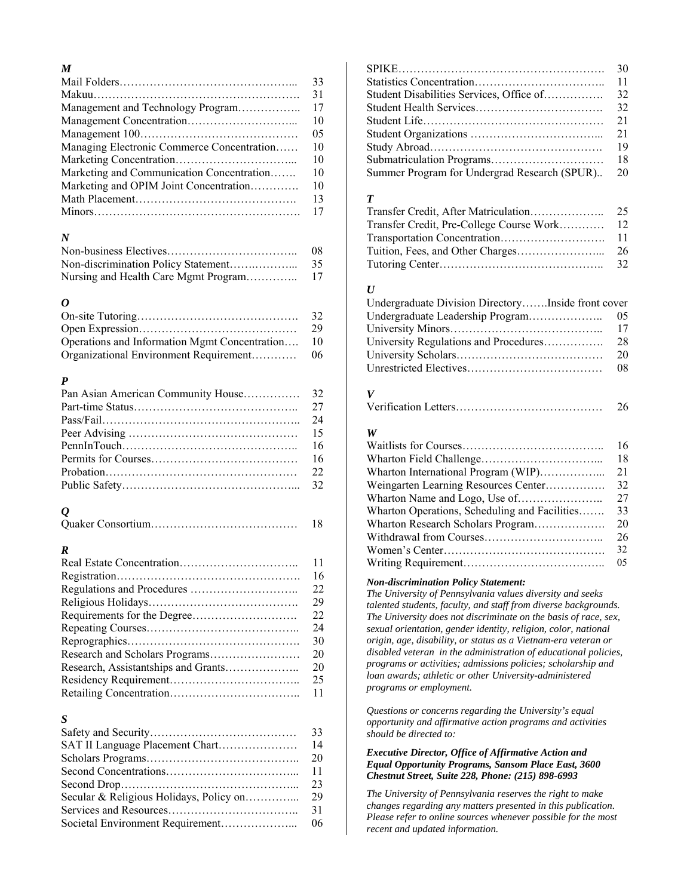## *M*

|                                            | 33 |
|--------------------------------------------|----|
|                                            | 31 |
| Management and Technology Program          | 17 |
|                                            | 10 |
|                                            | 05 |
| Managing Electronic Commerce Concentration | 10 |
|                                            | 10 |
| Marketing and Communication Concentration  | 10 |
| Marketing and OPIM Joint Concentration     | 10 |
|                                            | 13 |
|                                            | 17 |

## *N*

| 08. |
|-----|
| 35  |
|     |

## *O*

|                                               | 32 |
|-----------------------------------------------|----|
|                                               | 29 |
| Operations and Information Mgmt Concentration | 10 |
| Organizational Environment Requirement        | 06 |

## *P*

| 24 |
|----|
|    |
|    |
|    |
|    |
|    |

## *Q*

## *R*

| 11 |
|----|
| 16 |
| 22 |
| 29 |
| 22 |
| 24 |
| 30 |
| 20 |
| 20 |
| 25 |
| 11 |

## *S*

| 14 |  |
|----|--|
| 20 |  |
|    |  |
| 23 |  |
| 29 |  |
| 31 |  |
| 06 |  |

|                                              | 30 |
|----------------------------------------------|----|
|                                              | 11 |
|                                              | 32 |
|                                              | 32 |
|                                              | 21 |
|                                              | 21 |
|                                              | 19 |
|                                              | 18 |
| Summer Program for Undergrad Research (SPUR) | 20 |

## *T*

| 25              |
|-----------------|
|                 |
| $\overline{11}$ |
| 26              |
| 32              |

## *U*

| Undergraduate Division DirectoryInside front cover |    |
|----------------------------------------------------|----|
|                                                    | 05 |
|                                                    | 17 |
| University Regulations and Procedures              | 28 |
|                                                    | 20 |
|                                                    | 08 |

*V* 

## *W*

|                                               | 16 |
|-----------------------------------------------|----|
|                                               | 18 |
| Wharton International Program (WIP)           | 21 |
| Weingarten Learning Resources Center          | 32 |
|                                               | 27 |
| Wharton Operations, Scheduling and Facilities | 33 |
| Wharton Research Scholars Program             | 20 |
|                                               | 26 |
|                                               | 32 |
|                                               |    |

#### *Non-discrimination Policy Statement:*

*The University of Pennsylvania values diversity and seeks talented students, faculty, and staff from diverse backgrounds. The University does not discriminate on the basis of race, sex, sexual orientation, gender identity, religion, color, national origin, age, disability, or status as a Vietnam-era veteran or disabled veteran in the administration of educational policies, programs or activities; admissions policies; scholarship and loan awards; athletic or other University-administered programs or employment.* 

*Questions or concerns regarding the University's equal opportunity and affirmative action programs and activities should be directed to:* 

#### *Executive Director, Office of Affirmative Action and Equal Opportunity Programs, Sansom Place East, 3600 Chestnut Street, Suite 228, Phone: (215) 898-6993*

*The University of Pennsylvania reserves the right to make changes regarding any matters presented in this publication. Please refer to online sources whenever possible for the most recent and updated information.*